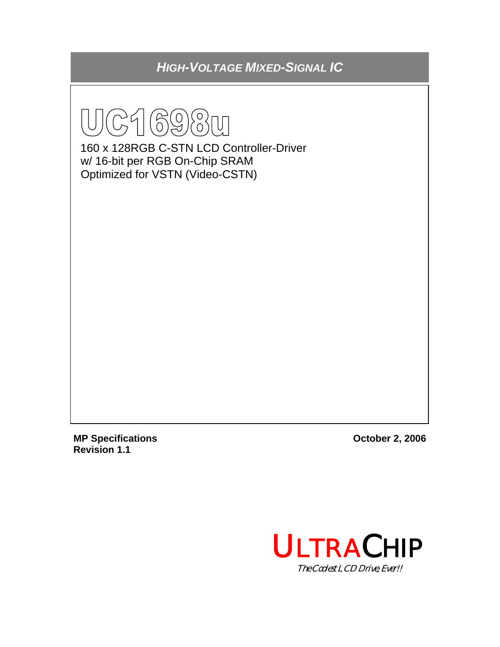*HIGH-VOLTAGE MIXED-SIGNAL IC* 



160 x 128RGB C-STN LCD Controller-Driver w/ 16-bit per RGB On-Chip SRAM Optimized for VSTN (Video-CSTN)

**MP Specifications October 2, 2006 Revision 1.1** 

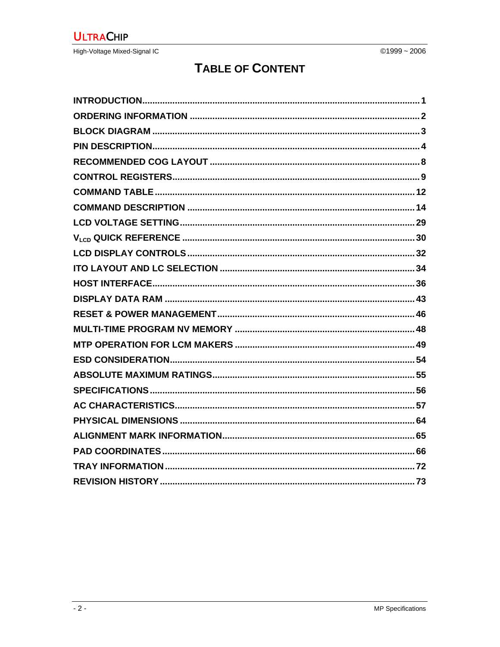# **TABLE OF CONTENT**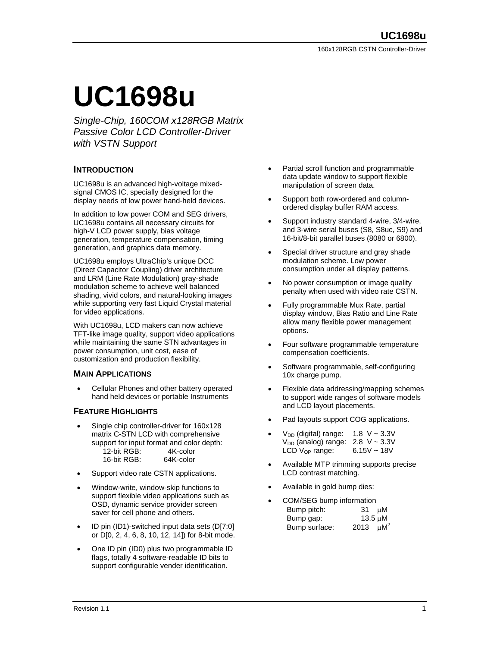# **UC1698u**

*Single-Chip, 160COM x128RGB Matrix Passive Color LCD Controller-Driver with VSTN Support* 

## **INTRODUCTION**

UC1698u is an advanced high-voltage mixedsignal CMOS IC, specially designed for the display needs of low power hand-held devices.

In addition to low power COM and SEG drivers, UC1698u contains all necessary circuits for high-V LCD power supply, bias voltage generation, temperature compensation, timing generation, and graphics data memory.

UC1698u employs UltraChip's unique DCC (Direct Capacitor Coupling) driver architecture and LRM (Line Rate Modulation) gray-shade modulation scheme to achieve well balanced shading, vivid colors, and natural-looking images while supporting very fast Liquid Crystal material for video applications.

With UC1698u, LCD makers can now achieve TFT-like image quality, support video applications while maintaining the same STN advantages in power consumption, unit cost, ease of customization and production flexibility.

#### **MAIN APPLICATIONS**

• Cellular Phones and other battery operated hand held devices or portable Instruments

## **FEATURE HIGHLIGHTS**

- Single chip controller-driver for 160x128 matrix C-STN LCD with comprehensive support for input format and color depth: 12-bit RGB: 4K-color 16-bit RGB: 64K-color
- Support video rate CSTN applications.
- Window-write, window-skip functions to support flexible video applications such as OSD, dynamic service provider screen saver for cell phone and others.
- ID pin (ID1)-switched input data sets (D[7:0] or D[0, 2, 4, 6, 8, 10, 12, 14]) for 8-bit mode.
- One ID pin (ID0) plus two programmable ID flags, totally 4 software-readable ID bits to support configurable vender identification.
- Partial scroll function and programmable data update window to support flexible manipulation of screen data.
- Support both row-ordered and columnordered display buffer RAM access.
- Support industry standard 4-wire, 3/4-wire, and 3-wire serial buses (S8, S8uc, S9) and 16-bit/8-bit parallel buses (8080 or 6800).
- Special driver structure and gray shade modulation scheme. Low power consumption under all display patterns.
- No power consumption or image quality penalty when used with video rate CSTN.
- Fully programmable Mux Rate, partial display window, Bias Ratio and Line Rate allow many flexible power management options.
- Four software programmable temperature compensation coefficients.
- Software programmable, self-configuring 10x charge pump.
- Flexible data addressing/mapping schemes to support wide ranges of software models and LCD layout placements.
- Pad layouts support COG applications.
- $V_{DD}$  (digital) range: 1.8 V ~ 3.3V  $V_{DD}$  (analog) range: 2.8 V ~ 3.3V LCD  $V_{OP}$  range: 6.15V ~ 18V
- Available MTP trimming supports precise LCD contrast matching.
- Available in gold bump dies:
- COM/SEG bump information Bump pitch: 31 µM Bump gap: 13.5 µM Bump surface:  $2013 \mu M^2$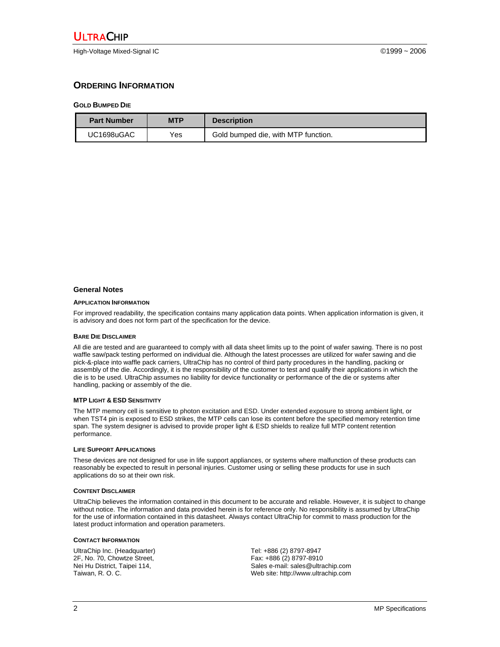High-Voltage Mixed-Signal IC ©1999 ~ 2006

## **ORDERING INFORMATION**

#### **GOLD BUMPED DIE**

| <b>Part Number</b> | <b>MTP</b> | <b>Description</b>                  |
|--------------------|------------|-------------------------------------|
| UC1698uGAC         | Yes.       | Gold bumped die, with MTP function. |

#### **General Notes**

#### **APPLICATION INFORMATION**

For improved readability, the specification contains many application data points. When application information is given, it is advisory and does not form part of the specification for the device.

#### **BARE DIE DISCLAIMER**

All die are tested and are guaranteed to comply with all data sheet limits up to the point of wafer sawing. There is no post waffle saw/pack testing performed on individual die. Although the latest processes are utilized for wafer sawing and die pick-&-place into waffle pack carriers, UltraChip has no control of third party procedures in the handling, packing or assembly of the die. Accordingly, it is the responsibility of the customer to test and qualify their applications in which the die is to be used. UltraChip assumes no liability for device functionality or performance of the die or systems after handling, packing or assembly of the die.

#### **MTP LIGHT & ESD SENSITIVITY**

The MTP memory cell is sensitive to photon excitation and ESD. Under extended exposure to strong ambient light, or when TST4 pin is exposed to ESD strikes, the MTP cells can lose its content before the specified memory retention time span. The system designer is advised to provide proper light & ESD shields to realize full MTP content retention performance.

#### **LIFE SUPPORT APPLICATIONS**

These devices are not designed for use in life support appliances, or systems where malfunction of these products can reasonably be expected to result in personal injuries. Customer using or selling these products for use in such applications do so at their own risk.

#### **CONTENT DISCLAIMER**

UltraChip believes the information contained in this document to be accurate and reliable. However, it is subject to change without notice. The information and data provided herein is for reference only. No responsibility is assumed by UltraChip for the use of information contained in this datasheet. Always contact UltraChip for commit to mass production for the latest product information and operation parameters.

#### **CONTACT INFORMATION**

UltraChip Inc. (Headquarter) 2F, No. 70, Chowtze Street, Nei Hu District, Taipei 114, Taiwan, R. O. C.

Tel: +886 (2) 8797-8947 Fax: +886 (2) 8797-8910 Sales e-mail: sales@ultrachip.com Web site: http://www.ultrachip.com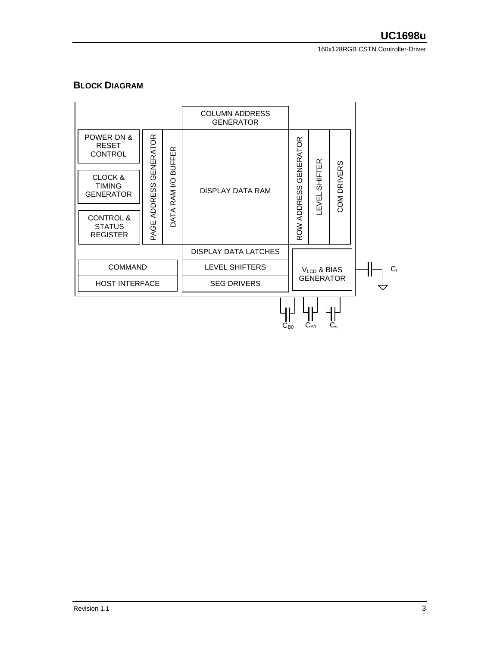160x128RGB CSTN Controller-Driver

## **BLOCK DIAGRAM**

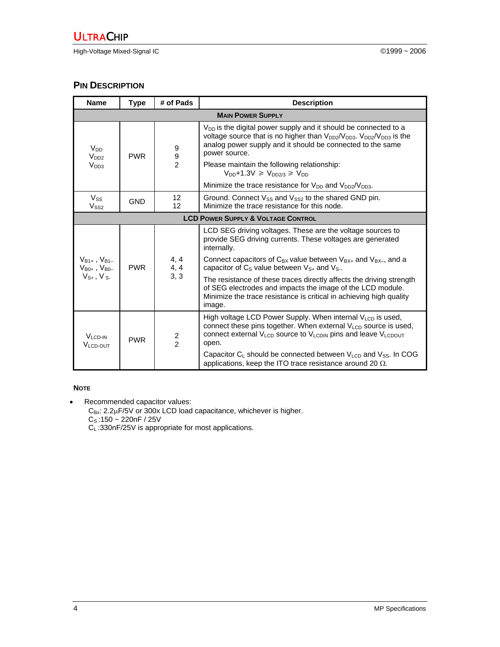## **PIN DESCRIPTION**

| <b>Name</b>                                    | <b>Type</b>                                   | # of Pads               | <b>Description</b>                                                                                                                                                                                                                               |  |  |  |  |  |  |  |  |
|------------------------------------------------|-----------------------------------------------|-------------------------|--------------------------------------------------------------------------------------------------------------------------------------------------------------------------------------------------------------------------------------------------|--|--|--|--|--|--|--|--|
|                                                | <b>MAIN POWER SUPPLY</b>                      |                         |                                                                                                                                                                                                                                                  |  |  |  |  |  |  |  |  |
| V <sub>DD</sub><br>V <sub>DD2</sub>            | <b>PWR</b>                                    | 9<br>$\boldsymbol{9}$   | V <sub>DD</sub> is the digital power supply and it should be connected to a<br>voltage source that is no higher than $V_{DD2}/V_{DD3}$ . $V_{DD2}/V_{DD3}$ is the<br>analog power supply and it should be connected to the same<br>power source. |  |  |  |  |  |  |  |  |
| V <sub>DD3</sub>                               |                                               | $\overline{2}$          | Please maintain the following relationship:<br>$V_{DD}$ +1.3V $\geq V_{DD2/3} \geq V_{DD}$                                                                                                                                                       |  |  |  |  |  |  |  |  |
|                                                |                                               |                         | Minimize the trace resistance for $V_{DD}$ and $V_{DD2}/V_{DD3}$ .                                                                                                                                                                               |  |  |  |  |  |  |  |  |
| $V_{SS}$<br>$V_{SS2}$                          | <b>GND</b>                                    | 12<br>$12 \overline{ }$ | Ground. Connect $V_{SS}$ and $V_{SS2}$ to the shared GND pin.<br>Minimize the trace resistance for this node.                                                                                                                                    |  |  |  |  |  |  |  |  |
|                                                | <b>LCD POWER SUPPLY &amp; VOLTAGE CONTROL</b> |                         |                                                                                                                                                                                                                                                  |  |  |  |  |  |  |  |  |
|                                                |                                               |                         | LCD SEG driving voltages. These are the voltage sources to<br>provide SEG driving currents. These voltages are generated<br>internally.                                                                                                          |  |  |  |  |  |  |  |  |
| $V_{B1+}$ , $V_{B1-}$<br>$V_{B0+}$ , $V_{B0-}$ | <b>PWR</b>                                    | 4, 4<br>4, 4<br>3, 3    | Connect capacitors of $C_{BX}$ value between $V_{BX+}$ and $V_{BX-}$ , and a<br>capacitor of C <sub>s</sub> value between V <sub>S+</sub> and V <sub>S-</sub> .                                                                                  |  |  |  |  |  |  |  |  |
| $V_{S+}$ , $V_{S-}$                            |                                               |                         | The resistance of these traces directly affects the driving strength<br>of SEG electrodes and impacts the image of the LCD module.<br>Minimize the trace resistance is critical in achieving high quality<br>image.                              |  |  |  |  |  |  |  |  |
| V <sub>LCD-IN</sub><br>V <sub>LCD-OUT</sub>    | <b>PWR</b>                                    | $\frac{2}{2}$           | High voltage LCD Power Supply. When internal $V_{LCD}$ is used,<br>connect these pins together. When external V <sub>LCD</sub> source is used,<br>connect external $V_{LCD}$ source to $V_{LCDIN}$ pins and leave $V_{LCDOUT}$<br>open.          |  |  |  |  |  |  |  |  |
|                                                |                                               |                         | Capacitor $C_L$ should be connected between $V_{LCD}$ and $V_{SS}$ . In COG<br>applications, keep the ITO trace resistance around 20 $\Omega$ .                                                                                                  |  |  |  |  |  |  |  |  |

#### **NOTE**

• Recommended capacitor values:

 $C_{Bx}: 2.2\mu$ F/5V or 300x LCD load capacitance, whichever is higher.  $C_S$ :150 ~ 220nF / 25V

 $C_L$ :330nF/25V is appropriate for most applications.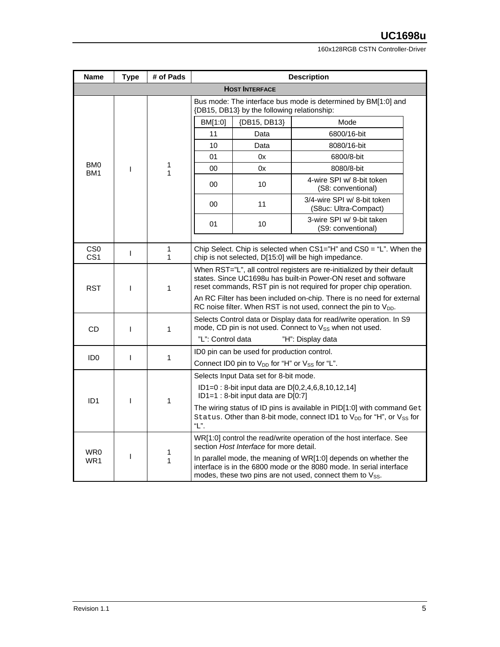160x128RGB CSTN Controller-Driver

| <b>Name</b>                        | <b>Type</b> | # of Pads         | <b>Description</b>                                                                                                                                                                                                                                                                       |                                                                                                                                                             |                                                                                                                                                                                                    |             |  |    |    |            |  |  |  |
|------------------------------------|-------------|-------------------|------------------------------------------------------------------------------------------------------------------------------------------------------------------------------------------------------------------------------------------------------------------------------------------|-------------------------------------------------------------------------------------------------------------------------------------------------------------|----------------------------------------------------------------------------------------------------------------------------------------------------------------------------------------------------|-------------|--|----|----|------------|--|--|--|
|                                    |             |                   | <b>HOST INTERFACE</b>                                                                                                                                                                                                                                                                    |                                                                                                                                                             |                                                                                                                                                                                                    |             |  |    |    |            |  |  |  |
|                                    |             |                   | Bus mode: The interface bus mode is determined by BM[1:0] and<br>{DB15, DB13} by the following relationship:                                                                                                                                                                             |                                                                                                                                                             |                                                                                                                                                                                                    |             |  |    |    |            |  |  |  |
|                                    |             | 1<br>1            | BM[1:0]                                                                                                                                                                                                                                                                                  | {DB15, DB13}                                                                                                                                                | Mode                                                                                                                                                                                               |             |  |    |    |            |  |  |  |
|                                    |             |                   | 11                                                                                                                                                                                                                                                                                       | Data                                                                                                                                                        | 6800/16-bit                                                                                                                                                                                        |             |  |    |    |            |  |  |  |
|                                    |             |                   |                                                                                                                                                                                                                                                                                          | 10                                                                                                                                                          | Data                                                                                                                                                                                               | 8080/16-bit |  |    |    |            |  |  |  |
|                                    |             |                   |                                                                                                                                                                                                                                                                                          |                                                                                                                                                             |                                                                                                                                                                                                    |             |  | 01 | 0x | 6800/8-bit |  |  |  |
| BM <sub>0</sub><br>BM <sub>1</sub> | T           |                   |                                                                                                                                                                                                                                                                                          | 00                                                                                                                                                          | 0x                                                                                                                                                                                                 | 8080/8-bit  |  |    |    |            |  |  |  |
|                                    |             |                   | 00                                                                                                                                                                                                                                                                                       | 10                                                                                                                                                          | 4-wire SPI w/ 8-bit token<br>(S8: conventional)                                                                                                                                                    |             |  |    |    |            |  |  |  |
|                                    |             |                   | 00                                                                                                                                                                                                                                                                                       | 11                                                                                                                                                          | 3/4-wire SPI w/ 8-bit token<br>(S8uc: Ultra-Compact)                                                                                                                                               |             |  |    |    |            |  |  |  |
|                                    |             |                   | 01                                                                                                                                                                                                                                                                                       | 10                                                                                                                                                          | 3-wire SPI w/ 9-bit taken<br>(S9: conventional)                                                                                                                                                    |             |  |    |    |            |  |  |  |
|                                    |             |                   |                                                                                                                                                                                                                                                                                          |                                                                                                                                                             |                                                                                                                                                                                                    |             |  |    |    |            |  |  |  |
| CS <sub>0</sub><br>CS <sub>1</sub> | T           | $\mathbf{1}$<br>1 |                                                                                                                                                                                                                                                                                          |                                                                                                                                                             | Chip Select. Chip is selected when $CS1="H"$ and $CS0 = "L".$ When the<br>chip is not selected, D[15:0] will be high impedance.                                                                    |             |  |    |    |            |  |  |  |
| <b>RST</b>                         | ı           | 1                 | When RST="L", all control registers are re-initialized by their default<br>states. Since UC1698u has built-in Power-ON reset and software<br>reset commands, RST pin is not required for proper chip operation.<br>An RC Filter has been included on-chip. There is no need for external |                                                                                                                                                             |                                                                                                                                                                                                    |             |  |    |    |            |  |  |  |
|                                    |             |                   | RC noise filter. When RST is not used, connect the pin to $V_{DD}$ .                                                                                                                                                                                                                     |                                                                                                                                                             |                                                                                                                                                                                                    |             |  |    |    |            |  |  |  |
| <b>CD</b>                          | T           | $\mathbf{1}$      | "L": Control data                                                                                                                                                                                                                                                                        |                                                                                                                                                             | Selects Control data or Display data for read/write operation. In S9<br>mode, CD pin is not used. Connect to V <sub>SS</sub> when not used.<br>"H": Display data                                   |             |  |    |    |            |  |  |  |
|                                    |             |                   |                                                                                                                                                                                                                                                                                          |                                                                                                                                                             |                                                                                                                                                                                                    |             |  |    |    |            |  |  |  |
| ID <sub>0</sub>                    | T           | 1                 |                                                                                                                                                                                                                                                                                          | ID0 pin can be used for production control.<br>Connect ID0 pin to $V_{DD}$ for "H" or $V_{SS}$ for "L".                                                     |                                                                                                                                                                                                    |             |  |    |    |            |  |  |  |
|                                    |             |                   |                                                                                                                                                                                                                                                                                          | Selects Input Data set for 8-bit mode.                                                                                                                      |                                                                                                                                                                                                    |             |  |    |    |            |  |  |  |
|                                    |             |                   |                                                                                                                                                                                                                                                                                          |                                                                                                                                                             | ID1=0 : 8-bit input data are D[0,2,4,6,8,10,12,14]                                                                                                                                                 |             |  |    |    |            |  |  |  |
| ID <sub>1</sub>                    | ı           | $\mathbf{1}$      |                                                                                                                                                                                                                                                                                          | ID1=1 : 8-bit input data are D[0:7]                                                                                                                         |                                                                                                                                                                                                    |             |  |    |    |            |  |  |  |
|                                    |             |                   | "L".                                                                                                                                                                                                                                                                                     | The wiring status of ID pins is available in PID[1:0] with command Get<br>Status. Other than 8-bit mode, connect ID1 to V <sub>DD</sub> for "H", or Vss for |                                                                                                                                                                                                    |             |  |    |    |            |  |  |  |
| WR0                                |             |                   |                                                                                                                                                                                                                                                                                          | section Host Interface for more detail.                                                                                                                     | WR[1:0] control the read/write operation of the host interface. See                                                                                                                                |             |  |    |    |            |  |  |  |
| WR1                                | I           | 1<br>1            |                                                                                                                                                                                                                                                                                          |                                                                                                                                                             | In parallel mode, the meaning of WR[1:0] depends on whether the<br>interface is in the 6800 mode or the 8080 mode. In serial interface<br>modes, these two pins are not used, connect them to Vss. |             |  |    |    |            |  |  |  |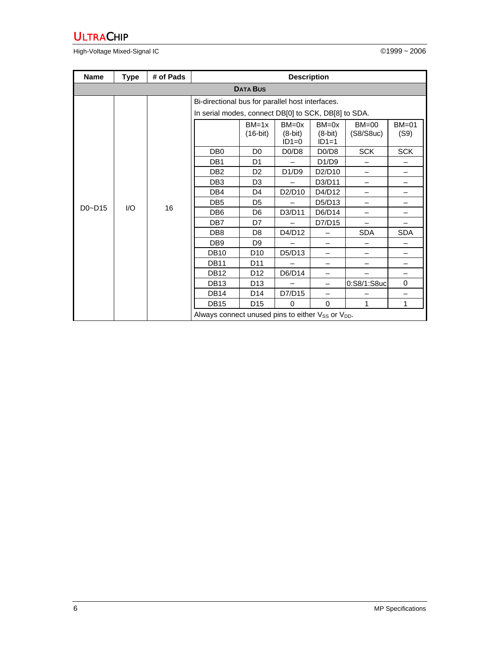High-Voltage Mixed-Signal IC **Development Controller Controller** Controller Controller Controller Controller Controller Controller Controller Controller Controller Controller Controller Controller Controller Controller Con

| <b>Name</b>     | <b>Type</b> | # of Pads | <b>Description</b>                                                        |                     |                                   |                                   |                        |                      |  |  |  |  |  |  |
|-----------------|-------------|-----------|---------------------------------------------------------------------------|---------------------|-----------------------------------|-----------------------------------|------------------------|----------------------|--|--|--|--|--|--|
| <b>DATA BUS</b> |             |           |                                                                           |                     |                                   |                                   |                        |                      |  |  |  |  |  |  |
|                 |             |           | Bi-directional bus for parallel host interfaces.                          |                     |                                   |                                   |                        |                      |  |  |  |  |  |  |
|                 |             |           | In serial modes, connect DB[0] to SCK, DB[8] to SDA.                      |                     |                                   |                                   |                        |                      |  |  |  |  |  |  |
|                 |             |           |                                                                           | $BM=1x$<br>(16-bit) | $BM = 0x$<br>$(8-bit)$<br>$ID1=0$ | $BM = 0x$<br>$(8-bit)$<br>$ID1=1$ | $BM = 00$<br>(S8/S8uc) | <b>BM=01</b><br>(S9) |  |  |  |  |  |  |
|                 |             |           | DB <sub>0</sub>                                                           | D <sub>0</sub>      | D <sub>0</sub> /D <sub>8</sub>    | D <sub>0</sub> /D <sub>8</sub>    | <b>SCK</b>             | <b>SCK</b>           |  |  |  |  |  |  |
|                 |             |           | DB <sub>1</sub>                                                           | D <sub>1</sub>      |                                   | D1/D9                             |                        |                      |  |  |  |  |  |  |
|                 |             | 16        | D <sub>B2</sub>                                                           | D <sub>2</sub>      | D1/D9                             | D2/D10                            |                        |                      |  |  |  |  |  |  |
|                 |             |           | DB <sub>3</sub>                                                           | D <sub>3</sub>      |                                   | D3/D11                            |                        |                      |  |  |  |  |  |  |
|                 |             |           | DB4                                                                       | D <sub>4</sub>      | D2/D10                            | D4/D12                            |                        |                      |  |  |  |  |  |  |
|                 |             |           | DB <sub>5</sub>                                                           | D <sub>5</sub>      |                                   | D5/D13                            |                        |                      |  |  |  |  |  |  |
| $D0 - D15$      | I/O         |           | DB <sub>6</sub>                                                           | D <sub>6</sub>      | D3/D11                            | D6/D14                            |                        |                      |  |  |  |  |  |  |
|                 |             |           | DB <sub>7</sub>                                                           | D7                  |                                   | D7/D15                            |                        |                      |  |  |  |  |  |  |
|                 |             |           | DB <sub>8</sub>                                                           | D <sub>8</sub>      | D4/D12                            |                                   | <b>SDA</b>             | SDA                  |  |  |  |  |  |  |
|                 |             |           | DB <sub>9</sub>                                                           | D <sub>9</sub>      |                                   |                                   |                        |                      |  |  |  |  |  |  |
|                 |             |           |                                                                           |                     |                                   | <b>DB10</b>                       | D <sub>10</sub>        | D5/D13               |  |  |  |  |  |  |
|                 |             |           | <b>DB11</b>                                                               | D <sub>11</sub>     |                                   |                                   |                        |                      |  |  |  |  |  |  |
|                 |             |           | <b>DB12</b>                                                               | D <sub>12</sub>     | D6/D14                            |                                   |                        |                      |  |  |  |  |  |  |
|                 |             |           | <b>DB13</b>                                                               | D <sub>13</sub>     |                                   |                                   | 0:S8/1:S8uc            | 0                    |  |  |  |  |  |  |
|                 |             |           | <b>DB14</b>                                                               | D <sub>14</sub>     | D7/D15                            |                                   |                        |                      |  |  |  |  |  |  |
|                 |             |           | <b>DB15</b>                                                               | D <sub>15</sub>     | 0                                 | $\Omega$                          | 1                      | 1                    |  |  |  |  |  |  |
|                 |             |           | Always connect unused pins to either V <sub>SS</sub> or V <sub>DD</sub> . |                     |                                   |                                   |                        |                      |  |  |  |  |  |  |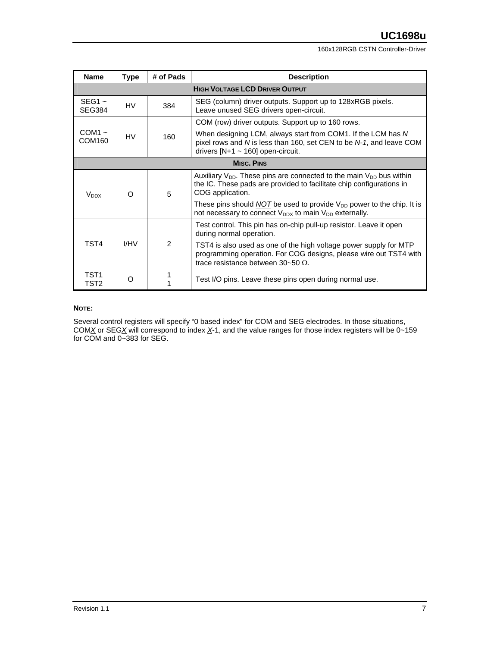160x128RGB CSTN Controller-Driver

| <b>Name</b>                           | Type              | # of Pads | <b>Description</b>                                                                                                                                                            |  |  |  |  |  |  |  |
|---------------------------------------|-------------------|-----------|-------------------------------------------------------------------------------------------------------------------------------------------------------------------------------|--|--|--|--|--|--|--|
| <b>HIGH VOLTAGE LCD DRIVER OUTPUT</b> |                   |           |                                                                                                                                                                               |  |  |  |  |  |  |  |
| $SEG1 -$<br><b>SEG384</b>             | HV                | 384       | SEG (column) driver outputs. Support up to 128xRGB pixels.<br>Leave unused SEG drivers open-circuit.                                                                          |  |  |  |  |  |  |  |
|                                       |                   |           | COM (row) driver outputs. Support up to 160 rows.                                                                                                                             |  |  |  |  |  |  |  |
| $COM1 -$<br>COM160                    | HV                | 160       | When designing LCM, always start from COM1. If the LCM has N<br>pixel rows and N is less than 160, set CEN to be N-1, and leave COM<br>drivers $[N+1 \sim 160]$ open-circuit. |  |  |  |  |  |  |  |
|                                       | <b>MISC. PINS</b> |           |                                                                                                                                                                               |  |  |  |  |  |  |  |
| <b>V</b> <sub>DDX</sub>               | O                 | 5         | Auxiliary $V_{DD}$ . These pins are connected to the main $V_{DD}$ bus within<br>the IC. These pads are provided to facilitate chip configurations in<br>COG application.     |  |  |  |  |  |  |  |
|                                       |                   |           | These pins should $\overline{NOT}$ be used to provide $V_{DD}$ power to the chip. It is<br>not necessary to connect $V_{DDX}$ to main $V_{DD}$ externally.                    |  |  |  |  |  |  |  |
|                                       |                   |           | Test control. This pin has on-chip pull-up resistor. Leave it open<br>during normal operation.                                                                                |  |  |  |  |  |  |  |
| TST4                                  | I/HV              | 2         | TST4 is also used as one of the high voltage power supply for MTP<br>programming operation. For COG designs, please wire out TST4 with<br>trace resistance between 30~50 Ω.   |  |  |  |  |  |  |  |
| TST1<br>TST2                          | O                 |           | Test I/O pins. Leave these pins open during normal use.                                                                                                                       |  |  |  |  |  |  |  |

#### **NOTE:**

Several control registers will specify "0 based index" for COM and SEG electrodes. In those situations, COM*X* or SEG*X* will correspond to index *X*-1, and the value ranges for those index registers will be 0~159 for COM and 0~383 for SEG.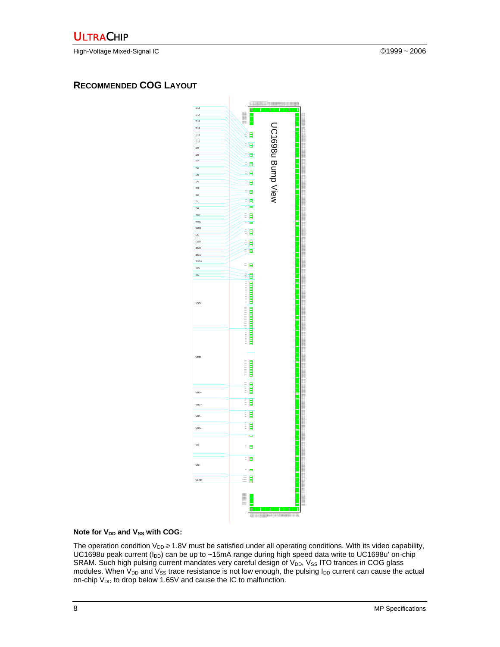High-Voltage Mixed-Signal IC ©1999 ~ 2006

## **RECOMMENDED COG LAYOUT**



#### Note for V<sub>DD</sub> and V<sub>SS</sub> with COG:

The operation condition  $V_{DD} \geq 1.8V$  must be satisfied under all operating conditions. With its video capability, UC1698u peak current ( $I_{DD}$ ) can be up to ~15mA range during high speed data write to UC1698u' on-chip SRAM. Such high pulsing current mandates very careful design of V<sub>DD</sub>, V<sub>SS</sub> ITO trances in COG glass modules. When  $V_{DD}$  and  $V_{SS}$  trace resistance is not low enough, the pulsing  $I_{DD}$  current can cause the actual on-chip  $V_{DD}$  to drop below 1.65V and cause the IC to malfunction.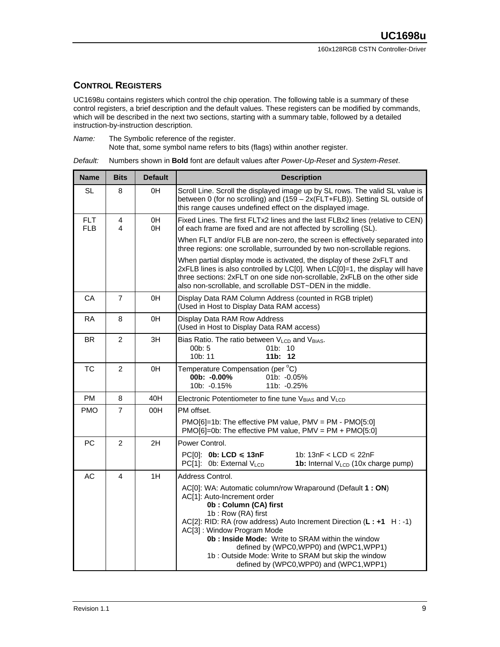## **CONTROL REGISTERS**

UC1698u contains registers which control the chip operation. The following table is a summary of these control registers, a brief description and the default values. These registers can be modified by commands, which will be described in the next two sections, starting with a summary table, followed by a detailed instruction-by-instruction description.

*Name:* The Symbolic reference of the register.

Note that, some symbol name refers to bits (flags) within another register.

*Default:* Numbers shown in **Bold** font are default values after *Power-Up-Reset* and *System-Reset*.

| <b>Name</b>              | <b>Bits</b>    | <b>Default</b> | <b>Description</b>                                                                                                                                                                                                                                                                                                                                                                                                                                            |  |  |  |  |  |  |
|--------------------------|----------------|----------------|---------------------------------------------------------------------------------------------------------------------------------------------------------------------------------------------------------------------------------------------------------------------------------------------------------------------------------------------------------------------------------------------------------------------------------------------------------------|--|--|--|--|--|--|
| SL                       | 8              | 0H             | Scroll Line. Scroll the displayed image up by SL rows. The valid SL value is<br>between 0 (for no scrolling) and (159 - 2x(FLT+FLB)). Setting SL outside of<br>this range causes undefined effect on the displayed image.                                                                                                                                                                                                                                     |  |  |  |  |  |  |
| <b>FLT</b><br><b>FLB</b> | 4<br>4         | 0H<br>0H       | Fixed Lines. The first FLTx2 lines and the last FLBx2 lines (relative to CEN)<br>of each frame are fixed and are not affected by scrolling (SL).                                                                                                                                                                                                                                                                                                              |  |  |  |  |  |  |
|                          |                |                | When FLT and/or FLB are non-zero, the screen is effectively separated into<br>three regions: one scrollable, surrounded by two non-scrollable regions.                                                                                                                                                                                                                                                                                                        |  |  |  |  |  |  |
|                          |                |                | When partial display mode is activated, the display of these 2xFLT and<br>2xFLB lines is also controlled by LC[0]. When LC[0]=1, the display will have<br>three sections: 2xFLT on one side non-scrollable, 2xFLB on the other side<br>also non-scrollable, and scrollable DST~DEN in the middle.                                                                                                                                                             |  |  |  |  |  |  |
| CA                       | 7              | 0H             | Display Data RAM Column Address (counted in RGB triplet)<br>(Used in Host to Display Data RAM access)                                                                                                                                                                                                                                                                                                                                                         |  |  |  |  |  |  |
| <b>RA</b>                | 8              | 0H             | Display Data RAM Row Address<br>(Used in Host to Display Data RAM access)                                                                                                                                                                                                                                                                                                                                                                                     |  |  |  |  |  |  |
| BR.                      | $\overline{c}$ | 3H             | Bias Ratio. The ratio between V <sub>LCD</sub> and V <sub>BIAS</sub> .<br>00 <sub>b</sub> : 5<br>01b: 10<br>11b: 12<br>10b: 11                                                                                                                                                                                                                                                                                                                                |  |  |  |  |  |  |
| TC                       | $\overline{2}$ | 0H             | Temperature Compensation (per °C)<br>$00b: -0.00%$<br>$01b: -0.05\%$<br>10b: -0.15%<br>11b: -0.25%                                                                                                                                                                                                                                                                                                                                                            |  |  |  |  |  |  |
| <b>PM</b>                | 8              | 40H            | Electronic Potentiometer to fine tune V <sub>BIAS</sub> and V <sub>LCD</sub>                                                                                                                                                                                                                                                                                                                                                                                  |  |  |  |  |  |  |
| <b>PMO</b>               | 7              | 00H            | PM offset.                                                                                                                                                                                                                                                                                                                                                                                                                                                    |  |  |  |  |  |  |
|                          |                |                | $PMO[6]=1$ b: The effective PM value, PMV = PM - PMO $[5:0]$<br>$PMO[6]=0$ b: The effective PM value, PMV = PM + PMO[5:0]                                                                                                                                                                                                                                                                                                                                     |  |  |  |  |  |  |
| <b>PC</b>                | $\overline{2}$ | 2H             | Power Control.                                                                                                                                                                                                                                                                                                                                                                                                                                                |  |  |  |  |  |  |
|                          |                |                | $PC[0]$ : 0b: LCD $\leq 13$ nF<br>1b: 13nF < LCD $\leqslant$ 22nF<br>PC[1]: 0b: External V <sub>LCD</sub><br>1b: Internal V <sub>LCD</sub> (10x charge pump)                                                                                                                                                                                                                                                                                                  |  |  |  |  |  |  |
| AC                       | 4              | 1H             | Address Control.                                                                                                                                                                                                                                                                                                                                                                                                                                              |  |  |  |  |  |  |
|                          |                |                | AC[0]: WA: Automatic column/row Wraparound (Default 1 : ON)<br>AC[1]: Auto-Increment order<br>0b: Column (CA) first<br>1b: Row (RA) first<br>AC[2]: RID: RA (row address) Auto Increment Direction $(L : +1 H : -1)$<br>AC[3]: Window Program Mode<br><b>0b : Inside Mode:</b> Write to SRAM within the window<br>defined by (WPC0, WPP0) and (WPC1, WPP1)<br>1b: Outside Mode: Write to SRAM but skip the window<br>defined by (WPC0, WPP0) and (WPC1, WPP1) |  |  |  |  |  |  |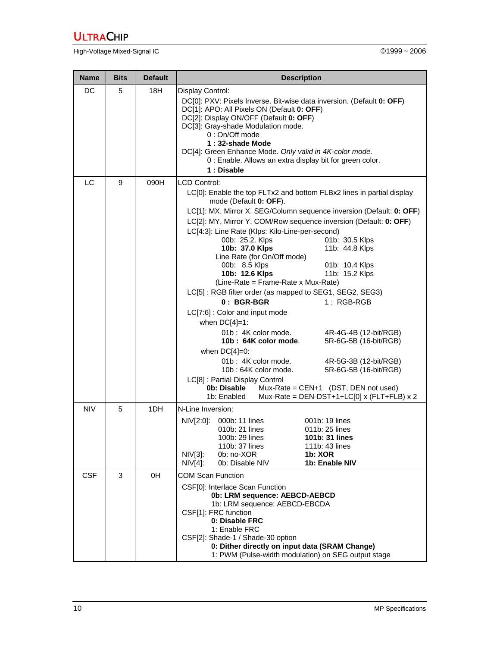High-Voltage Mixed-Signal IC **Development Controller Controller** Controller Controller Controller Controller Controller Controller Controller Controller Controller Controller Controller Controller Controller Controller Con

| <b>Name</b> | <b>Bits</b> | <b>Default</b> | <b>Description</b>                                                                                                                                                                                                                                                                                                                                                                                                                                                                                                                                                                                                                                                                                                                                                                                                                                                                                                                                                                                                                                                    |  |  |  |  |  |  |
|-------------|-------------|----------------|-----------------------------------------------------------------------------------------------------------------------------------------------------------------------------------------------------------------------------------------------------------------------------------------------------------------------------------------------------------------------------------------------------------------------------------------------------------------------------------------------------------------------------------------------------------------------------------------------------------------------------------------------------------------------------------------------------------------------------------------------------------------------------------------------------------------------------------------------------------------------------------------------------------------------------------------------------------------------------------------------------------------------------------------------------------------------|--|--|--|--|--|--|
| DC          | 5           | 18H            | Display Control:<br>DC[0]: PXV: Pixels Inverse. Bit-wise data inversion. (Default 0: OFF)<br>DC[1]: APO: All Pixels ON (Default 0: OFF)<br>DC[2]: Display ON/OFF (Default 0: OFF)<br>DC[3]: Gray-shade Modulation mode.<br>0: On/Off mode<br>1:32-shade Mode<br>DC[4]: Green Enhance Mode. Only valid in 4K-color mode.<br>0 : Enable. Allows an extra display bit for green color.<br>1: Disable                                                                                                                                                                                                                                                                                                                                                                                                                                                                                                                                                                                                                                                                     |  |  |  |  |  |  |
| LC          | 9           | 090H           | LCD Control:<br>LC[0]: Enable the top FLTx2 and bottom FLBx2 lines in partial display<br>mode (Default 0: OFF).<br>LC[1]: MX, Mirror X. SEG/Column sequence inversion (Default: 0: OFF)<br>LC[2]: MY, Mirror Y. COM/Row sequence inversion (Default: 0: OFF)<br>LC[4:3]: Line Rate (Klps: Kilo-Line-per-second)<br>01b: 30.5 Klps<br>00b: 25.2. Klps<br>11b: 44.8 Klps<br>10b: 37.0 Klps<br>Line Rate (for On/Off mode)<br>00b: 8.5 Klps<br>01b: 10.4 Klps<br>11b: 15.2 Klps<br>10b: 12.6 Klps<br>(Line-Rate = Frame-Rate x Mux-Rate)<br>LC[5]: RGB filter order (as mapped to SEG1, SEG2, SEG3)<br>$0: BGR-BGR$<br>$1: RGB-RGB$<br>LC[7:6] : Color and input mode<br>when $DC[4]=1$ :<br>01b: 4K color mode.<br>4R-4G-4B (12-bit/RGB)<br>10b: 64K color mode.<br>5R-6G-5B (16-bit/RGB)<br>when $DC[4]=0$ :<br>01b: 4K color mode.<br>4R-5G-3B (12-bit/RGB)<br>10b: 64K color mode.<br>5R-6G-5B (16-bit/RGB)<br>LC[8] : Partial Display Control<br>0b: Disable<br>$Mux-Rate = CEN+1$ (DST, DEN not used)<br>Mux-Rate = DEN-DST+1+LC[0] x (FLT+FLB) x 2<br>1b: Enabled |  |  |  |  |  |  |
| <b>NIV</b>  | 5           | 1DH            | N-Line Inversion:<br>NIV[2:0]: 000b: 11 lines<br>001b: 19 lines<br>010b: 21 lines<br>011b: 25 lines<br>100b: 29 lines<br>101b: 31 lines<br>110b: 37 lines<br>111b: 43 lines<br>$NIV[3]$ :<br>0b: no-XOR<br>1b: XOR<br>$NIV[4]$ :<br>0b: Disable NIV<br>1b: Enable NIV                                                                                                                                                                                                                                                                                                                                                                                                                                                                                                                                                                                                                                                                                                                                                                                                 |  |  |  |  |  |  |
| <b>CSF</b>  | 3           | 0H             | <b>COM Scan Function</b><br>CSF[0]: Interlace Scan Function<br>0b: LRM sequence: AEBCD-AEBCD<br>1b: LRM sequence: AEBCD-EBCDA<br>CSF[1]: FRC function<br>0: Disable FRC<br>1: Enable FRC<br>CSF[2]: Shade-1 / Shade-30 option<br>0: Dither directly on input data (SRAM Change)<br>1: PWM (Pulse-width modulation) on SEG output stage                                                                                                                                                                                                                                                                                                                                                                                                                                                                                                                                                                                                                                                                                                                                |  |  |  |  |  |  |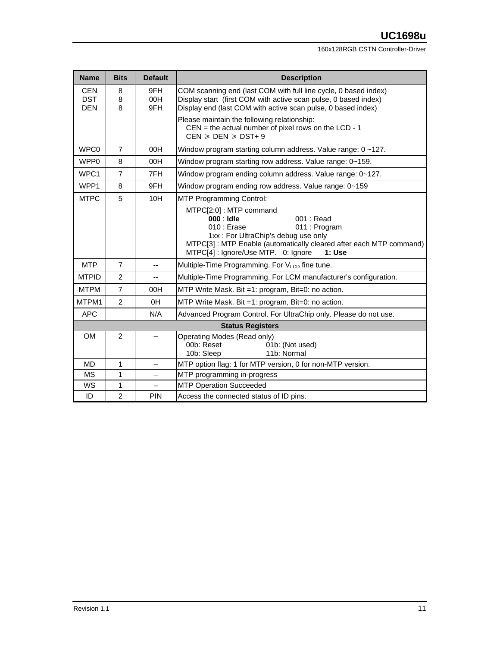#### 160x128RGB CSTN Controller-Driver

| <b>Name</b>                            | <b>Bits</b>    | <b>Default</b>           | <b>Description</b>                                                                                                                                                                                                                                 |
|----------------------------------------|----------------|--------------------------|----------------------------------------------------------------------------------------------------------------------------------------------------------------------------------------------------------------------------------------------------|
| <b>CEN</b><br><b>DST</b><br><b>DEN</b> | 8<br>8<br>8    | 9FH<br>00H<br>9FH        | COM scanning end (last COM with full line cycle, 0 based index)<br>Display start (first COM with active scan pulse, 0 based index)<br>Display end (last COM with active scan pulse, 0 based index)                                                 |
|                                        |                |                          | Please maintain the following relationship:<br>$CEN =$ the actual number of pixel rows on the $LCD - 1$<br>$CEN \geqslant DEN \geqslant DST+9$                                                                                                     |
| WPC0                                   | $\overline{7}$ | 00H                      | Window program starting column address. Value range: 0~127.                                                                                                                                                                                        |
| WPP <sub>0</sub>                       | 8              | 00H                      | Window program starting row address. Value range: 0~159.                                                                                                                                                                                           |
| WPC1                                   | $\overline{7}$ | 7FH                      | Window program ending column address. Value range: 0~127.                                                                                                                                                                                          |
| WPP1                                   | 8              | 9FH                      | Window program ending row address. Value range: 0~159                                                                                                                                                                                              |
| <b>MTPC</b>                            | 5              | 10H                      | <b>MTP Programming Control:</b>                                                                                                                                                                                                                    |
|                                        |                |                          | MTPC[2:0]: MTP command<br>$000:$ Idle<br>$001:$ Read<br>$010:$ Erase<br>011 : Program<br>1xx: For UltraChip's debug use only<br>MTPC[3]: MTP Enable (automatically cleared after each MTP command)<br>MTPC[4]: Ignore/Use MTP. 0: Ignore<br>1: Use |
| <b>MTP</b>                             | $\overline{7}$ | $-$                      | Multiple-Time Programming. For V <sub>LCD</sub> fine tune.                                                                                                                                                                                         |
| <b>MTPID</b>                           | $\overline{2}$ |                          | Multiple-Time Programming. For LCM manufacturer's configuration.                                                                                                                                                                                   |
| <b>MTPM</b>                            | $\overline{7}$ | 00H                      | MTP Write Mask. Bit =1: program, Bit=0: no action.                                                                                                                                                                                                 |
| MTPM1                                  | $\overline{2}$ | 0H                       | MTP Write Mask. Bit =1: program, Bit=0: no action.                                                                                                                                                                                                 |
| <b>APC</b>                             |                | N/A                      | Advanced Program Control. For UltraChip only. Please do not use.                                                                                                                                                                                   |
|                                        |                |                          | <b>Status Registers</b>                                                                                                                                                                                                                            |
| <b>OM</b>                              | $\overline{2}$ |                          | Operating Modes (Read only)<br>00b: Reset<br>01b: (Not used)<br>11b: Normal<br>10b: Sleep                                                                                                                                                          |
| <b>MD</b>                              | 1              | $\overline{\phantom{0}}$ | MTP option flag: 1 for MTP version, 0 for non-MTP version.                                                                                                                                                                                         |
| <b>MS</b>                              | 1              |                          | MTP programming in-progress                                                                                                                                                                                                                        |
| WS                                     | 1              |                          | <b>MTP Operation Succeeded</b>                                                                                                                                                                                                                     |
| ID                                     | $\overline{2}$ | <b>PIN</b>               | Access the connected status of ID pins.                                                                                                                                                                                                            |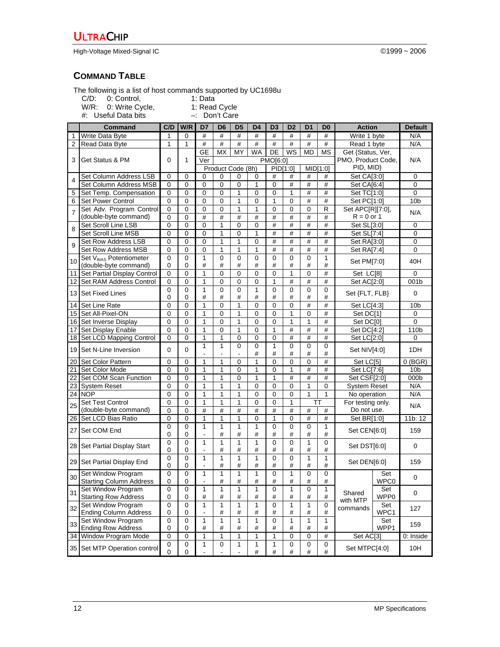High-Voltage Mixed-Signal IC ©1999 ~ 2006

## **COMMAND TABLE**

The following is a list of host commands supported by UC1698u

C/D: 0: Control, 1: Data

W/R: 0: Write Cycle, **1: Read Cycle** 

#: Useful Data bits –: Don't Care

|                 | Command                                                    | C/D          | W/R              | D7                       | D <sub>6</sub>    | D <sub>5</sub> | D <sub>4</sub>    | D <sub>3</sub>   | D <sub>2</sub> | D <sub>1</sub>      | D <sub>0</sub>       | <b>Action</b>               |             | <b>Default</b>  |
|-----------------|------------------------------------------------------------|--------------|------------------|--------------------------|-------------------|----------------|-------------------|------------------|----------------|---------------------|----------------------|-----------------------------|-------------|-----------------|
| 1               | Write Data Byte                                            | 1            | $\mathbf 0$      | #                        | #                 | #              | #                 | #                | #              | #                   | #                    | Write 1 byte                |             | N/A             |
| $\overline{2}$  | Read Data Byte                                             | $\mathbf{1}$ | 1                | #                        | #                 | #              | #                 | #                | #              | #                   | #                    | Read 1 byte                 |             | N/A             |
|                 |                                                            |              |                  | <b>GE</b>                | <b>MX</b>         | MY             | WA                | DE               | WS             | <b>MD</b>           | <b>MS</b>            | Get {Status, Ver,           |             |                 |
| 3               | Get Status & PM                                            | $\Omega$     | 1                | Ver                      |                   |                |                   | PMO[6:0]         |                |                     |                      | PMO, Product Code,          |             | N/A             |
|                 |                                                            |              |                  |                          | Product Code (8h) |                |                   | PID[1:0]         |                | MID[1:0]            |                      | PID, MID}                   |             | 0               |
| 4               | Set Column Address LSB                                     | 0            | 0                | 0                        | 0                 | 0              | 0                 | #                | #              | #                   | #                    |                             | Set CA[3:0] |                 |
|                 | Set Column Address MSB                                     | 0            | 0                | 0                        | $\mathbf 0$       | 0              | $\mathbf{1}$      | 0                | #              | $\#$                | $\#$                 | Set CA[6:4]                 |             | 0               |
| 5               | Set Temp. Compensation                                     | 0            | 0                | 0                        | 0                 | 1              | 0                 | 0                | 1              | #                   | $\#$                 | Set TC[1:0]                 |             | 0               |
| 6               | Set Power Control                                          | $\mathbf 0$  | 0                | $\mathbf 0$              | 0                 | 1              | 0                 | 1                | 0              | #                   | #                    | Set PC[1:0]                 |             | 10b             |
| $\overline{7}$  | Set Adv. Program Control                                   | $\mathbf 0$  | $\mathbf 0$      | 0                        | $\mathbf 0$       | $\mathbf{1}$   | 1                 | 0                | 0              | 0                   | $\mathsf{R}$         | Set APC[R][7:0],            |             | N/A             |
|                 | (double-byte command)                                      | 0            | $\Omega$         | #                        | #                 | #              | #                 | #                | #              | #                   | #                    | $R = 0$ or 1                |             |                 |
| 8               | Set Scroll Line LSB                                        | 0            | 0                | $\mathbf 0$              | 1                 | 0              | 0                 | #                | #              | #                   | #                    | Set SL[3:0]                 |             | 0               |
|                 | Set Scroll Line MSB                                        | 0            | $\mathbf 0$      | $\mathbf 0$              | $\mathbf{1}$      | 0              | $\mathbf{1}$      | #                | #<br>#         | #                   | #<br>#               | Set SL[7:4]                 |             | 0               |
| 9               | Set Row Address LSB                                        | 0            | 0                | $\mathbf 0$              | 1                 | 1              | 0                 | #                | #              | #                   |                      | Set RA[3:0]                 |             | 0               |
|                 | Set Row Address MSB<br>Set V <sub>BIAS</sub> Potentiometer | 0<br>0       | 0<br>$\mathbf 0$ | 0<br>$\mathbf{1}$        | 1<br>$\mathbf 0$  | 1<br>0         | $\mathbf{1}$<br>0 | #<br>$\mathbf 0$ | 0              | #<br>$\overline{0}$ | $\#$<br>$\mathbf{1}$ | Set RA[7:4]                 |             | 0               |
| 10              | (double-byte command)                                      | 0            | 0                | #                        | #                 | #              | #                 | #                | #              | #                   | #                    | Set PM[7:0]                 |             | 40H             |
| 11              | Set Partial Display Control                                | 0            | 0                | 1                        | 0                 | 0              | $\mathbf 0$       | 0                | 1              | 0                   | #                    | Set LC[8]                   |             | 0               |
| 12              | Set RAM Address Control                                    | 0            | 0                | 1                        | 0                 | 0              | 0                 | 1                | #              | #                   | $\#$                 | Set AC[2:0]                 |             | 001b            |
|                 |                                                            | 0            | $\mathbf 0$      | $\mathbf{1}$             | $\mathbf 0$       | 0              | $\mathbf{1}$      | $\mathbf 0$      | 0              | 0                   | $\mathbf 0$          |                             |             |                 |
| 13 <sup>1</sup> | <b>Set Fixed Lines</b>                                     | 0            | 0                | #                        | #                 | #              | #                 | #                | #              | #                   | #                    | Set {FLT, FLB}              |             | 0               |
| 14              | Set Line Rate                                              | 0            | 0                | 1                        | 0                 | 1              | 0                 | 0                | 0              | #                   | $\#$                 | Set LC[4:3]                 |             | 10b             |
| 15              | Set All-Pixel-ON                                           | 0            | 0                | 1                        | 0                 | 1              | 0                 | 0                | 1              | 0                   | $\#$                 | Set DC[1]                   |             | 0               |
| 16              | Set Inverse Display                                        | 0            | $\mathbf 0$      | $\mathbf{1}$             | $\mathbf 0$       | $\mathbf{1}$   | 0                 | 0                | $\mathbf{1}$   | 1                   | #                    | Set DC[0]                   |             | 0               |
| 17              | Set Display Enable                                         | 0            | 0                | 1                        | 0                 | 1              | 0                 | 1                | #              | #                   | #                    | Set DC[4:2]                 |             | 110b            |
| 18              | Set LCD Mapping Control                                    | 0            | 0                | 1                        | 1                 | 0              | 0                 | 0                | #              | #                   | #                    | Set LC[2:0]                 |             | 0               |
| 19              | Set N-Line Inversion                                       | 0            | 0                | $\mathbf{1}$             | 1                 | 0              | 0                 | $\mathbf{1}$     | 0              | 0                   | 0                    | Set NIV[4:0]                |             | 1DH             |
|                 |                                                            |              |                  |                          |                   |                | #                 | #                | #              | #                   | #                    |                             |             |                 |
| 20              | Set Color Pattern                                          | 0            | 0                | 1                        | 1                 | 0              | 1                 | 0                | 0              | 0                   | #                    | Set LC[5]                   |             | $0$ (BGR)       |
| 21              | Set Color Mode                                             | 0            | 0                | 1                        | 1                 | 0              | 1                 | 0                | 1              | #                   | #                    | Set LC[7:6]                 |             | 10 <sub>b</sub> |
| 22              | Set COM Scan Function                                      | 0            | 0                | 1                        | 1                 | 0              | 1                 | 1                | #              | #                   | #                    | Set CSF[2:0]                |             | 000b            |
| 23              | <b>System Reset</b>                                        | 0            | 0                | 1                        | 1                 | 1              | 0                 | 0                | 0              | 1                   | 0                    | <b>System Reset</b>         |             | N/A             |
| $\overline{24}$ | <b>NOP</b>                                                 | 0            | 0                | 1                        | 1                 | 1              | 0                 | 0                | 0              | 1                   | $\mathbf{1}$         | No operation                |             | N/A             |
| 25              | Set Test Control                                           | $\Omega$     | 0                | 1                        | 1                 | 1              | 0                 | $\mathbf 0$      | 1              | TT                  |                      | For testing only.           |             | N/A             |
|                 | (double-byte command)                                      | 0            | 0                | #                        | #                 | #              | #                 | #                | #              | $\#$                | #                    | Do not use.                 |             |                 |
| 26              | Set LCD Bias Ratio                                         | 0            | $\mathbf 0$      | 1                        | 1                 | 1              | 0                 | 1                | 0              | #                   | #                    | Set BR[1:0]                 |             | 11b: 12         |
| 27              | Set COM End                                                | 0            | 0                | $\mathbf{1}$             | 1                 | 1              | 1                 | 0                | 0              | 0                   | 1                    | Set CEN[6:0]                |             | 159             |
|                 |                                                            | 0            | 0                | $\blacksquare$           | #                 | #              | #                 | #                | #              | #                   | $\#$                 |                             |             |                 |
| 28 I            | Set Partial Display Start                                  | 0<br>0       | 0<br>0           | 1<br>L,                  | 1<br>#            | 1<br>#         | 1<br>#            | 0<br>#           | 0<br>#         | 1<br>#              | 0<br>#               | Set DST[6:0]                |             | 0               |
|                 |                                                            | 0            | 0                | $\mathbf{1}$             | 1                 | 1              | 1                 | 0                | 0              | 1                   | 1                    |                             |             |                 |
|                 | 29 Set Partial Display End                                 | 0            | 0                | $\overline{\phantom{a}}$ | #                 | #              | #                 | #                | #              | #                   | #                    | Set DEN[6:0]                |             | 159             |
|                 | Set Window Program                                         | 0            | 0                | 1                        | $\mathbf{1}$      | $\mathbf{1}$   | $\mathbf{1}$      | 0                | 1              | 0                   | 0                    |                             | Set         |                 |
| 30              | <b>Starting Column Address</b>                             | 0            | 0                | L,                       | #                 | #              | $\#$              | #                | #              | $\#$                | $\#$                 |                             | WPC0        | 0               |
| 31              | Set Window Program                                         | 0            | 0                | 1                        | $\overline{1}$    | $\overline{1}$ | $\overline{1}$    | 0                | 1              | 0                   | $\overline{1}$       |                             | Set         | 0               |
|                 | <b>Starting Row Address</b>                                | 0            | 0                | $\#$                     | #                 | #              | #                 | #                | #              | #                   | $\#$                 | Shared<br>WPP0              |             |                 |
| 32              | Set Window Program                                         | $\mathbf 0$  | 0                | $\mathbf{1}$             | 1                 | 1              | 1                 | $\mathbf 0$      | 1              | 1                   | 0                    | with MTP<br>Set<br>commands |             | 127             |
|                 | <b>Ending Column Address</b>                               | 0            | 0                | $\overline{a}$           | $\#$              | $\#$           | #                 | #                | #              | #                   | $\#$                 | WPC1                        |             |                 |
| 33              | Set Window Program                                         | 0            | 0                | 1                        | 1                 | 1              | 1                 | 0                | 1              | 1                   | 1                    |                             | Set         | 159             |
|                 | <b>Ending Row Address</b>                                  | 0            | 0                | $\#$                     | #                 | #              | $\#$              | #                | #              | $\#$                | $\#$                 |                             | WPP1        |                 |
|                 | 34 Window Program Mode                                     | 0            | 0                | 1                        | 1                 | 1              | 1                 | 1                | 0              | 0                   | $\#$                 | Set AC[3]                   |             | 0: Inside       |
|                 | 35 Set MTP Operation control                               | 0<br>0       | 0<br>0           | 1                        | $\pmb{0}$         | 1              | 1<br>$\#$         | 1<br>#           | 0<br>$\#$      | 0<br>#              | 0<br>$\#$            | Set MTPC[4:0]               |             | 10H             |
|                 |                                                            |              |                  |                          |                   |                |                   |                  |                |                     |                      |                             |             |                 |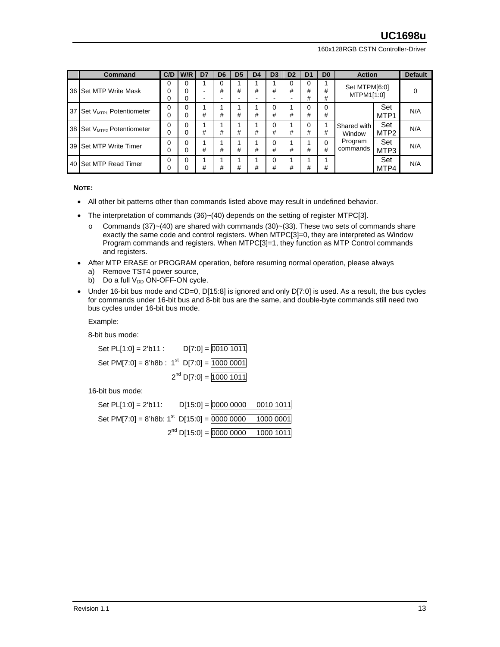160x128RGB CSTN Controller-Driver

|                 | <b>Command</b>                         | C/D    | W/R                | D7                  | D <sub>6</sub> | D <sub>5</sub> | D <sub>4</sub> | D <sub>3</sub> | D <sub>2</sub> | D1          | D <sub>0</sub> | <b>Action</b>               |                         | <b>Default</b> |
|-----------------|----------------------------------------|--------|--------------------|---------------------|----------------|----------------|----------------|----------------|----------------|-------------|----------------|-----------------------------|-------------------------|----------------|
|                 | 36 Set MTP Write Mask                  | 0<br>0 | 0<br>0<br>$\Omega$ | -<br>$\blacksquare$ | o<br>#         | #              | #              | #              | o<br>#         | 0<br>#<br># | #<br>#         | Set MTPM[6:0]<br>MTPM1[1:0] |                         |                |
| 37 <sup>1</sup> | Set V <sub>MTP1</sub> Potentiometer    | 0<br>0 | 0<br>0             | #                   | #              | #              | #              | 0<br>#         | #              | 0<br>#      | 0<br>#         |                             | Set<br>MTP <sub>1</sub> | N/A            |
|                 | 38 Set V <sub>MTP2</sub> Potentiometer | U<br>0 | $\Omega$<br>0      | #                   | #              | #              | #              | 0<br>#         | #              | 0<br>#      | #              | Shared with<br>Window       | Set<br>MTP <sub>2</sub> | N/A            |
|                 | 39 Set MTP Write Timer                 | 0      | $\Omega$<br>0      | #                   | #              | #              | #              | 0<br>#         | #              | #           | $\Omega$<br>#  | Program<br>commands         | Set<br>MTP3             | N/A            |
|                 | 40 Set MTP Read Timer                  |        | 0<br>$\Omega$      | #                   | #              | #              | #              | 0<br>#         | #              | #           | #              | Set<br>MTP4                 |                         | N/A            |

**NOTE:** 

- All other bit patterns other than commands listed above may result in undefined behavior.
- The interpretation of commands (36)~(40) depends on the setting of register MTPC[3].
	- $\circ$  Commands (37)~(40) are shared with commands (30)~(33). These two sets of commands share exactly the same code and control registers. When MTPC[3]=0, they are interpreted as Window Program commands and registers. When MTPC[3]=1, they function as MTP Control commands and registers.
- After MTP ERASE or PROGRAM operation, before resuming normal operation, please always a) Remove TST4 power source,
	- b) Do a full  $V_{DD}$  ON-OFF-ON cycle.
- Under 16-bit bus mode and CD=0, D[15:8] is ignored and only D[7:0] is used. As a result, the bus cycles for commands under 16-bit bus and 8-bit bus are the same, and double-byte commands still need two bus cycles under 16-bit bus mode.

Example:

8-bit bus mode:

| Set PL[1:0] = 2'b11 : | $D[7:0] = 00101011$                                       |
|-----------------------|-----------------------------------------------------------|
|                       | Set PM[7:0] = 8'h8b : $1st$ D[7:0] = $\boxed{1000\,0001}$ |
|                       | $2^{nd}$ D[7:0] = 1000 1011                               |

16-bit bus mode:

| Set $PL[1:0] = 2'b11$ :                                     | $D[15:0] = 0000 0000 0010 1011$        |  |
|-------------------------------------------------------------|----------------------------------------|--|
| Set PM[7:0] = 8'h8b: $1^{st}$ D[15:0] = 0000 0000 1000 0001 |                                        |  |
|                                                             | $2^{nd}$ D[15:0] = 0000 0000 1000 1011 |  |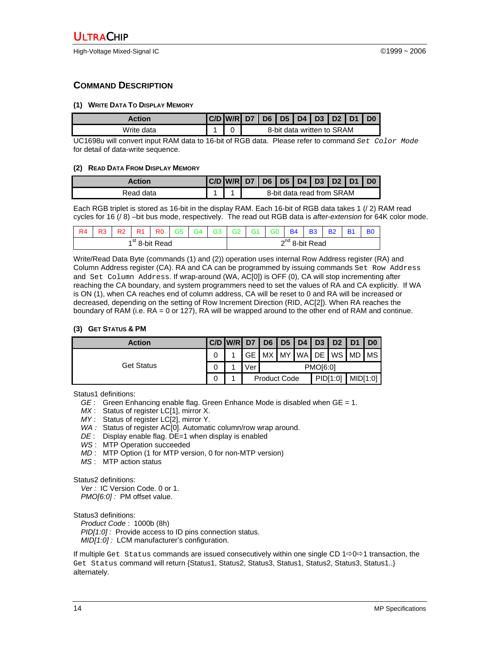## **COMMAND DESCRIPTION**

#### **(1) WRITE DATA TO DISPLAY MEMORY**

| Action     | C/D W/R D7 D6 D5 D4 D3 D2 D1 |                            |  |  |  |  |  |  |  |
|------------|------------------------------|----------------------------|--|--|--|--|--|--|--|
| Write data |                              | 8-bit data written to SRAM |  |  |  |  |  |  |  |

UC1698u will convert input RAM data to 16-bit of RGB data. Please refer to command *Set Color Mode* for detail of data-write sequence.

#### **(2) READ DATA FROM DISPLAY MEMORY**

| Action    | $ C/D $ W/R D7 D6 D5 D4 D3 D2 D1 |                           |  |  |  |  |  |  |  |
|-----------|----------------------------------|---------------------------|--|--|--|--|--|--|--|
| Read data |                                  | 8-bit data read from SRAM |  |  |  |  |  |  |  |

Each RGB triplet is stored as 16-bit in the display RAM. Each 16-bit of RGB data takes 1 (/ 2) RAM read cycles for 16 (/ 8) –bit bus mode, respectively. The read out RGB data is *after-extension* for 64K color mode.

| R <sub>4</sub>             | R <sub>3</sub> | R <sub>2</sub> | R <sub>1</sub> | RO | G <sub>5</sub> | G <sub>4</sub> | G <sub>3</sub> I | G <sub>2</sub>      | $\overline{G}$ 1 | G <sub>0</sub> | <b>B4</b> | <b>B3</b> | <b>B2</b> | <b>B1</b> | B <sub>0</sub> |
|----------------------------|----------------|----------------|----------------|----|----------------|----------------|------------------|---------------------|------------------|----------------|-----------|-----------|-----------|-----------|----------------|
| 1 <sup>st</sup> 8-bit Read |                |                |                |    |                |                |                  | $2^{nd}$ 8-bit Read |                  |                |           |           |           |           |                |

Write/Read Data Byte (commands (1) and (2)) operation uses internal Row Address register (RA) and Column Address register (CA). RA and CA can be programmed by issuing commands Set Row Address and Set Column Address. If wrap-around (WA, AC[0]) is OFF (0), CA will stop incrementing after reaching the CA boundary, and system programmers need to set the values of RA and CA explicitly. If WA is ON (1), when CA reaches end of column address, CA will be reset to 0 and RA will be increased or decreased, depending on the setting of Row Increment Direction (RID, AC[2]). When RA reaches the boundary of RAM (i.e. RA = 0 or 127), RA will be wrapped around to the other end of RAM and continue.

#### **(3) GET STATUS & PM**

| <b>Action</b> | $ C/D $ W/R $ D7 D6 D5 D4 $ |                                 |  |  |  |                 | D3 D2 D1                | $\overline{1}$ D <sub>0</sub> |
|---------------|-----------------------------|---------------------------------|--|--|--|-----------------|-------------------------|-------------------------------|
| Get Status    |                             |                                 |  |  |  |                 | GE MX MY WA DE WS MD MS |                               |
|               |                             | √er                             |  |  |  | <b>PMO[6:0]</b> |                         |                               |
|               |                             | PID[1:0]<br><b>Product Code</b> |  |  |  |                 |                         | MID[1:0]                      |

Status1 definitions:

- *GE* : Green Enhancing enable flag. Green Enhance Mode is disabled when GE = 1.
- *MX* : Status of register LC[1], mirror X.
- *MY* : Status of register LC[2], mirror Y.
- *WA :* Status of register AC[0]. Automatic column/row wrap around.
- *DE* : Display enable flag. DE=1 when display is enabled
- *WS* : MTP Operation succeeded
- *MD* : MTP Option (1 for MTP version, 0 for non-MTP version)
- *MS* : MTP action status

Status2 definitions:

*Ver :* IC Version Code. 0 or 1. *PMO[6:0] :* PM offset value.

Status3 definitions:

*Product Code* : 1000b (8h) *PID[1:0] :* Provide access to ID pins connection status. *MID[1:0] :* LCM manufacturer's configuration.

If multiple Get Status commands are issued consecutively within one single CD  $1\Rightarrow 0\Rightarrow 1$  transaction, the Get Status command will return {Status1, Status2, Status3, Status1, Status2, Status3, Status1..} alternately.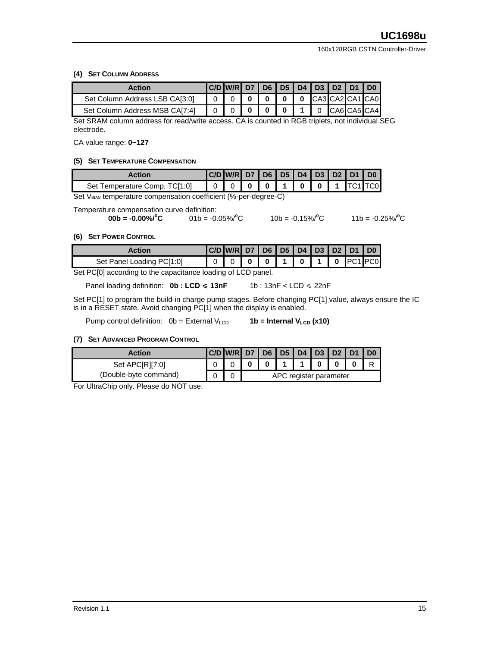#### **(4) SET COLUMN ADDRESS**

| <b>Action</b>                  | C/D W/R D7 D6 D5 D4 D3 D2 D1 |  |  |  | D <sub>0</sub>          |
|--------------------------------|------------------------------|--|--|--|-------------------------|
| Set Column Address LSB CA[3:0] |                              |  |  |  | 0 0 0 0 CA3 CA2 CA1 CA0 |
| Set Column Address MSB CA[7:4] |                              |  |  |  | CA6 CA5 CA4             |

Set SRAM column address for read/write access. CA is counted in RGB triplets, not individual SEG electrode.

CA value range: **0~127**

#### **(5) SET TEMPERATURE COMPENSATION**

| Action                        | C/D W/R D7 D6 D5 D4 D3 D2 D1 D0 |  |          |  |         |  |
|-------------------------------|---------------------------------|--|----------|--|---------|--|
| Set Temperature Comp. TC[1:0] |                                 |  | 00110011 |  | TC1 TC0 |  |

Set VBIAS temperature compensation coefficient (%-per-degree-C)

Temperature compensation curve definition:

$$
00b = -0.00\% / \text{°C}
$$
 01b = -0.05% / °

 $^{\circ}$ C 10b = -0.15%/ $^{\circ}$ C

C  $11b = -0.25\%$ <sup>o</sup>C

#### **(6) SET POWER CONTROL**

| Action                    | C/D W/R D7 D6 D5 D4 D3 D2 D1 D0 |  |  |  |                    |  |
|---------------------------|---------------------------------|--|--|--|--------------------|--|
| Set Panel Loading PC[1:0] |                                 |  |  |  | 0 0 1 0 1 0 1 0 20 |  |

Set PC[0] according to the capacitance loading of LCD panel.

Panel loading definition:  $0b : LCD \le 13nF$  1b :  $13nF < LCD \le 22nF$ 

Set PC[1] to program the build-in charge pump stages. Before changing PC[1] value, always ensure the IC is in a RESET state. Avoid changing PC[1] when the display is enabled.

Pump control definition: 0b = External V<sub>LCD</sub> **1b = Internal V<sub>LCD</sub> (x10)** 

#### **(7) SET ADVANCED PROGRAM CONTROL**

| <b>Action</b>             | C/D W/R D7 D6 D5 D4 D3 D2 D1 |                        |   |  |  |  |  |  |
|---------------------------|------------------------------|------------------------|---|--|--|--|--|--|
| Set APCIRI <sub>7:0</sub> |                              |                        | 0 |  |  |  |  |  |
| (Double-byte command)     |                              | APC register parameter |   |  |  |  |  |  |

For UltraChip only. Please do NOT use.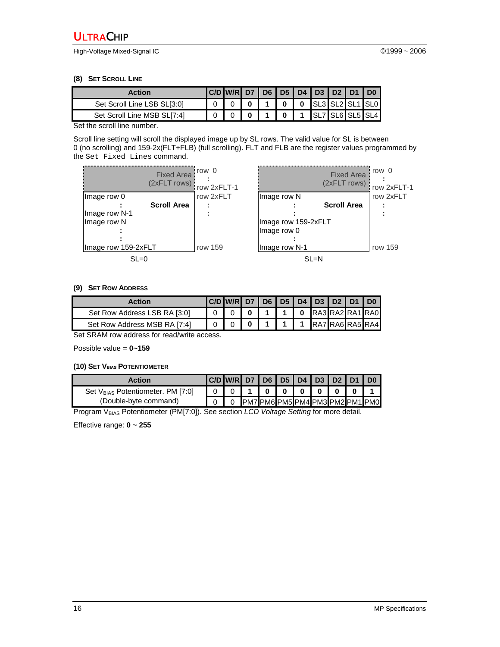High-Voltage Mixed-Signal IC ©1999 ~ 2006

#### **(8) SET SCROLL LINE**

| Action                      | C/D W/R D7 |  |  | D6   D5   D4   D3   D2   D1 |  |                               |
|-----------------------------|------------|--|--|-----------------------------|--|-------------------------------|
| Set Scroll Line LSB SL[3:0] |            |  |  |                             |  | 0   0   SL3   SL2   SL1   SL0 |
| Set Scroll Line MSB SL[7:4] |            |  |  |                             |  | SL7 SL6 SL5 SL4               |

Set the scroll line number.

Scroll line setting will scroll the displayed image up by SL rows. The valid value for SL is between 0 (no scrolling) and 159-2x(FLT+FLB) (full scrolling). FLT and FLB are the register values programmed by the Set Fixed Lines command.

|                      | <b>Fixed Area</b><br>(2xFLT rows) | row 0<br>row 2xFLT-1 |                                   |
|----------------------|-----------------------------------|----------------------|-----------------------------------|
| Image row 0          | <b>Scroll Area</b>                | row 2xFLT            | Image row N                       |
| Image row N-1        |                                   |                      |                                   |
| Image row N          |                                   |                      | Image row 159-2xFL<br>Image row 0 |
|                      |                                   |                      |                                   |
| Ilmage row 159-2xFLT |                                   | row 159              | Image row N-1                     |
| $SL=0$               |                                   |                      |                                   |

|                     | row 0<br>row 2xFLT-1 |           |
|---------------------|----------------------|-----------|
| Image row N         |                      | row 2xFLT |
|                     | <b>Scroll Area</b>   |           |
|                     |                      |           |
| Image row 159-2xFLT |                      |           |
| Image row 0         |                      |           |
|                     |                      |           |
| Image row N-1       |                      | row 159   |
|                     |                      |           |

#### **(9) SET ROW ADDRESS**

| <b>Action</b>                | C/D W/R D7 D6 D5 D4 D3 D2 D1 D0 |  |  |  |                               |
|------------------------------|---------------------------------|--|--|--|-------------------------------|
| Set Row Address LSB RA [3:0] |                                 |  |  |  | 1   0   RA3   RA2   RA1   RA0 |
| Set Row Address MSB RA [7:4] |                                 |  |  |  | 1   1   RA7   RA6   RA5   RA4 |

Set SRAM row address for read/write access.

Possible value = **0~159** 

#### **(10) SET VBIAS POTENTIOMETER**

| Action                                        |  | C/D W/R   D7   D6   D5   D4   D3   D2   D1 |          |  |  |                                  |
|-----------------------------------------------|--|--------------------------------------------|----------|--|--|----------------------------------|
| Set V <sub>BIAS</sub> Potentiometer. PM [7:0] |  |                                            | $\bf{0}$ |  |  |                                  |
| (Double-byte command)                         |  |                                            |          |  |  | IPM7 PM6 PM5 PM4 PM3 PM2 PM1 PM0 |

Program V<sub>BIAS</sub> Potentiometer (PM[7:0]). See section *LCD Voltage Setting* for more detail.

Effective range: **0 ~ 255**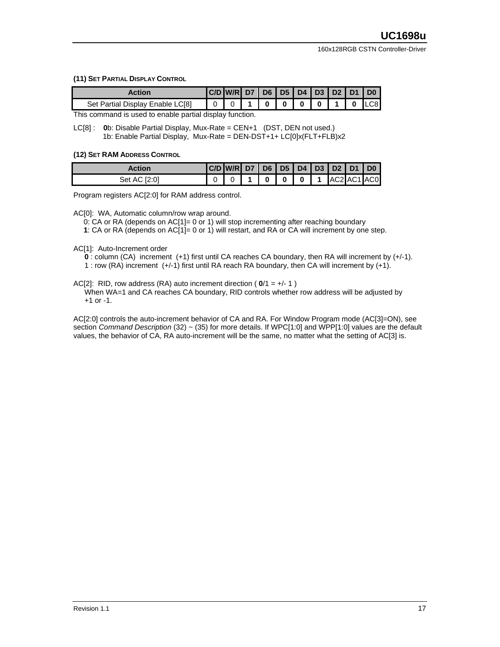**(11) SET PARTIAL DISPLAY CONTROL**

| Action                           | $ C/D $ W/R D7 D6 D5 D4 D3 D2 D1 D0 |  |         |  |          |                 |
|----------------------------------|-------------------------------------|--|---------|--|----------|-----------------|
| Set Partial Display Enable LC[8] |                                     |  | olololo |  | $\Omega$ | L <sub>CS</sub> |

This command is used to enable partial display function.

LC[8] : **0**b: Disable Partial Display, Mux-Rate = CEN+1 (DST, DEN not used.) 1b: Enable Partial Display, Mux-Rate = DEN-DST+1+ LC[0]x(FLT+FLB)x2

#### **(12) SET RAM ADDRESS CONTROL**

| Action          | C/D W/R D7 D6 D5 D4 D3 D2 D1 D0 |          |              |     |             |  |
|-----------------|---------------------------------|----------|--------------|-----|-------------|--|
| Set AC<br>12:01 |                                 | $\Omega$ | $\mathbf{0}$ | 0 1 | AC2 AC1 AC0 |  |

Program registers AC[2:0] for RAM address control.

AC[0]: WA, Automatic column/row wrap around.

0: CA or RA (depends on  $AC[1] = 0$  or 1) will stop incrementing after reaching boundary

**1**: CA or RA (depends on AC[1]= 0 or 1) will restart, and RA or CA will increment by one step.

AC[1]: Auto-Increment order

**0** : column (CA) increment (+1) first until CA reaches CA boundary, then RA will increment by (+/-1).

1 : row (RA) increment (+/-1) first until RA reach RA boundary, then CA will increment by (+1).

AC[2]: RID, row address (RA) auto increment direction ( **0**/1 = +/- 1 )

When WA=1 and CA reaches CA boundary, RID controls whether row address will be adjusted by +1 or -1.

AC[2:0] controls the auto-increment behavior of CA and RA. For Window Program mode (AC[3]=ON), see section *Command Description* (32) ~ (35) for more details. If WPC[1:0] and WPP[1:0] values are the default values, the behavior of CA, RA auto-increment will be the same, no matter what the setting of AC[3] is.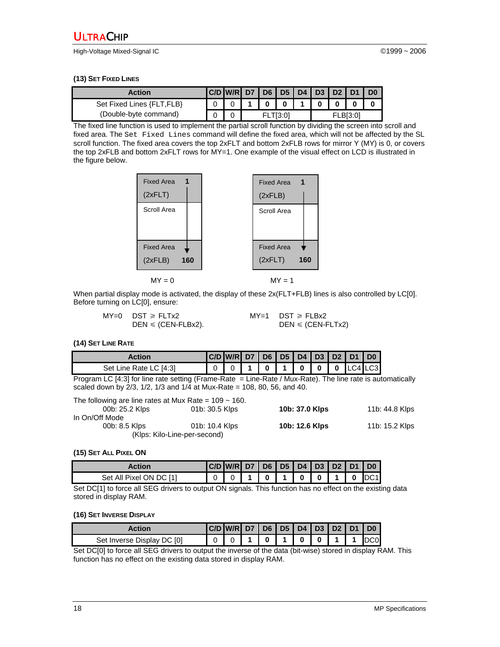High-Voltage Mixed-Signal IC ©1999 ~ 2006

**(13) SET FIXED LINES**

| Action                     |                      | $ C/D $ W/R D7 D6 D5 D4 D3 D3 D2 D1 |  |  |  |  |  |  |  |
|----------------------------|----------------------|-------------------------------------|--|--|--|--|--|--|--|
| Set Fixed Lines {FLT, FLB} |                      |                                     |  |  |  |  |  |  |  |
| (Double-byte command)      | FLB[3:0]<br>FLTI3:01 |                                     |  |  |  |  |  |  |  |

The fixed line function is used to implement the partial scroll function by dividing the screen into scroll and fixed area. The Set Fixed Lines command will define the fixed area, which will not be affected by the SL scroll function. The fixed area covers the top 2xFLT and bottom 2xFLB rows for mirror Y (MY) is 0, or covers the top 2xFLB and bottom 2xFLT rows for MY=1. One example of the visual effect on LCD is illustrated in the figure below.

| <b>Fixed Area</b><br>1 | <b>Fixed Area</b> | $\mathbf 1$ |
|------------------------|-------------------|-------------|
| (2xFLT)                | (2xFLB)           |             |
| Scroll Area            | Scroll Area       |             |
|                        |                   |             |
|                        |                   |             |
| <b>Fixed Area</b>      | <b>Fixed Area</b> |             |
| (2xFLB)<br>160         | (2xFLT)           | 160         |
|                        |                   |             |
| $MY = 0$               | $MY = 1$          |             |

When partial display mode is activated, the display of these  $2x(FLT+FLB)$  lines is also controlled by LC[0]. Before turning on LC[0], ensure:

| $MY=0$ DST $\geq$ FLTx2        | $MY=1$ DST $\geq$ FLBx2 |
|--------------------------------|-------------------------|
| $DEN \leq (CEN\text{-FLBx2}).$ | $DEN \leq (CEN-FLTx2)$  |

**(14) SET LINE RATE** 

| Action                 | C/D W/R D7 D6 D5 D4 D3 D2 D1 D0 |  |  |  |                     |  |
|------------------------|---------------------------------|--|--|--|---------------------|--|
| Set Line Rate LC [4:3] |                                 |  |  |  | 0 1 0 0 0 0 LC4 LC3 |  |

Program LC [4:3] for line rate setting (Frame-Rate = Line-Rate / Mux-Rate). The line rate is automatically scaled down by 2/3, 1/2, 1/3 and 1/4 at Mux-Rate = 108, 80, 56, and 40.

| The following are line rates at Mux Rate = $109 \sim 160$ . |                              |                |                |
|-------------------------------------------------------------|------------------------------|----------------|----------------|
| 00b: 25.2 Klps                                              | 01b: 30.5 Klps               | 10b: 37.0 Klps | 11b: 44.8 Klps |
| In On/Off Mode                                              |                              |                |                |
| 00b: 8.5 Klps                                               | 01b: 10.4 Klps               | 10b: 12.6 Klps | 11b: 15.2 Klps |
|                                                             | (Klps: Kilo-Line-per-second) |                |                |

**(15) SET ALL PIXEL ON** 

| Action                  | C/D   W/R   D7   D6   D5   D4   D3   D2   D1 |   |          |             |  | $\overline{1}$ D <sub>0</sub> |
|-------------------------|----------------------------------------------|---|----------|-------------|--|-------------------------------|
| Set All Pixel ON DC [1] |                                              | U | $\Omega$ | $\mathbf 0$ |  |                               |

Set DC[1] to force all SEG drivers to output ON signals. This function has no effect on the existing data stored in display RAM.

#### **(16) SET INVERSE DISPLAY**

| Action                     | C/D W/R D7 D6 D5 D4 D3 D2 D1 |              |              |          |          |  | D <sub>0</sub> |
|----------------------------|------------------------------|--------------|--------------|----------|----------|--|----------------|
| Set Inverse Display DC [0] |                              | $\mathbf{0}$ | $\mathbf{1}$ | $\Omega$ | $\bf{0}$ |  | $\blacksquare$ |

Set DC[0] to force all SEG drivers to output the inverse of the data (bit-wise) stored in display RAM. This function has no effect on the existing data stored in display RAM.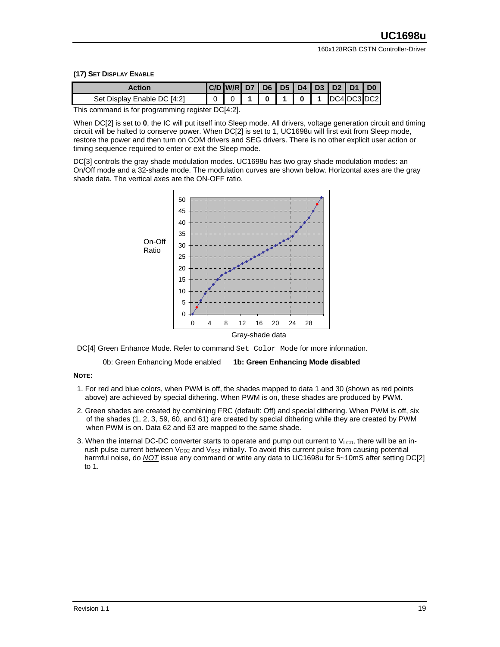#### **(17) SET DISPLAY ENABLE**

| Action                      | C/D   W/R   D7   D6   D5   D4   D3   D2   D1   D0 |  |  |                                         |  |
|-----------------------------|---------------------------------------------------|--|--|-----------------------------------------|--|
| Set Display Enable DC [4:2] |                                                   |  |  | $0$   1   0   1   $DC4$   $DC3$   $DC2$ |  |

This command is for programming register DC[4:2].

When DC[2] is set to 0, the IC will put itself into Sleep mode. All drivers, voltage generation circuit and timing circuit will be halted to conserve power. When DC[2] is set to 1, UC1698u will first exit from Sleep mode, restore the power and then turn on COM drivers and SEG drivers. There is no other explicit user action or timing sequence required to enter or exit the Sleep mode.

DC[3] controls the gray shade modulation modes. UC1698u has two gray shade modulation modes: an On/Off mode and a 32-shade mode. The modulation curves are shown below. Horizontal axes are the gray shade data. The vertical axes are the ON-OFF ratio.



DC[4] Green Enhance Mode. Refer to command Set Color Mode for more information.

0b: Green Enhancing Mode enabled **1b: Green Enhancing Mode disabled** 

#### **NOTE:**

- 1. For red and blue colors, when PWM is off, the shades mapped to data 1 and 30 (shown as red points above) are achieved by special dithering. When PWM is on, these shades are produced by PWM.
- 2. Green shades are created by combining FRC (default: Off) and special dithering. When PWM is off, six of the shades (1, 2, 3, 59, 60, and 61) are created by special dithering while they are created by PWM when PWM is on. Data 62 and 63 are mapped to the same shade.
- 3. When the internal DC-DC converter starts to operate and pump out current to  $V_{\text{LCD}}$ , there will be an inrush pulse current between  $V_{DD2}$  and  $V_{SS2}$  initially. To avoid this current pulse from causing potential harmful noise, do **NOT** issue any command or write any data to UC1698u for 5~10mS after setting DC[2] to 1.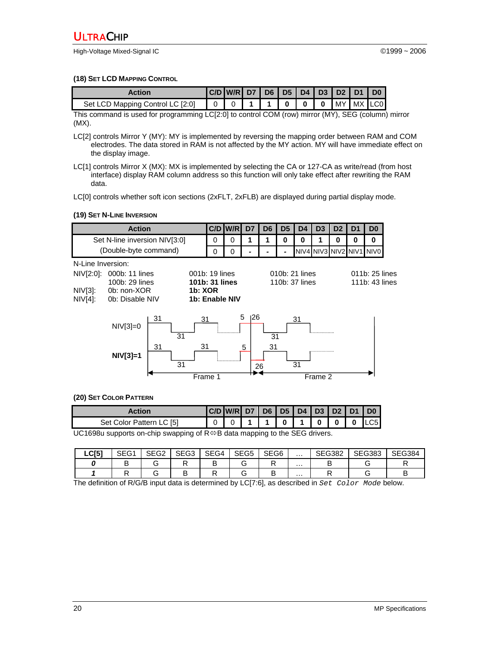High-Voltage Mixed-Signal IC ©1999 ~ 2006

#### **(18) SET LCD MAPPING CONTROL**

| Action | $ C/D $ W/R D7 D6 D5 D4 D3 D2 D1 D0 |  |                         |  |                                                             |  |
|--------|-------------------------------------|--|-------------------------|--|-------------------------------------------------------------|--|
|        |                                     |  |                         |  |                                                             |  |
| $-1$   | $\mathbf{r}$                        |  | $\cdot$ . $\sim$ $\sim$ |  | $\lambda$ $\lambda$ $\lambda$ $\lambda$ $\lambda$ $\lambda$ |  |

This command is used for programming LC[2:0] to control COM (row) mirror (MY), SEG (column) mirror (MX).

LC[2] controls Mirror Y (MY): MY is implemented by reversing the mapping order between RAM and COM electrodes. The data stored in RAM is not affected by the MY action. MY will have immediate effect on the display image.

LC[1] controls Mirror X (MX): MX is implemented by selecting the CA or 127-CA as write/read (from host interface) display RAM column address so this function will only take effect after rewriting the RAM data.

LC[0] controls whether soft icon sections (2xFLT, 2xFLB) are displayed during partial display mode.

#### **(19) SET N-LINE INVERSION**



#### **(20) SET COLOR PATTERN**

| <b>Action</b>                                                                               |  |  |  |  |  |  |  |  |  | $ C/D $ W/R D7 D6 D5 D4 D3 D2 D1 D0 |
|---------------------------------------------------------------------------------------------|--|--|--|--|--|--|--|--|--|-------------------------------------|
| Set Color Pattern LC [5]                                                                    |  |  |  |  |  |  |  |  |  | 0 0 1 1 1 0 1 0 0 0 0 LC5           |
| UC1698u supports on-chip swapping of $R \Leftrightarrow B$ data mapping to the SEG drivers. |  |  |  |  |  |  |  |  |  |                                     |

| C[ <sub>51</sub> ] | 0.000 | SEG3 | SFG4 | CFT<br>ა⊵სა | SEG <sub>6</sub> | .        | <b>SEG382</b><br>-גאטי∠ | 0.0000 |  |
|--------------------|-------|------|------|-------------|------------------|----------|-------------------------|--------|--|
|                    |       |      |      |             |                  | $\cdots$ |                         |        |  |
|                    |       |      |      |             |                  | .        |                         |        |  |

The definition of R/G/B input data is determined by LC[7:6], as described in *Set Color Mode* below.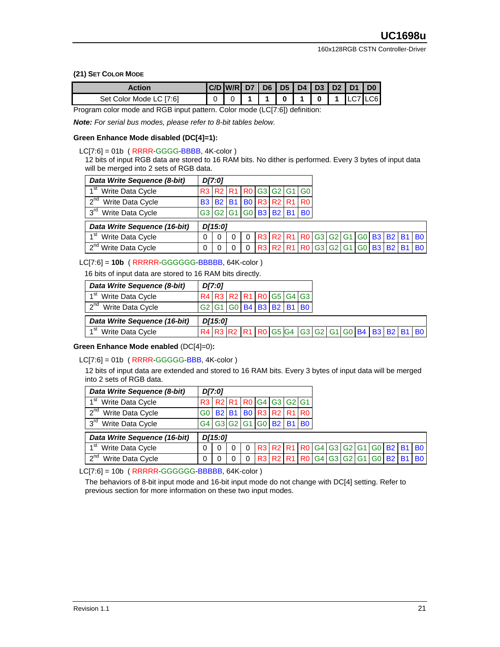#### **(21) SET COLOR MODE**

| $0$   1<br>$\overline{1}$ 0<br>1071<br>$\sim$ 4 $\sim$<br>$\overline{A}$<br>Set Color Mode LC [7:6] | Action |  | C/D   W/R   D7   D6   D5   D4   D3   D2   D1 |  |  |  | $\overline{1}$ D <sub>0</sub> |
|-----------------------------------------------------------------------------------------------------|--------|--|----------------------------------------------|--|--|--|-------------------------------|
|                                                                                                     |        |  |                                              |  |  |  | C6I                           |

Program color mode and RGB input pattern. Color mode (LC[7:6]) definition:

*Note: For serial bus modes, please refer to 8-bit tables below.* 

#### **Green Enhance Mode disabled (DC[4]=1):**

#### $LC[7:6] = 01b$  (RRRR-GGGG-BBBB, 4K-color)

12 bits of input RGB data are stored to 16 RAM bits. No dither is performed. Every 3 bytes of input data will be merged into 2 sets of RGB data.

| Data Write Sequence (8-bit)         |                 | D[7:0]    |           |                |             |                                  |                |                |    |                |           |           |                |
|-------------------------------------|-----------------|-----------|-----------|----------------|-------------|----------------------------------|----------------|----------------|----|----------------|-----------|-----------|----------------|
| ⊿ St<br>Write Data Cycle            |                 |           |           |                |             | R3 R2 R1 R0 G3 G2 G1 G0          |                |                |    |                |           |           |                |
| 2 <sup>nd</sup><br>Write Data Cycle | B <sub>3</sub>  | <b>B2</b> | <b>B1</b> | B <sub>0</sub> | R3 R2 R1 R0 |                                  |                |                |    |                |           |           |                |
| 3 <sup>rd</sup><br>Write Data Cycle | <b>G3 G2 G1</b> |           |           |                | GO B3 B2 B1 | B <sub>0</sub>                   |                |                |    |                |           |           |                |
| Data Write Sequence (16-bit)        |                 | D[15:0]   |           |                |             |                                  |                |                |    |                |           |           |                |
| 4 St<br>Write Data Cycle            |                 | 0         |           | 0              |             | R3 R2 R1 R0 G3 G2 G1 G0 B3 B2 B1 |                |                |    |                |           |           | B <sub>0</sub> |
| $\gamma$ nd<br>Write Data Cycle     |                 | 0         |           | 0              |             | R3 R2 R1 R0                      | G <sub>3</sub> | G <sub>2</sub> | G1 | G <sub>0</sub> | <b>B3</b> | <b>B2</b> | B <sub>0</sub> |

#### LC[7:6] = **10b** ( RRRRR-GGGGGG-BBBBB, 64K-color )

16 bits of input data are stored to 16 RAM bits directly.

| Data Write Sequence (8-bit)         | D[7:0]  |  |                         |                                                 |  |  |  |  |
|-------------------------------------|---------|--|-------------------------|-------------------------------------------------|--|--|--|--|
| ⊿st<br>Write Data Cycle             |         |  |                         | R4 R3 R2 R1 R0 G5 G4 G3                         |  |  |  |  |
| 2 <sup>nd</sup> Write Data Cycle    |         |  | G2 G1 G0 B4 B3 B2 B1 B0 |                                                 |  |  |  |  |
| Data Write Sequence (16-bit)        | D[15:0] |  |                         |                                                 |  |  |  |  |
| 1 <sup>st</sup><br>Write Data Cycle |         |  |                         | R4 R3 R2 R1 R0 G5 G4 G3 G2 G1 G0 B4 B3 B2 B1 B0 |  |  |  |  |

#### **Green Enhance Mode enabled** (DC[4]=0)**:**

#### $LC[7:6] = 01b$  (RRRR-GGGGG-BBB, 4K-color)

12 bits of input data are extended and stored to 16 RAM bits. Every 3 bytes of input data will be merged into 2 sets of RGB data.

| Data Write Sequence (8-bit)         |                | D[7:0]       |          |          |                |                                                                                                          |            |                                  |                   |  |              |                |
|-------------------------------------|----------------|--------------|----------|----------|----------------|----------------------------------------------------------------------------------------------------------|------------|----------------------------------|-------------------|--|--------------|----------------|
| 1 <sup>st</sup><br>Write Data Cycle | R <sub>3</sub> |              |          |          |                | R <sub>2</sub> R <sub>1</sub> R <sub>0</sub> G <sub>4</sub> G <sub>3</sub> G <sub>2</sub> G <sub>1</sub> |            |                                  |                   |  |              |                |
| $2^{\text{nd}}$<br>Write Data Cycle | G0             | <b>B2 B1</b> |          |          |                | $IB0$ R3 R2 R1 R0                                                                                        |            |                                  |                   |  |              |                |
| 3 <sup>rd</sup><br>Write Data Cycle | G4             |              | G3 G2 G1 |          | G <sub>0</sub> | <b>B2</b>                                                                                                | <b>B</b> 1 | B <sub>0</sub>                   |                   |  |              |                |
| Data Write Sequence (16-bit)        |                | D[15:0]      |          |          |                |                                                                                                          |            |                                  |                   |  |              |                |
| 1 <sup>st</sup><br>Write Data Cycle |                | $\Omega$     | 0        | $\Omega$ |                |                                                                                                          |            | R3 R2 R1 R0 G4 G3 G2 G1 G0 B2 B1 |                   |  |              | B <sub>0</sub> |
| $2^{nd}$<br>Write Data Cycle        |                | 0            |          | $\Omega$ |                | R3 R2                                                                                                    | <b>R11</b> |                                  | RO G4 G3 G2 G1 G0 |  | <b>B2 B1</b> | <b>B0</b>      |

LC[7:6] = 10b (RRRRR-GGGGGG-BBBBB, 64K-color)

The behaviors of 8-bit input mode and 16-bit input mode do not change with DC[4] setting. Refer to previous section for more information on these two input modes.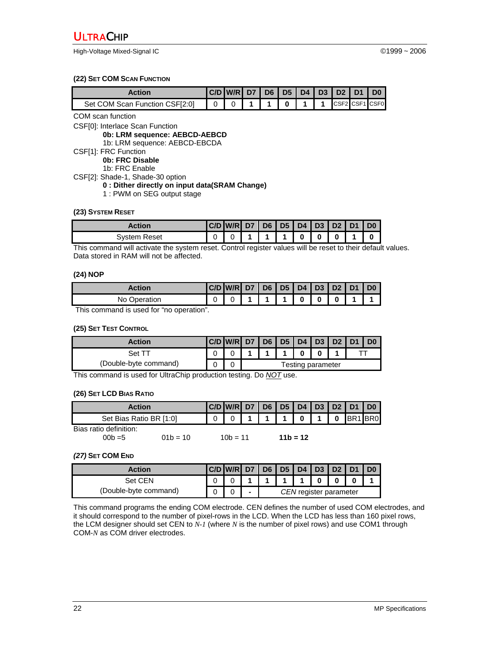High-Voltage Mixed-Signal IC ©1999 ~ 2006

#### **(22) SET COM SCAN FUNCTION**

| Action:                        | C/D W/R D7 D6 D5 D4 D3 D2 D1 |  |                |           |  |                |
|--------------------------------|------------------------------|--|----------------|-----------|--|----------------|
| Set COM Scan Function CSF[2:0] |                              |  | 0 <sub>1</sub> | $-1$ $-1$ |  | CSF2 CSF1 CSF0 |

COM scan function

CSF[0]: Interlace Scan Function

**0b: LRM sequence: AEBCD-AEBCD** 

1b: LRM sequence: AEBCD-EBCDA

CSF[1]: FRC Function

**0b: FRC Disable**

1b: FRC Enable

CSF[2]: Shade-1, Shade-30 option

#### **0 : Dither directly on input data(SRAM Change)**

1 : PWM on SEG output stage

#### **(23) SYSTEM RESET**

| Action          | W/R  D7   D6   D5   D4   D3   D2   D1 |  |   |  | ' Dû |
|-----------------|---------------------------------------|--|---|--|------|
| Reset<br>Svstem |                                       |  | O |  |      |

This command will activate the system reset. Control register values will be reset to their default values. Data stored in RAM will not be affected.

#### **(24) NOP**

| Action       | $ C/D $ W/R D7 D6 D5 D4 D3 D2 D1 D0 |  |          |  |  |
|--------------|-------------------------------------|--|----------|--|--|
| No Operation |                                     |  | $\bf{0}$ |  |  |

This command is used for "no operation".

#### **(25) SET TEST CONTROL**

| <b>Action</b>         | $ C/D $ W/R D7 D6 D5 D4 D3 D2 D1 |                   |  |  |  |  |  |  |  |
|-----------------------|----------------------------------|-------------------|--|--|--|--|--|--|--|
| Set TT                |                                  |                   |  |  |  |  |  |  |  |
| (Double-byte command) |                                  | Festing parameter |  |  |  |  |  |  |  |

This command is used for UltraChip production testing. Do *NOT* use.

#### **(26) SET LCD BIAS RATIO**

| <b>Action</b>           |            |            | C/D  W/R   D7   D6   D5   D4   D3   D2   D1   D0 |  |         |            |       |        |  |
|-------------------------|------------|------------|--------------------------------------------------|--|---------|------------|-------|--------|--|
| Set Bias Ratio BR [1:0] |            |            |                                                  |  | - 1 - I |            | 0 1 0 | BR1BR0 |  |
| Bias ratio definition:  |            |            |                                                  |  |         |            |       |        |  |
| $00b = 5$               | $01b = 10$ | $10b = 11$ |                                                  |  |         | $11b = 12$ |       |        |  |

#### *(27)* **SET COM END**

| <b>Action</b>         | C/D W/R D7 D6 D5 D4 D3 D2 D1 |                        |  |  |  |  |  | $\overline{1}$ D <sub>0</sub> |  |
|-----------------------|------------------------------|------------------------|--|--|--|--|--|-------------------------------|--|
| Set CEN               |                              |                        |  |  |  |  |  |                               |  |
| (Double-byte command) |                              | CEN register parameter |  |  |  |  |  |                               |  |

This command programs the ending COM electrode. CEN defines the number of used COM electrodes, and it should correspond to the number of pixel-rows in the LCD. When the LCD has less than 160 pixel rows, the LCM designer should set CEN to *N-1* (where *N* is the number of pixel rows) and use COM1 through COM-*N* as COM driver electrodes.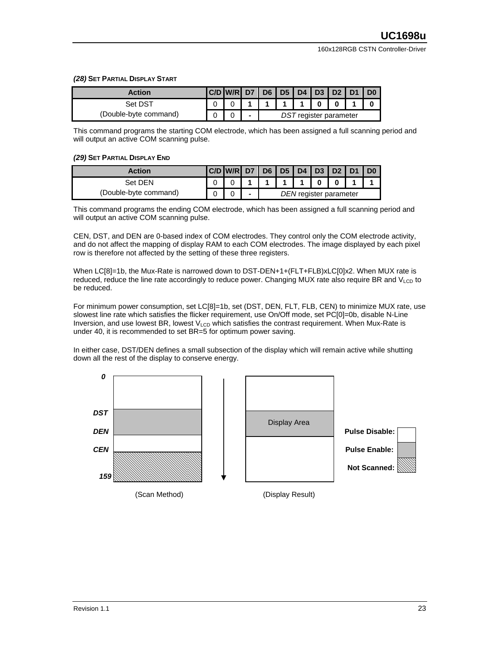#### *(28)* **SET PARTIAL DISPLAY START**

| Action                | $ C/D $ W/R D7 D6 D5 D4 D3 D2 D1 |                          |                        |  |  |  |  |  | $\overline{1}$ D <sub>0</sub> |
|-----------------------|----------------------------------|--------------------------|------------------------|--|--|--|--|--|-------------------------------|
| Set DST               |                                  |                          |                        |  |  |  |  |  |                               |
| (Double-byte command) |                                  | $\overline{\phantom{0}}$ | DST register parameter |  |  |  |  |  |                               |

This command programs the starting COM electrode, which has been assigned a full scanning period and will output an active COM scanning pulse.

#### *(29)* **SET PARTIAL DISPLAY END**

| Action                | $ C/D $ W/R D7 D6 D5 D4 D3 D2 D1 |  |  |                        |  |  |
|-----------------------|----------------------------------|--|--|------------------------|--|--|
| Set DEN               |                                  |  |  |                        |  |  |
| (Double-byte command) |                                  |  |  | DEN register parameter |  |  |

This command programs the ending COM electrode, which has been assigned a full scanning period and will output an active COM scanning pulse.

CEN, DST, and DEN are 0-based index of COM electrodes. They control only the COM electrode activity, and do not affect the mapping of display RAM to each COM electrodes. The image displayed by each pixel row is therefore not affected by the setting of these three registers.

When LC[8]=1b, the Mux-Rate is narrowed down to DST-DEN+1+(FLT+FLB)xLC[0]x2. When MUX rate is reduced, reduce the line rate accordingly to reduce power. Changing MUX rate also require BR and  $V<sub>LCD</sub>$  to be reduced.

For minimum power consumption, set LC[8]=1b, set (DST, DEN, FLT, FLB, CEN) to minimize MUX rate, use slowest line rate which satisfies the flicker requirement, use On/Off mode, set PC[0]=0b, disable N-Line Inversion, and use lowest BR, lowest  $V_{LCD}$  which satisfies the contrast requirement. When Mux-Rate is under 40, it is recommended to set BR=5 for optimum power saving.

In either case, DST/DEN defines a small subsection of the display which will remain active while shutting down all the rest of the display to conserve energy.

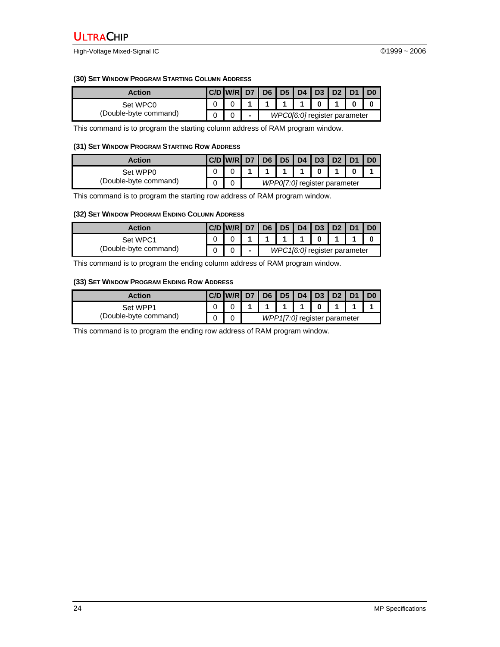High-Voltage Mixed-Signal IC ©1999 ~ 2006

#### **(30) SET WINDOW PROGRAM STARTING COLUMN ADDRESS**

| Action                | <b>IC/D W/RID7</b> |                          | 1D6 |  | <b>ID5 D4 D3 L</b> | D2 D1                        | D <sub>0</sub> |
|-----------------------|--------------------|--------------------------|-----|--|--------------------|------------------------------|----------------|
| Set WPC0              |                    |                          |     |  |                    |                              |                |
| (Double-byte command) |                    | $\overline{\phantom{0}}$ |     |  |                    | WPC0[6:0] register parameter |                |

This command is to program the starting column address of RAM program window.

#### **(31) SET WINDOW PROGRAM STARTING ROW ADDRESS**

| Action                | $ C/D $ W/R D7 D6 D5 D4 D3 D2 |  |  |                              | D <sub>1</sub> |  |
|-----------------------|-------------------------------|--|--|------------------------------|----------------|--|
| Set WPP0              |                               |  |  |                              |                |  |
| (Double-byte command) |                               |  |  | WPP0[7:0] register parameter |                |  |

This command is to program the starting row address of RAM program window.

#### **(32) SET WINDOW PROGRAM ENDING COLUMN ADDRESS**

| Action                | C/D   W/R   D7   D6   D5   D4   D3   D2   D1 |                          |  |  |                              |  |
|-----------------------|----------------------------------------------|--------------------------|--|--|------------------------------|--|
| Set WPC1              |                                              |                          |  |  |                              |  |
| (Double-byte command) |                                              | $\overline{\phantom{a}}$ |  |  | WPC1[6:0] register parameter |  |

This command is to program the ending column address of RAM program window.

#### **(33) SET WINDOW PROGRAM ENDING ROW ADDRESS**

| Action                | C/D   W/R   D7   D6   D5   D4   D3   D2   D1 |  |  |                              |  | $\overline{1}$ DO |
|-----------------------|----------------------------------------------|--|--|------------------------------|--|-------------------|
| Set WPP1              |                                              |  |  |                              |  |                   |
| (Double-byte command) |                                              |  |  | WPP1[7:0] register parameter |  |                   |

This command is to program the ending row address of RAM program window.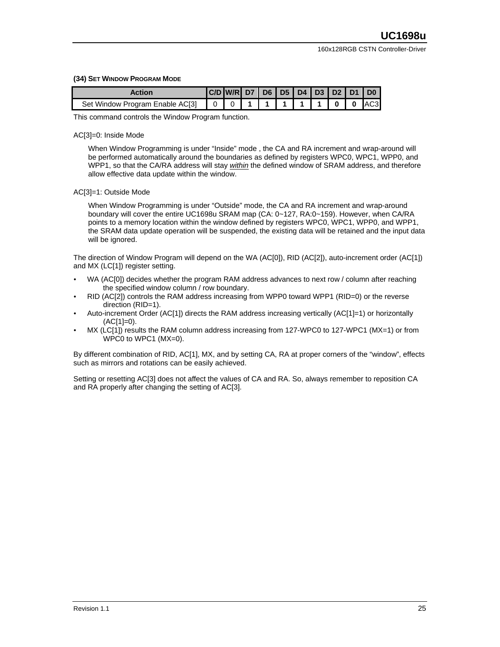#### **(34) SET WINDOW PROGRAM MODE**

| Action                          | C/D W/R D7 D6 D5 D5 D4 D3 D2 D1 |      |                      |       | $\overline{1}$ DO $\overline{1}$ |
|---------------------------------|---------------------------------|------|----------------------|-------|----------------------------------|
| Set Window Program Enable AC[3] |                                 | 1111 | $\sim$ 4 $\,$ 4 $\,$ | rolo. | AC3                              |

This command controls the Window Program function.

#### AC[3]=0: Inside Mode

When Window Programming is under "Inside" mode , the CA and RA increment and wrap-around will be performed automatically around the boundaries as defined by registers WPC0, WPC1, WPP0, and WPP1, so that the CA/RA address will stay *within* the defined window of SRAM address, and therefore allow effective data update within the window.

#### AC[3]=1: Outside Mode

When Window Programming is under "Outside" mode, the CA and RA increment and wrap-around boundary will cover the entire UC1698u SRAM map (CA: 0~127, RA:0~159). However, when CA/RA points to a memory location within the window defined by registers WPC0, WPC1, WPP0, and WPP1, the SRAM data update operation will be suspended, the existing data will be retained and the input data will be ignored.

The direction of Window Program will depend on the WA (AC[0]), RID (AC[2]), auto-increment order (AC[1]) and MX (LC[1]) register setting.

- WA (AC[0]) decides whether the program RAM address advances to next row / column after reaching the specified window column / row boundary.
- RID (AC[2]) controls the RAM address increasing from WPP0 toward WPP1 (RID=0) or the reverse direction (RID=1).
- Auto-increment Order (AC[1]) directs the RAM address increasing vertically (AC[1]=1) or horizontally (AC[1]=0).
- MX (LC[1]) results the RAM column address increasing from 127-WPC0 to 127-WPC1 (MX=1) or from WPC0 to WPC1 (MX=0).

By different combination of RID, AC[1], MX, and by setting CA, RA at proper corners of the "window", effects such as mirrors and rotations can be easily achieved.

Setting or resetting AC[3] does not affect the values of CA and RA. So, always remember to reposition CA and RA properly after changing the setting of AC[3].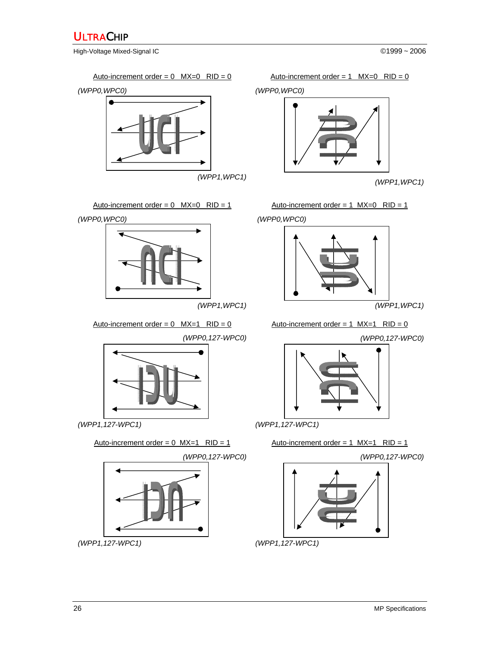High-Voltage Mixed-Signal IC ©1999 ~ 2006







Auto-increment order =  $0$  MX=1 RID =  $0$  Auto-increment order =  $1$  MX=1 RID =  $0$ 

*(WPP0,127-WPC0)*



*(WPP1,127-WPC1)*

Auto-increment order =  $0$  MX=1 RID = 1



*(WPP1,127-WPC1)*

*(WPP0,WPC0)* 



*(WPP1,WPC1)*



*(WPP0,127-WPC0)*



*(WPP1,127-WPC1)*

$$
Auto-increment order = 1 \quad MX=1 \quad RID = 1
$$

*(WPP0,127-WPC0)*



*(WPP1,127-WPC1)*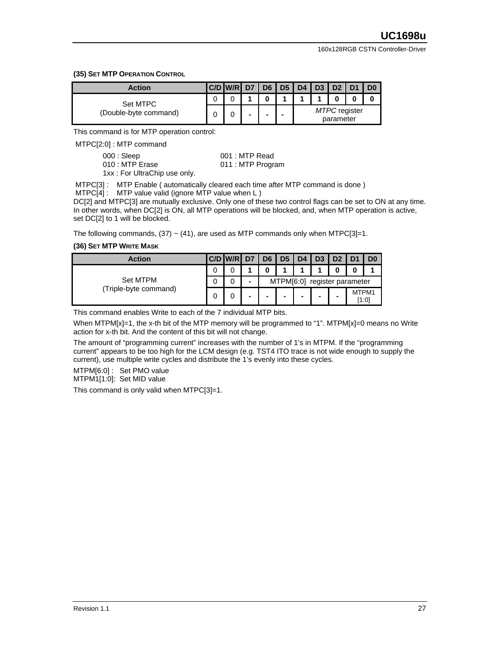#### **(35) SET MTP OPERATION CONTROL**

| <b>Action</b>                     | <b>C/D W/R</b> | D <sub>7</sub> | D <sub>6</sub> | $\vert$ D <sub>5</sub> | D4 | D3 | D <sub>2</sub>                    | D <sub>1</sub> | D <sub>0</sub> |
|-----------------------------------|----------------|----------------|----------------|------------------------|----|----|-----------------------------------|----------------|----------------|
| Set MTPC<br>(Double-byte command) |                |                |                |                        |    |    |                                   |                | 0              |
|                                   |                |                | -              | -                      |    |    | <b>MTPC</b> register<br>parameter |                |                |

This command is for MTP operation control:

MTPC[2:0] : MTP command

| 000 : Sleep                  | $001:$ MTP Read   |
|------------------------------|-------------------|
| 010 : MTP Erase              | 011 : MTP Program |
| 1vy • Ear HitraChin use anly |                   |

1xx : For UltraChip use only.

MTPC[3] : MTP Enable ( automatically cleared each time after MTP command is done )

MTPC[4] : MTP value valid (ignore MTP value when L )

DC[2] and MTPC[3] are mutually exclusive. Only one of these two control flags can be set to ON at any time. In other words, when DC[2] is ON, all MTP operations will be blocked, and, when MTP operation is active, set DC[2] to 1 will be blocked.

The following commands, (37)  $\sim$  (41), are used as MTP commands only when MTPC[3]=1.

#### **(36) SET MTP WRITE MASK**

| <b>Action</b>                     |   | C/D W/R | D7 | D <sub>6</sub> | D <sub>5</sub> | D <sub>4</sub> | D <sub>3</sub> | D <sub>2</sub>     |       | D <sub>0</sub> |
|-----------------------------------|---|---------|----|----------------|----------------|----------------|----------------|--------------------|-------|----------------|
| Set MTPM<br>(Triple-byte command) |   |         |    |                |                |                |                |                    |       |                |
|                                   | U | U       | -  |                | MTPM[6:0]      |                |                | register parameter |       |                |
|                                   | 0 | 0       |    | -              |                |                | -              | -                  | MTPM1 | [1:0]          |

This command enables Write to each of the 7 individual MTP bits.

When MTPM[x]=1, the x-th bit of the MTP memory will be programmed to "1". MTPM[x]=0 means no Write action for x-th bit. And the content of this bit will not change.

The amount of "programming current" increases with the number of 1's in MTPM. If the "programming current" appears to be too high for the LCM design (e.g. TST4 ITO trace is not wide enough to supply the current), use multiple write cycles and distribute the 1's evenly into these cycles.

MTPM[6:0] : Set PMO value MTPM1[1:0]: Set MID value

This command is only valid when MTPC[3]=1.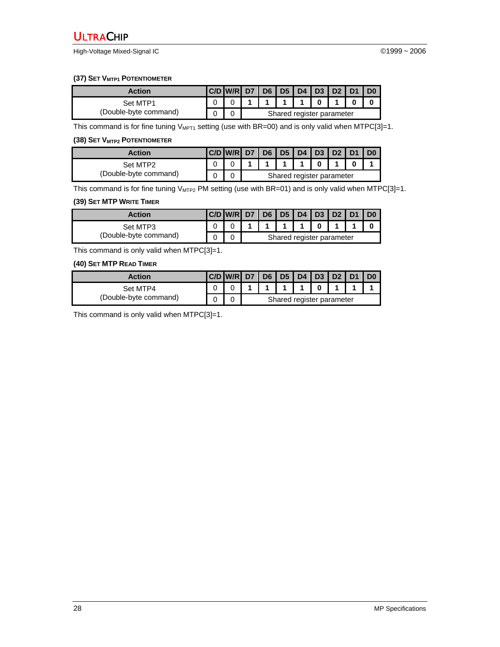High-Voltage Mixed-Signal IC ©1999 ~ 2006

#### **(37) SET V<sub>MTP1</sub> POTENTIOMETER**

| Action                | <b>C/D W/R D7</b> | D6   D5   D4   D3   D2   D1 |  |                           |  | $\overline{1}$ D <sub>0</sub> |
|-----------------------|-------------------|-----------------------------|--|---------------------------|--|-------------------------------|
| Set MTP1              |                   |                             |  |                           |  |                               |
| (Double-byte command) |                   |                             |  | Shared register parameter |  |                               |

This command is for fine tuning  $V_{MPT1}$  setting (use with BR=00) and is only valid when MTPC[3]=1.

#### **(38) SET V<sub>MTP2</sub> POTENTIOMETER**

| Action                |  | C/D W/R D7 D6 D5 D4 D3 D2 D1 |                           |  |  |  |  |  |  |  |
|-----------------------|--|------------------------------|---------------------------|--|--|--|--|--|--|--|
| Set MTP2              |  |                              |                           |  |  |  |  |  |  |  |
| (Double-byte command) |  |                              | Shared register parameter |  |  |  |  |  |  |  |

This command is for fine tuning  $V_{MTP2}$  PM setting (use with BR=01) and is only valid when MTPC[3]=1.

### **(39) SET MTP WRITE TIMER**

| <b>Action</b>                     |  | C/D   W/R   D7   D6   D5   D4   D3   D2   D1 |                           |  |  |  |  |  |  | $\overline{1}$ D <sub>0</sub> |
|-----------------------------------|--|----------------------------------------------|---------------------------|--|--|--|--|--|--|-------------------------------|
| Set MTP3<br>(Double-byte command) |  |                                              |                           |  |  |  |  |  |  |                               |
|                                   |  |                                              | Shared register parameter |  |  |  |  |  |  |                               |

This command is only valid when MTPC[3]=1.

#### **(40) SET MTP READ TIMER**

| Action                | C/D | IW/RI D7   D6   D5   D4   D3   D2   D1 |                           |  |  |  |  |  |  |  |
|-----------------------|-----|----------------------------------------|---------------------------|--|--|--|--|--|--|--|
| Set MTP4              |     |                                        |                           |  |  |  |  |  |  |  |
| (Double-byte command) |     |                                        | Shared register parameter |  |  |  |  |  |  |  |

This command is only valid when MTPC[3]=1.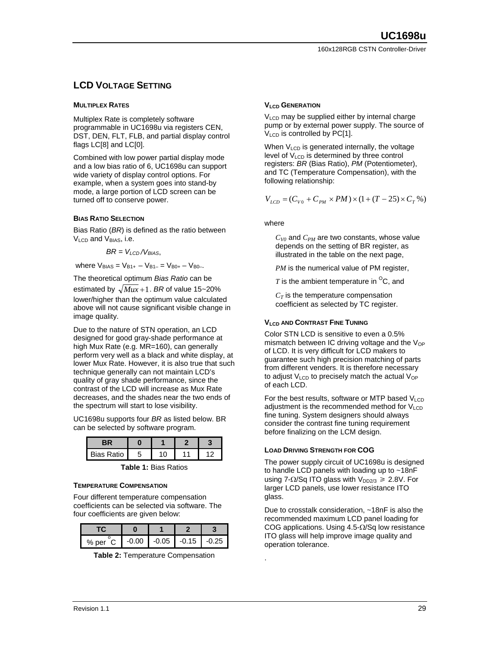# **LCD VOLTAGE SETTING**

#### **MULTIPLEX RATES**

Multiplex Rate is completely software programmable in UC1698u via registers CEN, DST, DEN, FLT, FLB, and partial display control flags LC[8] and LC[0].

Combined with low power partial display mode and a low bias ratio of 6, UC1698u can support wide variety of display control options. For example, when a system goes into stand-by mode, a large portion of LCD screen can be turned off to conserve power.

#### **BIAS RATIO SELECTION**

Bias Ratio (*BR*) is defined as the ratio between  $V<sub>LCD</sub>$  and  $V<sub>BIAS</sub>$ , i.e.

$$
BR = V_{LCD}/V_{BIAS}
$$

where  $V_{BIAS} = V_{B1+} - V_{B1-} = V_{B0+} - V_{B0-}$ 

The theoretical optimum *Bias Ratio* can be estimated by  $\sqrt{M_{ux}+1}$ . *BR* of value 15~20% lower/higher than the optimum value calculated above will not cause significant visible change in image quality.

Due to the nature of STN operation, an LCD designed for good gray-shade performance at high Mux Rate (e.g. MR=160), can generally perform very well as a black and white display, at lower Mux Rate. However, it is also true that such technique generally can not maintain LCD's quality of gray shade performance, since the contrast of the LCD will increase as Mux Rate decreases, and the shades near the two ends of the spectrum will start to lose visibility.

UC1698u supports four *BR* as listed below. BR can be selected by software program.

| Bias Ratio |  |  |
|------------|--|--|

**Table 1:** Bias Ratios

#### **TEMPERATURE COMPENSATION**

Four different temperature compensation coefficients can be selected via software. The four coefficients are given below:

| % per C | -0.00 | $-0.05$ $-0.15$ $-0.25$ |  |
|---------|-------|-------------------------|--|

**Table 2:** Temperature Compensation

#### **V<sub>LCD</sub>** GENERATION

V<sub>LCD</sub> may be supplied either by internal charge pump or by external power supply. The source of V<sub>LCD</sub> is controlled by PC[1].

When  $V<sub>LCD</sub>$  is generated internally, the voltage level of V<sub>LCD</sub> is determined by three control registers: *BR* (Bias Ratio), *PM* (Potentiometer), and TC (Temperature Compensation), with the following relationship:

$$
V_{LCD} = (C_{V0} + C_{PM} \times PM) \times (1 + (T - 25) \times C_T \%)
$$

where

 $C_{V0}$  and  $C_{PM}$  are two constants, whose value depends on the setting of BR register, as illustrated in the table on the next page,

*PM* is the numerical value of PM register,

 $T$  is the ambient temperature in  ${}^{0}C$ , and

 $C_T$  is the temperature compensation coefficient as selected by TC register.

#### **VLCD AND CONTRAST FINE TUNING**

Color STN LCD is sensitive to even a 0.5% mismatch between IC driving voltage and the  $V_{OP}$ of LCD. It is very difficult for LCD makers to guarantee such high precision matching of parts from different venders. It is therefore necessary to adjust  $V_{LCD}$  to precisely match the actual  $V_{OP}$ of each LCD.

For the best results, software or MTP based  $V_{LCD}$ adjustment is the recommended method for  $V<sub>LCD</sub>$ fine tuning. System designers should always consider the contrast fine tuning requirement before finalizing on the LCM design.

#### **LOAD DRIVING STRENGTH FOR COG**

.

The power supply circuit of UC1698u is designed to handle LCD panels with loading up to ~18nF using 7-Ω/Sq ITO glass with  $V_{DD2/3}$  ≥ 2.8V. For larger LCD panels, use lower resistance ITO glass.

Due to crosstalk consideration, ~18nF is also the recommended maximum LCD panel loading for COG applications. Using 4.5-Ω/Sq low resistance ITO glass will help improve image quality and operation tolerance.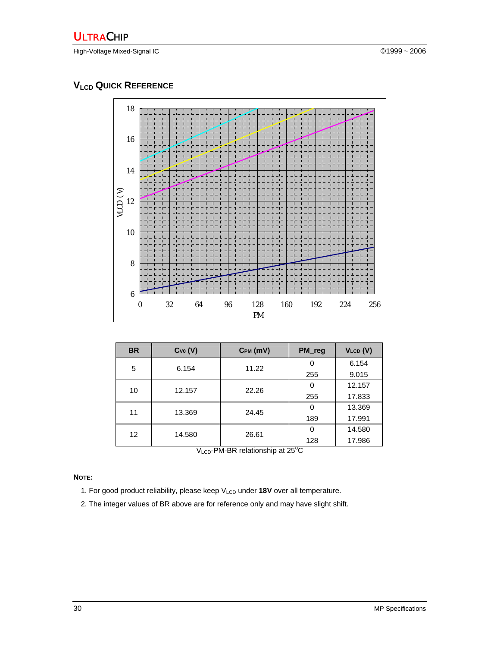High-Voltage Mixed-Signal IC ©1999 ~ 2006

# **VLCD QUICK REFERENCE**



| <b>BR</b>         | Cv <sub>0</sub> (V)   | CPM (MV) | PM_reg | $V_{LCD} (V)$ |
|-------------------|-----------------------|----------|--------|---------------|
| 5                 | 6.154                 | 11.22    | 0      | 6.154         |
|                   |                       |          | 255    | 9.015         |
| 10                | 12.157                | 22.26    | 0      | 12.157        |
|                   |                       |          | 255    | 17.833        |
|                   | 11<br>13.369<br>24.45 | O        | 13.369 |               |
|                   |                       |          | 189    | 17.991        |
| $12 \overline{ }$ | 14.580                | 26.61    | O      | 14.580        |
|                   |                       |          | 128    | 17.986        |

VLCD-PM-BR relationship at 25°C

### **NOTE:**

1. For good product reliability, please keep V<sub>LCD</sub> under 18V over all temperature.

2. The integer values of BR above are for reference only and may have slight shift.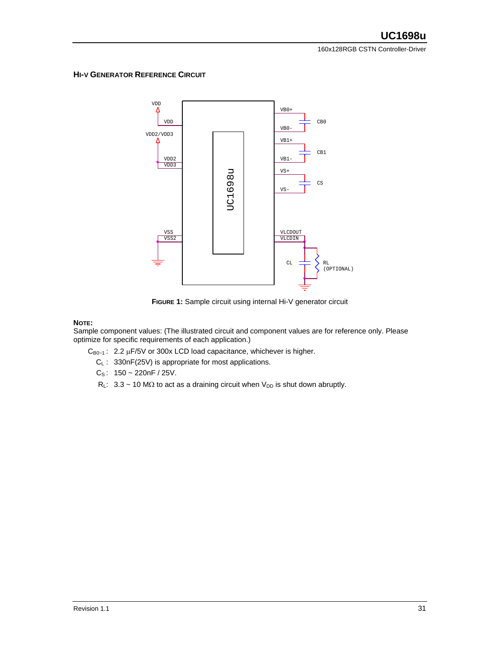160x128RGB CSTN Controller-Driver

#### **HI-V GENERATOR REFERENCE CIRCUIT**



**FIGURE 1:** Sample circuit using internal Hi-V generator circuit

#### **NOTE:**

Sample component values: (The illustrated circuit and component values are for reference only. Please optimize for specific requirements of each application.)

- $C_{B0-1}$ : 2.2  $\mu$ F/5V or 300x LCD load capacitance, whichever is higher.
	- $C_L$ : 330nF(25V) is appropriate for most applications.
	- $C_S$ : 150 ~ 220nF / 25V.
	- R<sub>L</sub>:  $3.3 \sim 10 \text{ M}\Omega$  to act as a draining circuit when V<sub>DD</sub> is shut down abruptly.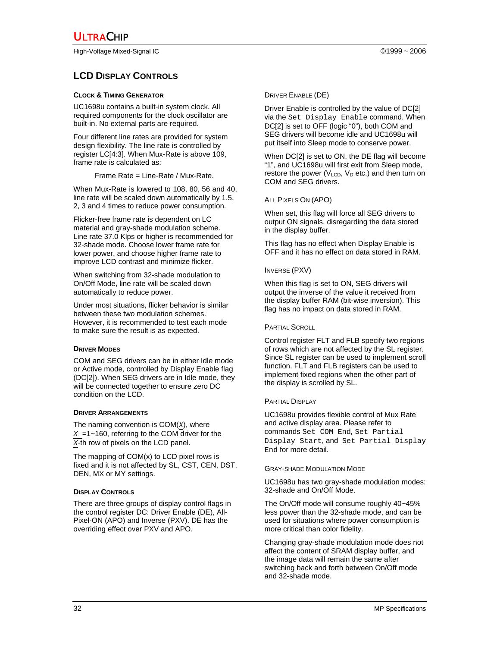High-Voltage Mixed-Signal IC ©1999 ~ 2006

# **LCD DISPLAY CONTROLS**

#### **CLOCK & TIMING GENERATOR**

UC1698u contains a built-in system clock. All required components for the clock oscillator are built-in. No external parts are required.

Four different line rates are provided for system design flexibility. The line rate is controlled by register LC[4:3]. When Mux-Rate is above 109, frame rate is calculated as:

Frame Rate = Line-Rate / Mux-Rate.

When Mux-Rate is lowered to 108, 80, 56 and 40, line rate will be scaled down automatically by 1.5, 2, 3 and 4 times to reduce power consumption.

Flicker-free frame rate is dependent on LC material and gray-shade modulation scheme. Line rate 37.0 Klps or higher is recommended for 32-shade mode. Choose lower frame rate for lower power, and choose higher frame rate to improve LCD contrast and minimize flicker.

When switching from 32-shade modulation to On/Off Mode, line rate will be scaled down automatically to reduce power.

Under most situations, flicker behavior is similar between these two modulation schemes. However, it is recommended to test each mode to make sure the result is as expected.

#### **DRIVER MODES**

COM and SEG drivers can be in either Idle mode or Active mode, controlled by Display Enable flag (DC[2]). When SEG drivers are in Idle mode, they will be connected together to ensure zero DC condition on the LCD.

#### **DRIVER ARRANGEMENTS**

The naming convention is COM(*X*), where  $X = 1 - 160$ , referring to the COM driver for the *X*-th row of pixels on the LCD panel.

The mapping of COM(x) to LCD pixel rows is fixed and it is not affected by SL, CST, CEN, DST, DEN, MX or MY settings.

## **DISPLAY CONTROLS**

There are three groups of display control flags in the control register DC: Driver Enable (DE), All-Pixel-ON (APO) and Inverse (PXV). DE has the overriding effect over PXV and APO.

Driver Enable is controlled by the value of DC[2] via the Set Display Enable command. When DC[2] is set to OFF (logic "0"), both COM and SEG drivers will become idle and UC1698u will put itself into Sleep mode to conserve power.

When DC[2] is set to ON, the DE flag will become "1", and UC1698u will first exit from Sleep mode, restore the power ( $V_{LCD}$ ,  $V_D$  etc.) and then turn on COM and SEG drivers.

## ALL PIXELS ON (APO)

When set, this flag will force all SEG drivers to output ON signals, disregarding the data stored in the display buffer.

This flag has no effect when Display Enable is OFF and it has no effect on data stored in RAM.

#### INVERSE (PXV)

When this flag is set to ON, SEG drivers will output the inverse of the value it received from the display buffer RAM (bit-wise inversion). This flag has no impact on data stored in RAM.

#### PARTIAL SCROLL

Control register FLT and FLB specify two regions of rows which are not affected by the SL register. Since SL register can be used to implement scroll function. FLT and FLB registers can be used to implement fixed regions when the other part of the display is scrolled by SL.

#### PARTIAL DISPLAY

UC1698u provides flexible control of Mux Rate and active display area. Please refer to commands Set COM End*,* Set Partial Display Start, and Set Partial Display End for more detail.

#### GRAY-SHADE MODULATION MODE

UC1698u has two gray-shade modulation modes: 32-shade and On/Off Mode.

The On/Off mode will consume roughly 40~45% less power than the 32-shade mode, and can be used for situations where power consumption is more critical than color fidelity.

Changing gray-shade modulation mode does not affect the content of SRAM display buffer, and the image data will remain the same after switching back and forth between On/Off mode and 32-shade mode.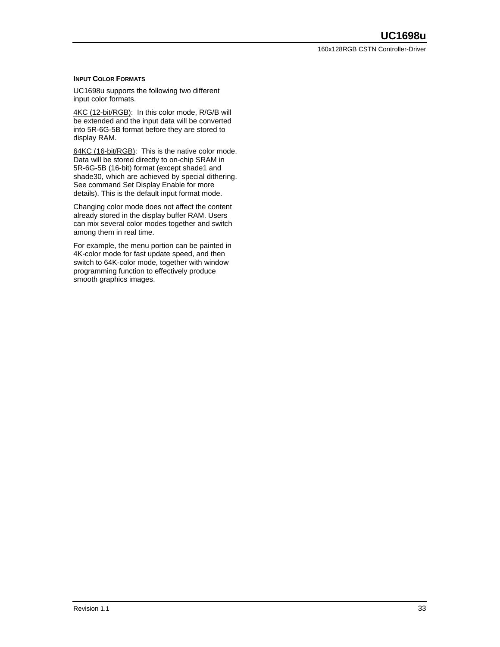#### **INPUT COLOR FORMATS**

UC1698u supports the following two different input color formats.

4KC (12-bit/RGB): In this color mode, R/G/B will be extended and the input data will be converted into 5R-6G-5B format before they are stored to display RAM.

64KC (16-bit/RGB): This is the native color mode. Data will be stored directly to on-chip SRAM in 5R-6G-5B (16-bit) format (except shade1 and shade30, which are achieved by special dithering. See command Set Display Enable for more details). This is the default input format mode.

Changing color mode does not affect the content already stored in the display buffer RAM. Users can mix several color modes together and switch among them in real time.

For example, the menu portion can be painted in 4K-color mode for fast update speed, and then switch to 64K-color mode, together with window programming function to effectively produce smooth graphics images.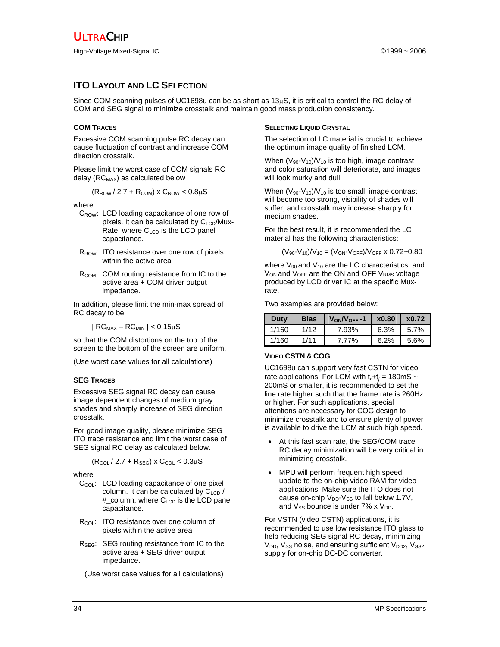## **ITO LAYOUT AND LC SELECTION**

Since COM scanning pulses of UC1698u can be as short as 13µS, it is critical to control the RC delay of COM and SEG signal to minimize crosstalk and maintain good mass production consistency.

#### **COM TRACES**

Excessive COM scanning pulse RC decay can cause fluctuation of contrast and increase COM direction crosstalk.

Please limit the worst case of COM signals RC delay  $(RC_{MAX})$  as calculated below

$$
(R_{\text{ROW}} / 2.7 + R_{\text{COM}}) \times C_{\text{ROW}} < 0.8 \mu S
$$

where

- C<sub>ROW</sub>: LCD loading capacitance of one row of pixels. It can be calculated by  $C_{\text{LCD}}/Mux-$ Rate, where  $C_{\text{LCD}}$  is the LCD panel capacitance.
- R<sub>ROW</sub>: ITO resistance over one row of pixels within the active area
- R<sub>COM</sub>: COM routing resistance from IC to the active area + COM driver output impedance.

In addition, please limit the min-max spread of RC decay to be:

 $|RC_{MAX} - RC_{MIN}| < 0.15 \mu S$ 

so that the COM distortions on the top of the screen to the bottom of the screen are uniform.

(Use worst case values for all calculations)

#### **SEG TRACES**

Excessive SEG signal RC decay can cause image dependent changes of medium gray shades and sharply increase of SEG direction crosstalk.

For good image quality, please minimize SEG ITO trace resistance and limit the worst case of SEG signal RC delay as calculated below.

$$
(R_{\text{COL}} / 2.7 + R_{\text{SEG}}) \times C_{\text{COL}} < 0.3 \mu S
$$

where

- C<sub>COL</sub>: LCD loading capacitance of one pixel column. It can be calculated by  $C_{\text{LCD}}$  / # column, where  $C_{\text{LCD}}$  is the LCD panel capacitance.
- $R_{COL}$ : ITO resistance over one column of pixels within the active area
- R<sub>SEG</sub>: SEG routing resistance from IC to the active area + SEG driver output impedance.
	- (Use worst case values for all calculations)

#### **SELECTING LIQUID CRYSTAL**

The selection of LC material is crucial to achieve the optimum image quality of finished LCM.

When  $(V_{90}$ - $V_{10})/V_{10}$  is too high, image contrast and color saturation will deteriorate, and images will look murky and dull.

When  $(V_{90} - V_{10})/V_{10}$  is too small, image contrast will become too strong, visibility of shades will suffer, and crosstalk may increase sharply for medium shades.

For the best result, it is recommended the LC material has the following characteristics:

 $(V_{90} - V_{10})/V_{10} = (V_{ON} - V_{OFF})/V_{OFF}$  x 0.72~0.80

where  $V_{90}$  and  $V_{10}$  are the LC characteristics, and  $V_{ON}$  and  $V_{OFF}$  are the ON and OFF  $V_{RMS}$  voltage produced by LCD driver IC at the specific Muxrate.

Two examples are provided below:

| Duty  | Bias | $V_{ON}/V_{OFF}$ -1 | x0.80 | x0.72   |
|-------|------|---------------------|-------|---------|
| 1/160 | 1/12 | 7.93%               | 6.3%  | $5.7\%$ |
| 1/160 | 1/11 | 7.77%               | 6.2%  | 5.6%    |

#### **VIDEO CSTN & COG**

UC1698u can support very fast CSTN for video rate applications. For LCM with  $t_r + t_f = 180 \text{mS}$  ~ 200mS or smaller, it is recommended to set the line rate higher such that the frame rate is 260Hz or higher. For such applications, special attentions are necessary for COG design to minimize crosstalk and to ensure plenty of power is available to drive the LCM at such high speed.

- At this fast scan rate, the SEG/COM trace RC decay minimization will be very critical in minimizing crosstalk.
- MPU will perform frequent high speed update to the on-chip video RAM for video applications. Make sure the ITO does not cause on-chip  $V_{DD}$ - $V_{SS}$  to fall below 1.7V, and  $V_{SS}$  bounce is under 7% x  $V_{DD}$ .

For VSTN (video CSTN) applications, it is recommended to use low resistance ITO glass to help reducing SEG signal RC decay, minimizing  $V_{DD}$ ,  $V_{SS}$  noise, and ensuring sufficient  $V_{DD2}$ ,  $V_{SS2}$ supply for on-chip DC-DC converter.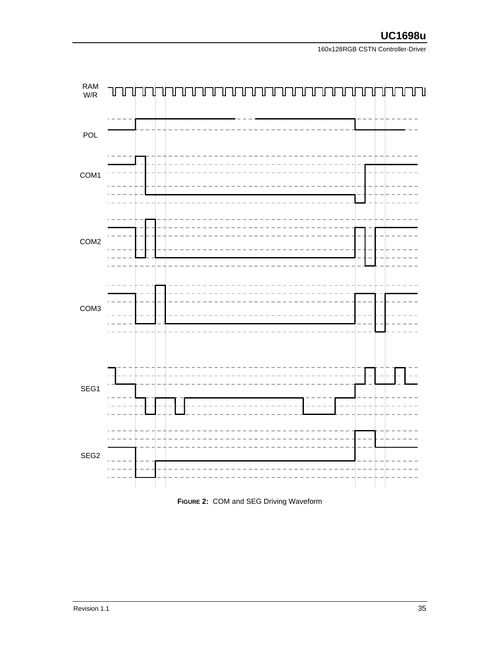

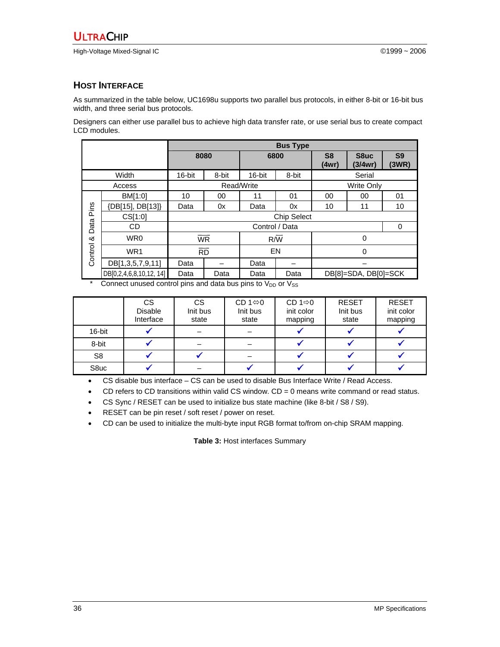#### **HOST INTERFACE**

As summarized in the table below, UC1698u supports two parallel bus protocols, in either 8-bit or 16-bit bus width, and three serial bus protocols.

Designers can either use parallel bus to achieve high data transfer rate, or use serial bus to create compact LCD modules.

|         |                         | 8080               |                          |                | 6800      | S <sub>8</sub><br>(4wr) | S8uc<br>(3/4wr)      | S <sub>9</sub><br>(3WR) |  |  |  |  |
|---------|-------------------------|--------------------|--------------------------|----------------|-----------|-------------------------|----------------------|-------------------------|--|--|--|--|
|         | Width                   | 16-bit             | 8-bit                    | 16-bit         | 8-bit     |                         | Serial               |                         |  |  |  |  |
|         | Access                  |                    |                          | Read/Write     |           | <b>Write Only</b>       |                      |                         |  |  |  |  |
|         | BM[1:0]                 | 10                 | $00\,$                   | 11             | 01        | 00                      | 00                   | 01                      |  |  |  |  |
| Pins    | {DB[15], DB[13]}        | Data               | 0x                       | Data           | 0x        | 10                      | 11                   | 10                      |  |  |  |  |
|         | CS[1:0]                 | <b>Chip Select</b> |                          |                |           |                         |                      |                         |  |  |  |  |
| Data    | CD                      |                    |                          | Control / Data |           |                         | 0                    |                         |  |  |  |  |
| య       | WR0                     |                    | $\overline{\mathsf{WR}}$ |                | R/W       |                         | $\Omega$             |                         |  |  |  |  |
| Control | WR1                     |                    | $\overline{RD}$          |                | <b>EN</b> |                         | $\mathbf 0$          |                         |  |  |  |  |
|         | DB[1,3,5,7,9,11]        | Data               |                          | Data           |           |                         |                      |                         |  |  |  |  |
|         | DB[0,2,4,6,8,10,12, 14] | Data               | Data                     | Data           | Data      |                         | DB[8]=SDA, DB[0]=SCK |                         |  |  |  |  |

Connect unused control pins and data bus pins to  $V_{DD}$  or  $V_{SS}$ 

|                | <b>CS</b><br><b>Disable</b><br>Interface | <b>CS</b><br>Init bus<br>state | CD 1 $\Leftrightarrow$ 0<br>Init bus<br>state | CD 1 $\Leftrightarrow$ 0<br>init color<br>mapping | <b>RESET</b><br>Init bus<br>state | <b>RESET</b><br>init color<br>mapping |
|----------------|------------------------------------------|--------------------------------|-----------------------------------------------|---------------------------------------------------|-----------------------------------|---------------------------------------|
| 16-bit         |                                          |                                |                                               |                                                   |                                   |                                       |
| 8-bit          |                                          |                                |                                               |                                                   |                                   |                                       |
| S <sub>8</sub> |                                          |                                |                                               |                                                   |                                   |                                       |
| S8uc           |                                          |                                |                                               |                                                   |                                   |                                       |

• CS disable bus interface – CS can be used to disable Bus Interface Write / Read Access.

• CD refers to CD transitions within valid CS window.  $CD = 0$  means write command or read status.

• CS Sync / RESET can be used to initialize bus state machine (like 8-bit / S8 / S9).

• RESET can be pin reset / soft reset / power on reset.

• CD can be used to initialize the multi-byte input RGB format to/from on-chip SRAM mapping.

**Table 3:** Host interfaces Summary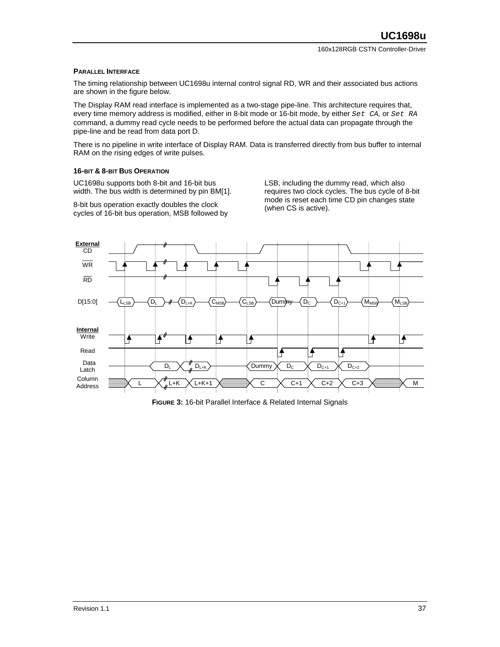#### **PARALLEL INTERFACE**

The timing relationship between UC1698u internal control signal RD, WR and their associated bus actions are shown in the figure below.

The Display RAM read interface is implemented as a two-stage pipe-line. This architecture requires that, every time memory address is modified, either in 8-bit mode or 16-bit mode, by either *Set CA,* or *Set RA* command, a dummy read cycle needs to be performed before the actual data can propagate through the pipe-line and be read from data port D.

There is no pipeline in write interface of Display RAM. Data is transferred directly from bus buffer to internal RAM on the rising edges of write pulses.

#### **16-BIT & 8-BIT BUS OPERATION**

UC1698u supports both 8-bit and 16-bit bus width. The bus width is determined by pin BM[1].

8-bit bus operation exactly doubles the clock cycles of 16-bit bus operation, MSB followed by LSB, including the dummy read, which also requires two clock cycles. The bus cycle of 8-bit mode is reset each time CD pin changes state (when CS is active).



**FIGURE 3:** 16-bit Parallel Interface & Related Internal Signals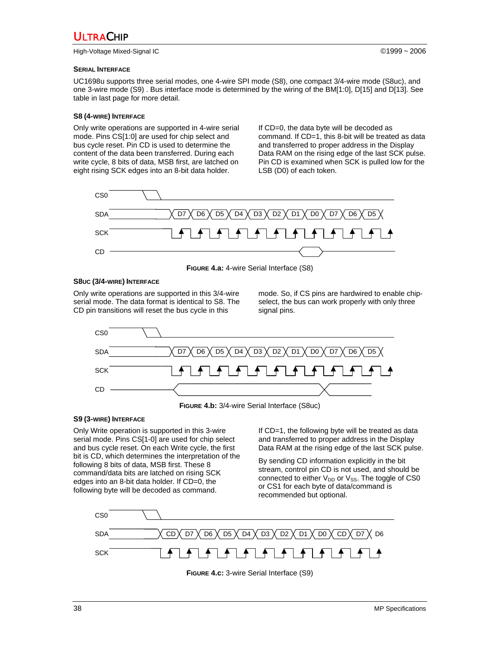High-Voltage Mixed-Signal IC ©1999 ~ 2006

#### **SERIAL INTERFACE**

UC1698u supports three serial modes, one 4-wire SPI mode (S8), one compact 3/4-wire mode (S8uc), and one 3-wire mode (S9) . Bus interface mode is determined by the wiring of the BM[1:0], D[15] and D[13]. See table in last page for more detail.

#### **S8 (4-WIRE) INTERFACE**

Only write operations are supported in 4-wire serial mode. Pins CS[1:0] are used for chip select and bus cycle reset. Pin CD is used to determine the content of the data been transferred. During each write cycle, 8 bits of data, MSB first, are latched on eight rising SCK edges into an 8-bit data holder.

If CD=0, the data byte will be decoded as command. If CD=1, this 8-bit will be treated as data and transferred to proper address in the Display Data RAM on the rising edge of the last SCK pulse. Pin CD is examined when SCK is pulled low for the LSB (D0) of each token.



**FIGURE 4.a:** 4-wire Serial Interface (S8)

#### **S8UC (3/4-WIRE) INTERFACE**

Only write operations are supported in this 3/4-wire serial mode. The data format is identical to S8. The CD pin transitions will reset the bus cycle in this

mode. So, if CS pins are hardwired to enable chipselect, the bus can work properly with only three signal pins.



#### **S9 (3-WIRE) INTERFACE**

Only Write operation is supported in this 3-wire serial mode. Pins CS[1-0] are used for chip select and bus cycle reset. On each Write cycle, the first bit is CD, which determines the interpretation of the following 8 bits of data, MSB first. These 8 command/data bits are latched on rising SCK edges into an 8-bit data holder. If CD=0, the following byte will be decoded as command.

If CD=1, the following byte will be treated as data and transferred to proper address in the Display Data RAM at the rising edge of the last SCK pulse.

By sending CD information explicitly in the bit stream, control pin CD is not used, and should be connected to either  $V_{DD}$  or  $V_{SS}$ . The toggle of CS0 or CS1 for each byte of data/command is recommended but optional.



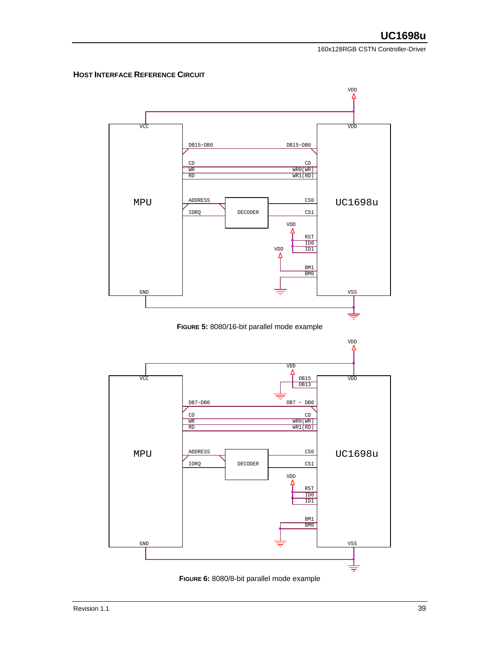#### **HOST INTERFACE REFERENCE CIRCUIT**



**FIGURE 6:** 8080/8-bit parallel mode example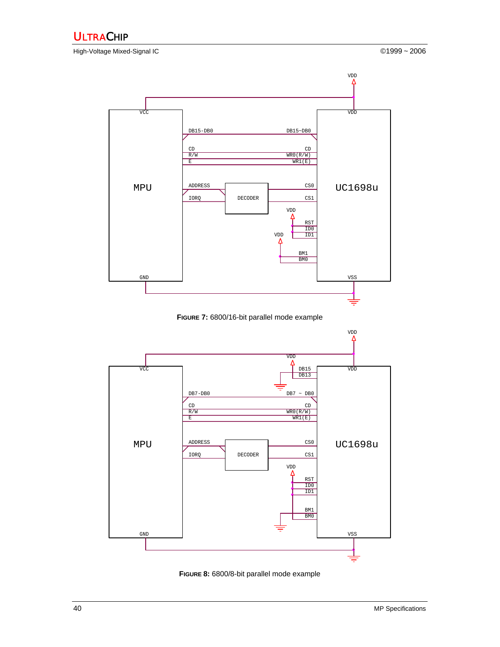High-Voltage Mixed-Signal IC ©1999 ~ 2006



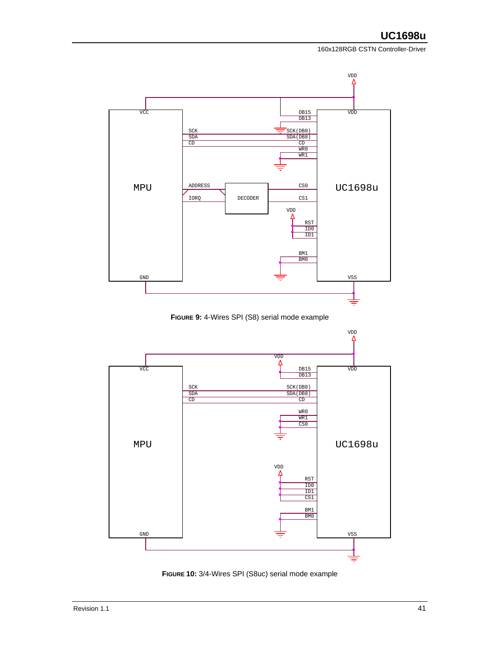



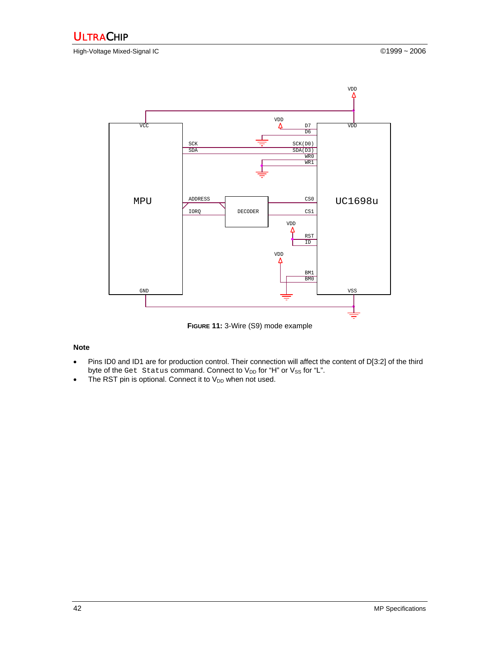High-Voltage Mixed-Signal IC ©1999 ~ 2006



**FIGURE 11:** 3-Wire (S9) mode example

#### **Note**

- Pins ID0 and ID1 are for production control. Their connection will affect the content of D[3:2] of the third byte of the Get Status command. Connect to  $V_{DD}$  for "H" or  $V_{SS}$  for "L".
- The RST pin is optional. Connect it to  $V_{DD}$  when not used.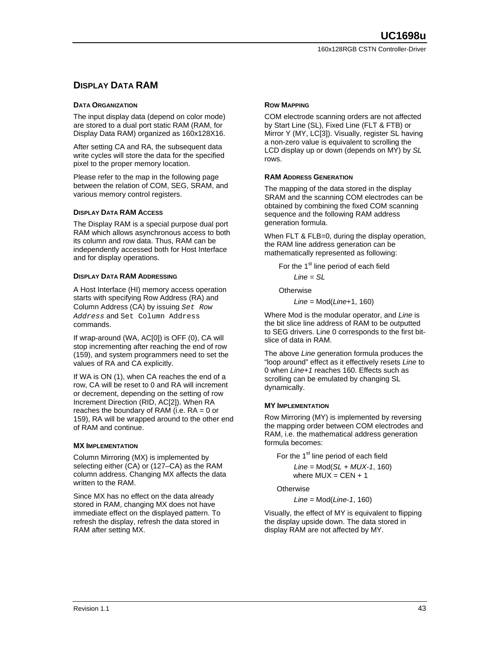### **DISPLAY DATA RAM**

#### **DATA ORGANIZATION**

The input display data (depend on color mode) are stored to a dual port static RAM (RAM, for Display Data RAM) organized as 160x128X16.

After setting CA and RA, the subsequent data write cycles will store the data for the specified pixel to the proper memory location.

Please refer to the map in the following page between the relation of COM, SEG, SRAM, and various memory control registers.

#### **DISPLAY DATA RAM ACCESS**

The Display RAM is a special purpose dual port RAM which allows asynchronous access to both its column and row data. Thus, RAM can be independently accessed both for Host Interface and for display operations.

#### **DISPLAY DATA RAM ADDRESSING**

A Host Interface (HI) memory access operation starts with specifying Row Address (RA) and Column Address (CA) by issuing *Set Row Address* and Set Column Address commands.

If wrap-around (WA, AC[0]) is OFF (0), CA will stop incrementing after reaching the end of row (159), and system programmers need to set the values of RA and CA explicitly.

If WA is ON (1), when CA reaches the end of a row, CA will be reset to 0 and RA will increment or decrement, depending on the setting of row Increment Direction (RID, AC[2]). When RA reaches the boundary of RAM (i.e.  $RA = 0$  or 159), RA will be wrapped around to the other end of RAM and continue.

#### **MX IMPLEMENTATION**

Column Mirroring (MX) is implemented by selecting either (CA) or (127–CA) as the RAM column address. Changing MX affects the data written to the RAM.

Since MX has no effect on the data already stored in RAM, changing MX does not have immediate effect on the displayed pattern. To refresh the display, refresh the data stored in RAM after setting MX.

#### **ROW MAPPING**

COM electrode scanning orders are not affected by Start Line (SL), Fixed Line (FLT & FTB) or Mirror Y (MY, LC[3]). Visually, register SL having a non-zero value is equivalent to scrolling the LCD display up or down (depends on MY) by *SL* rows.

#### **RAM ADDRESS GENERATION**

The mapping of the data stored in the display SRAM and the scanning COM electrodes can be obtained by combining the fixed COM scanning sequence and the following RAM address generation formula.

When FLT & FLB=0, during the display operation, the RAM line address generation can be mathematically represented as following:

For the 1<sup>st</sup> line period of each field  $Line = SI$ 

Otherwise

*Line =* Mod(*Line*+1, 160)

Where Mod is the modular operator, and *Line* is the bit slice line address of RAM to be outputted to SEG drivers. Line 0 corresponds to the first bitslice of data in RAM.

The above *Line* generation formula produces the "loop around" effect as it effectively resets *Line* to 0 when *Line+1* reaches 160. Effects such as scrolling can be emulated by changing SL dynamically.

#### **MY IMPLEMENTATION**

Row Mirroring (MY) is implemented by reversing the mapping order between COM electrodes and RAM, i.e. the mathematical address generation formula becomes:

For the 1<sup>st</sup> line period of each field *Line =* Mod(*SL + MUX-1*, 160) where  $MUX = CEN + 1$ 

Otherwise

*Line =* Mod(*Line-1*, 160)

Visually, the effect of MY is equivalent to flipping the display upside down. The data stored in display RAM are not affected by MY.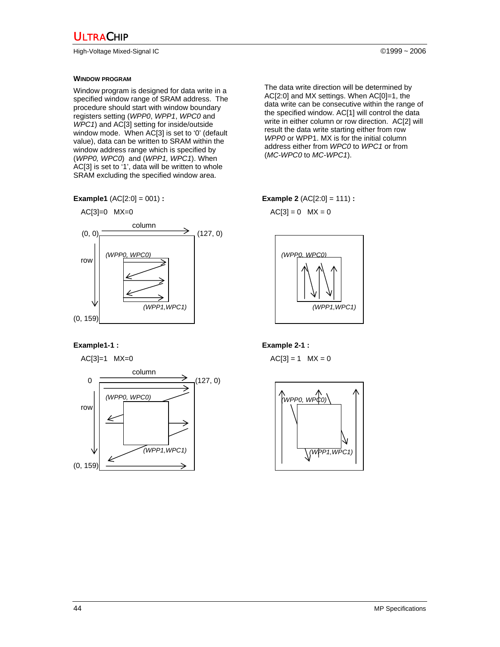High-Voltage Mixed-Signal IC ©1999 ~ 2006

#### **WINDOW PROGRAM**

Window program is designed for data write in a specified window range of SRAM address. The procedure should start with window boundary registers setting (*WPP0*, *WPP1*, *WPC0* and *WPC1*) and AC[3] setting for inside/outside window mode. When AC[3] is set to '0' (default value), data can be written to SRAM within the window address range which is specified by (*WPP0, WPC0*) and (*WPP1, WPC1*). When AC[3] is set to '1', data will be written to whole SRAM excluding the specified window area.

**Example1** (AC[2:0] = 001) **: Example 2** (AC[2:0] = 111) **:** 



$$
AC[3]=1 \quad MX=0
$$



$$
AC[3] = 0 \quad MX = 0
$$



#### **Example1-1 : Example 2-1 : Example 2-1 :**

 $AC[3] = 1$   $MX = 0$ 



The data write direction will be determined by AC[2:0] and MX settings. When AC[0]=1, the data write can be consecutive within the range of the specified window. AC[1] will control the data write in either column or row direction. AC[2] will result the data write starting either from row *WPP0* or WPP1. MX is for the initial column address either from *WPC0* to *WPC1* or from (*MC-WPC0* to *MC-WPC1*).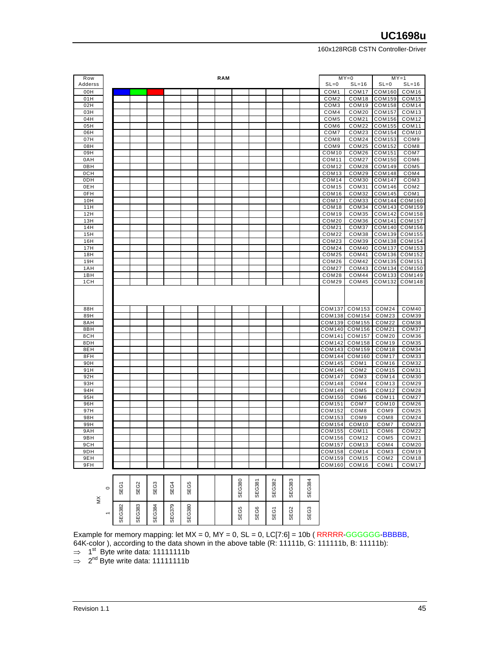| Row     |   |   |   |   |   | <b>RAM</b> |    |   |    |    |    |                   | $MY = 0$          |                   | $MY = 1$          |
|---------|---|---|---|---|---|------------|----|---|----|----|----|-------------------|-------------------|-------------------|-------------------|
| Adderss |   |   |   |   |   |            |    |   |    |    |    | $SL=0$            | $SL=16$           | $SL=0$            | $SL=16$           |
| 00H     |   |   |   |   |   |            |    |   |    |    |    | COM <sub>1</sub>  | COM <sub>17</sub> | COM160            | COM16             |
| 01H     |   |   |   |   |   |            |    |   |    |    |    | COM <sub>2</sub>  | COM <sub>18</sub> | <b>COM159</b>     | COM <sub>15</sub> |
| 02H     |   |   |   |   |   |            |    |   |    |    |    | COM3              | COM19             | <b>COM158</b>     | COM14             |
| 03H     |   |   |   |   |   |            |    |   |    |    |    | COM4              | COM20             | <b>COM157</b>     | COM <sub>13</sub> |
|         |   |   |   |   |   |            |    |   |    |    |    |                   |                   |                   |                   |
| 04H     |   |   |   |   |   |            |    |   |    |    |    | COM5              | COM21             | COM156            | COM12             |
| 05H     |   |   |   |   |   |            |    |   |    |    |    | COM <sub>6</sub>  | COM22             | <b>COM155</b>     | COM <sub>11</sub> |
| 06H     |   |   |   |   |   |            |    |   |    |    |    | COM7              | COM23             | COM154            | COM <sub>10</sub> |
| 07H     |   |   |   |   |   |            |    |   |    |    |    | COM8              | COM24             | COM153            | COM9              |
| 08H     |   |   |   |   |   |            |    |   |    |    |    | COM <sub>9</sub>  | COM25             | <b>COM152</b>     | COM <sub>8</sub>  |
| 09H     |   |   |   |   |   |            |    |   |    |    |    | COM <sub>10</sub> | COM26             | COM151            | COM7              |
| 0AH     |   |   |   |   |   |            |    |   |    |    |    | COM <sub>11</sub> | COM27             | <b>COM150</b>     | COM <sub>6</sub>  |
| 0BH     |   |   |   |   |   |            |    |   |    |    |    | COM <sub>12</sub> | COM28             | COM149            | COM <sub>5</sub>  |
| 0CH     |   |   |   |   |   |            |    |   |    |    |    | COM13             | COM29             | <b>COM148</b>     | COM4              |
| 0DH     |   |   |   |   |   |            |    |   |    |    |    | COM14             | COM30             | <b>COM147</b>     | COM <sub>3</sub>  |
| 0EH     |   |   |   |   |   |            |    |   |    |    |    | COM <sub>15</sub> | COM31             | COM146            | COM <sub>2</sub>  |
| 0FH     |   |   |   |   |   |            |    |   |    |    |    | COM16             | COM32             | <b>COM145</b>     | COM <sub>1</sub>  |
| 10H     |   |   |   |   |   |            |    |   |    |    |    | COM <sub>17</sub> | COM33             | COM144            | COM160            |
| 11H     |   |   |   |   |   |            |    |   |    |    |    | COM <sub>18</sub> | COM34             | <b>COM143</b>     | <b>COM159</b>     |
| 12H     |   |   |   |   |   |            |    |   |    |    |    | COM <sub>19</sub> | COM35             | COM142            | COM158            |
| 13H     |   |   |   |   |   |            |    |   |    |    |    | COM20             | COM36             | COM141            | COM157            |
| 14H     |   |   |   |   |   |            |    |   |    |    |    | COM21             | COM37             | <b>COM140</b>     | COM156            |
| 15H     |   |   |   |   |   |            |    |   |    |    |    | COM22             | COM38             | COM139            | COM155            |
| 16H     |   |   |   |   |   |            |    |   |    |    |    | COM23             | COM39             | <b>COM138</b>     | COM154            |
| 17H     |   |   |   |   |   |            |    |   |    |    |    | COM24             | COM40             | COM137            | COM153            |
| 18H     |   |   |   |   |   |            |    |   |    |    |    | COM25             | COM41             | COM136            | COM152            |
| 19H     |   |   |   |   |   |            |    |   |    |    |    | COM26             | COM42             | COM135            | COM151            |
| 1AH     |   |   |   |   |   |            |    |   |    |    |    | COM27             | COM43             | COM134            | COM150            |
| 1BH     |   |   |   |   |   |            |    |   |    |    |    | COM28             | COM44             | COM133            | COM149            |
| 1CH     |   |   |   |   |   |            |    |   |    |    |    | COM29             | COM45             | COM132            | COM148            |
|         |   |   |   |   |   |            |    |   |    |    |    |                   |                   |                   |                   |
|         |   |   |   |   |   |            |    |   |    |    |    |                   |                   |                   |                   |
|         |   |   |   |   |   |            |    |   |    |    |    |                   |                   |                   |                   |
| 88H     |   |   |   |   |   |            |    |   |    |    |    | <b>COM137</b>     | COM153            | COM24             | COM40             |
| 89H     |   |   |   |   |   |            |    |   |    |    |    | COM138            | COM154            | COM23             | COM39             |
| 8AH     |   |   |   |   |   |            |    |   |    |    |    | COM139            | <b>COM155</b>     | COM22             | COM38             |
| 8BH     |   |   |   |   |   |            |    |   |    |    |    | COM140            | <b>COM156</b>     | COM21             | COM37             |
| 8CH     |   |   |   |   |   |            |    |   |    |    |    | COM141            | <b>COM157</b>     | COM20             | COM36             |
| 8DH     |   |   |   |   |   |            |    |   |    |    |    |                   |                   |                   |                   |
|         |   |   |   |   |   |            |    |   |    |    |    | <b>COM142</b>     | <b>COM158</b>     | COM <sub>19</sub> | COM35             |
| 8EH     |   |   |   |   |   |            |    |   |    |    |    | COM143            | COM159            | COM18             | COM34             |
| 8FH     |   |   |   |   |   |            |    |   |    |    |    | COM144            | <b>COM160</b>     | COM <sub>17</sub> | COM33             |
| 90H     |   |   |   |   |   |            |    |   |    |    |    | COM145            | COM <sub>1</sub>  | COM <sub>16</sub> | COM32             |
| 91H     |   |   |   |   |   |            |    |   |    |    |    | <b>COM146</b>     | COM <sub>2</sub>  | COM <sub>15</sub> | COM31             |
| 92H     |   |   |   |   |   |            |    |   |    |    |    | COM147            | COM <sub>3</sub>  | COM14             | COM30             |
| 93H     |   |   |   |   |   |            |    |   |    |    |    | <b>COM148</b>     | COM4              | COM <sub>13</sub> | COM29             |
| 94H     |   |   |   |   |   |            |    |   |    |    |    | COM149            | COM <sub>5</sub>  | COM <sub>12</sub> | COM28             |
| 95H     |   |   |   |   |   |            |    |   |    |    |    | <b>COM150</b>     | COM6              | COM11             | COM27             |
| 96H     |   |   |   |   |   |            |    |   |    |    |    | COM151            | COM7              | COM <sub>10</sub> | COM26             |
| 97H     |   |   |   |   |   |            |    |   |    |    |    | <b>COM152</b>     | COM <sub>8</sub>  | COM <sub>9</sub>  | COM25             |
| 98H     |   |   |   |   |   |            |    |   |    |    |    | COM153            | COM9              | COM <sub>8</sub>  | COM24             |
| 99H     |   |   |   |   |   |            |    |   |    |    |    | <b>COM154</b>     | COM <sub>10</sub> | COM7              | COM23             |
| 9AH     |   |   |   |   |   |            |    |   |    |    |    | <b>COM155</b>     | COM <sub>11</sub> | COM <sub>6</sub>  | COM22             |
| 9BH     |   |   |   |   |   |            |    |   |    |    |    | <b>COM156</b>     | COM <sub>12</sub> | COM <sub>5</sub>  | COM21             |
| 9CH     |   |   |   |   |   |            |    |   |    |    |    | COM157            | COM <sub>13</sub> | COM4              | COM20             |
| 9DH     |   |   |   |   |   |            |    |   |    |    |    | COM158            | COM14             | COM3              | COM19             |
| 9EH     |   |   |   |   |   |            |    |   |    |    |    | COM159            | COM <sub>15</sub> | COM <sub>2</sub>  | COM <sub>18</sub> |
| 9FH     |   |   |   |   |   |            |    |   |    |    |    | COM160            | COM <sub>16</sub> | COM <sub>1</sub>  | COM <sub>17</sub> |
|         |   |   |   |   |   |            |    |   |    |    |    |                   |                   |                   |                   |
|         |   |   |   |   |   |            | 80 | ౚ | 82 | 33 | 84 |                   |                   |                   |                   |
|         | 7 | Ñ | ო | 4 | Ю |            |    |   |    |    |    |                   |                   |                   |                   |

| š | $\circ$        | ξõ<br>ၯ   | SEG2          | SEG3   | EG4<br>ၯ | SEG5          |  | SEG380 | EG381<br>ᢆ | EG382<br>S  | <b>SEG383</b> | SEG38 |
|---|----------------|-----------|---------------|--------|----------|---------------|--|--------|------------|-------------|---------------|-------|
|   | $\overline{ }$ | G382<br>₩ | <b>SEG383</b> | SEG384 | SEG379   | <b>SEG380</b> |  | SEG5   | SEG6       | <b>SEG1</b> | SEG2          | SEG3  |

Example for memory mapping: let  $MX = 0$ ,  $MY = 0$ ,  $SL = 0$ ,  $LC[7:6] = 10b$  ( $RRRR-GGGGG-BBBBB$ , 64K-color ), according to the data shown in the above table (R: 11111b, G: 111111b, B: 11111b):

 $\Rightarrow$  1<sup>st</sup> Byte write data: 11111111b

 $\Rightarrow$  2<sup>nd</sup> Byte write data: 11111111b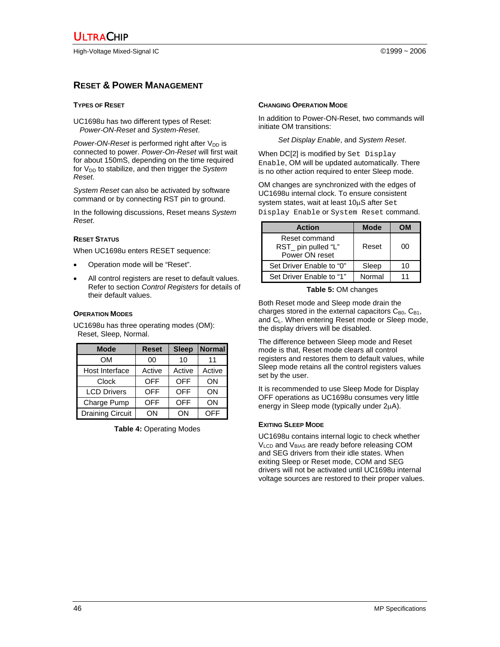#### **RESET & POWER MANAGEMENT**

#### **TYPES OF RESET**

UC1698u has two different types of Reset: *Power-ON-Reset* and *System-Reset*.

*Power-ON-Reset* is performed right after V<sub>DD</sub> is connected to power. *Power-On-Reset* will first wait for about 150mS, depending on the time required for V<sub>DD</sub> to stabilize, and then trigger the *System Reset*.

*System Reset* can also be activated by software command or by connecting RST pin to ground.

In the following discussions, Reset means *System Reset*.

#### **RESET STATUS**

When UC1698u enters RESET sequence:

- Operation mode will be "Reset".
- All control registers are reset to default values. Refer to section *Control Registers* for details of their default values.

#### **OPERATION MODES**

UC1698u has three operating modes (OM): Reset, Sleep, Normal.

| <b>Mode</b>             | <b>Reset</b> | <b>Sleep</b> | <b>Normal</b> |
|-------------------------|--------------|--------------|---------------|
| OM                      | 00           | 10           | 11            |
| Host Interface          | Active       | Active       | Active        |
| Clock                   | <b>OFF</b>   | <b>OFF</b>   | ON            |
| <b>LCD Drivers</b>      | <b>OFF</b>   | <b>OFF</b>   | OΝ            |
| Charge Pump             | <b>OFF</b>   | <b>OFF</b>   | OΝ            |
| <b>Draining Circuit</b> | ON           | ΩN           | OFF           |

**Table 4:** Operating Modes

#### **CHANGING OPERATION MODE**

In addition to Power-ON-Reset, two commands will initiate OM transitions:

#### *Set Display Enable*, and *System Reset*.

When DC[2] is modified by Set Display Enable, OM will be updated automatically. There is no other action required to enter Sleep mode.

OM changes are synchronized with the edges of UC1698u internal clock. To ensure consistent system states, wait at least 10µS after Set Display Enable or System Reset command.

| <b>Action</b>                                          | <b>Mode</b> | ωM |
|--------------------------------------------------------|-------------|----|
| Reset command<br>RST_ pin pulled "L"<br>Power ON reset | Reset       | იი |
| Set Driver Enable to "0"                               | Sleep       | 10 |
| Set Driver Enable to "1"                               | Normal      |    |

#### **Table 5:** OM changes

Both Reset mode and Sleep mode drain the charges stored in the external capacitors  $C_{B0}$ ,  $C_{B1}$ , and CL. When entering Reset mode or Sleep mode, the display drivers will be disabled.

The difference between Sleep mode and Reset mode is that, Reset mode clears all control registers and restores them to default values, while Sleep mode retains all the control registers values set by the user.

It is recommended to use Sleep Mode for Display OFF operations as UC1698u consumes very little energy in Sleep mode (typically under 2µA).

#### **EXITING SLEEP MODE**

UC1698u contains internal logic to check whether  $V<sub>LCD</sub>$  and  $V<sub>BIAS</sub>$  are ready before releasing COM and SEG drivers from their idle states. When exiting Sleep or Reset mode, COM and SEG drivers will not be activated until UC1698u internal voltage sources are restored to their proper values.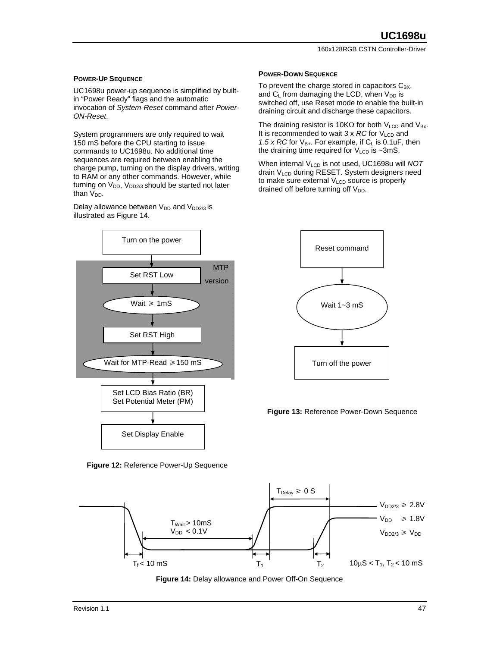#### **POWER-UP SEQUENCE**

UC1698u power-up sequence is simplified by builtin "Power Ready" flags and the automatic invocation of *System-Reset* command after *Power-ON-Reset*.

System programmers are only required to wait 150 mS before the CPU starting to issue commands to UC1698u. No additional time sequences are required between enabling the charge pump, turning on the display drivers, writing to RAM or any other commands. However, while turning on  $V_{DD}$ ,  $V_{DD2/3}$  should be started not later than  $V_{DD}$ .

Delay allowance between V<sub>DD</sub> and V<sub>DD2/3</sub> is illustrated as Figure 14.

# **MTP** version Turn on the power Set LCD Bias Ratio (BR) Set Potential Meter (PM) Set Display Enable Set RST Low Wait  $\geq 1 \text{mS}$ Set RST High Wait for MTP-Read  $\geq 150$  mS

**Figure 12:** Reference Power-Up Sequence



To prevent the charge stored in capacitors  $C_{BX}$ , and  $C_L$  from damaging the LCD, when  $V_{DD}$  is switched off, use Reset mode to enable the built-in draining circuit and discharge these capacitors.

The draining resistor is 10K $\Omega$  for both V<sub>LCD</sub> and V<sub>Bx</sub>. It is recommended to wait  $3 \times RC$  for  $V_{LCD}$  and 1.5 x RC for  $V_{B+}$ . For example, if  $C_{L}$  is 0.1uF, then the draining time required for  $V_{LCD}$  is ~3mS.

When internal V<sub>LCD</sub> is not used, UC1698u will *NOT* drain VLCD during RESET. System designers need to make sure external  $V_{LCD}$  source is properly drained off before turning off  $V_{DD}$ .



**Figure 13:** Reference Power-Down Sequence



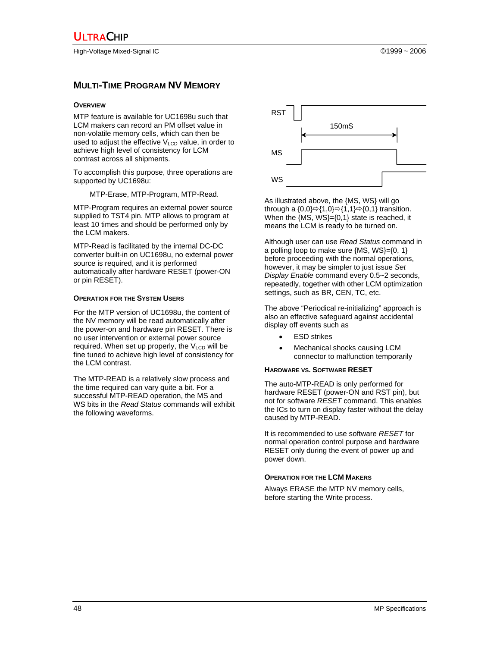High-Voltage Mixed-Signal IC ©1999 ~ 2006

#### **MULTI-TIME PROGRAM NV MEMORY**

#### **OVERVIEW**

MTP feature is available for UC1698u such that LCM makers can record an PM offset value in non-volatile memory cells, which can then be used to adjust the effective  $V_{\text{LCD}}$  value, in order to achieve high level of consistency for LCM contrast across all shipments.

To accomplish this purpose, three operations are supported by UC1698u:

MTP-Erase, MTP-Program, MTP-Read.

MTP-Program requires an external power source supplied to TST4 pin. MTP allows to program at least 10 times and should be performed only by the LCM makers.

MTP-Read is facilitated by the internal DC-DC converter built-in on UC1698u, no external power source is required, and it is performed automatically after hardware RESET (power-ON or pin RESET).

#### **OPERATION FOR THE SYSTEM USERS**

For the MTP version of UC1698u, the content of the NV memory will be read automatically after the power-on and hardware pin RESET. There is no user intervention or external power source required. When set up properly, the VLCD will be fine tuned to achieve high level of consistency for the LCM contrast.

The MTP-READ is a relatively slow process and the time required can vary quite a bit. For a successful MTP-READ operation, the MS and WS bits in the *Read Status* commands will exhibit the following waveforms.



As illustrated above, the {MS, WS} will go through a  ${0,0} \Rightarrow {1,0} \Rightarrow {1,1} \Rightarrow {0,1}$  transition. When the {MS, WS}={0,1} state is reached, it means the LCM is ready to be turned on.

Although user can use *Read Status* command in a polling loop to make sure {MS, WS}={0, 1} before proceeding with the normal operations, however, it may be simpler to just issue *Set Display Enable* command every 0.5~2 seconds, repeatedly, together with other LCM optimization settings, such as BR, CEN, TC, etc.

The above "Periodical re-initializing" approach is also an effective safeguard against accidental display off events such as

- **ESD** strikes
- Mechanical shocks causing LCM connector to malfunction temporarily

#### **HARDWARE VS. SOFTWARE RESET**

The auto-MTP-READ is only performed for hardware RESET (power-ON and RST pin), but not for software *RESET* command. This enables the ICs to turn on display faster without the delay caused by MTP-READ.

It is recommended to use software *RESET* for normal operation control purpose and hardware RESET only during the event of power up and power down.

#### **OPERATION FOR THE LCM MAKERS**

Always ERASE the MTP NV memory cells, before starting the Write process.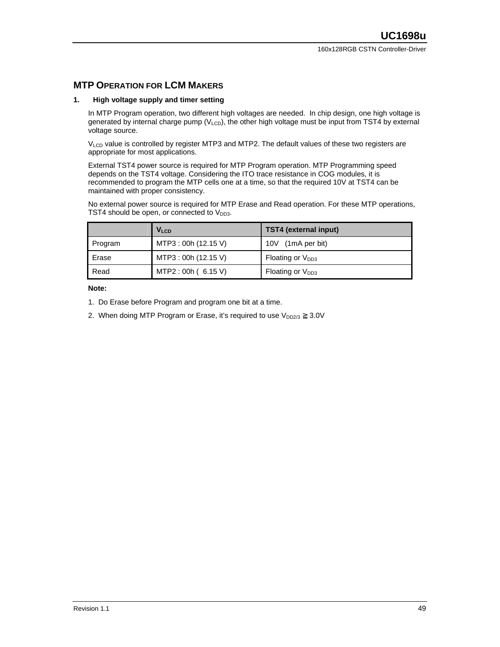#### **MTP OPERATION FOR LCM MAKERS**

#### **1. High voltage supply and timer setting**

In MTP Program operation, two different high voltages are needed. In chip design, one high voltage is generated by internal charge pump ( $V_{LCD}$ ), the other high voltage must be input from TST4 by external voltage source.

V<sub>LCD</sub> value is controlled by register MTP3 and MTP2. The default values of these two registers are appropriate for most applications.

External TST4 power source is required for MTP Program operation. MTP Programming speed depends on the TST4 voltage. Considering the ITO trace resistance in COG modules, it is recommended to program the MTP cells one at a time, so that the required 10V at TST4 can be maintained with proper consistency.

No external power source is required for MTP Erase and Read operation. For these MTP operations, TST4 should be open, or connected to  $V_{DD3}$ .

|         | V <sub>LCD</sub>     | TST4 (external input) |
|---------|----------------------|-----------------------|
| Program | MTP3 : 00h (12.15 V) | (1mA per bit)<br>10V  |
| Erase   | MTP3 : 00h (12.15 V) | Floating or $V_{DD3}$ |
| Read    | MTP2:00h (6.15 V)    | Floating or $V_{DD3}$ |

**Note:**

- 1. Do Erase before Program and program one bit at a time.
- 2. When doing MTP Program or Erase, it's required to use  $V_{DD2/3}$  3.0V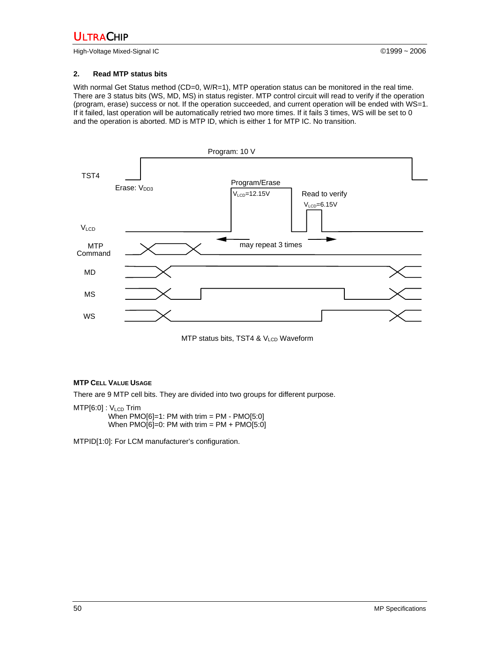High-Voltage Mixed-Signal IC ©1999 ~ 2006

#### **2. Read MTP status bits**

With normal Get Status method (CD=0, W/R=1), MTP operation status can be monitored in the real time. There are 3 status bits (WS, MD, MS) in status register. MTP control circuit will read to verify if the operation (program, erase) success or not. If the operation succeeded, and current operation will be ended with WS=1. If it failed, last operation will be automatically retried two more times. If it fails 3 times, WS will be set to 0 and the operation is aborted. MD is MTP ID, which is either 1 for MTP IC. No transition.



MTP status bits, TST4 & V<sub>LCD</sub> Waveform

#### **MTP CELL VALUE USAGE**

There are 9 MTP cell bits. They are divided into two groups for different purpose.

 $MTP[6:0]$ :  $V_{LCD}$  Trim When  $PMO[6]=1$ : PM with trim = PM -  $PMO[5:0]$ When  $PMO[6]=0$ : PM with trim = PM + PMO[5:0]

MTPID[1:0]: For LCM manufacturer's configuration.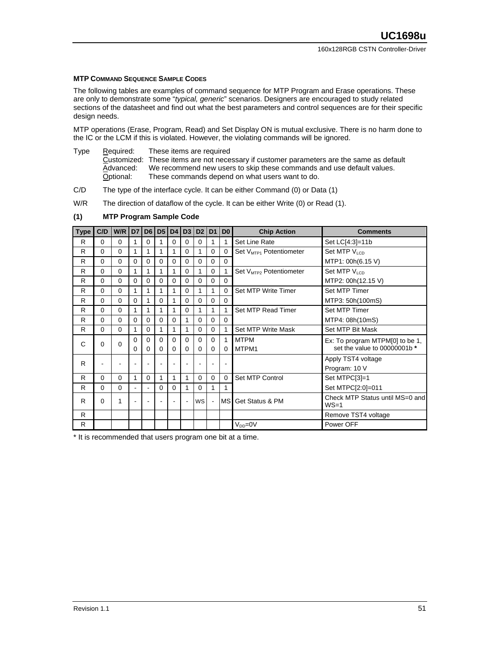#### **MTP COMMAND SEQUENCE SAMPLE CODES**

The following tables are examples of command sequence for MTP Program and Erase operations. These are only to demonstrate some "*typical, generic*" scenarios. Designers are encouraged to study related sections of the datasheet and find out what the best parameters and control sequences are for their specific design needs.

MTP operations (Erase, Program, Read) and Set Display ON is mutual exclusive. There is no harm done to the IC or the LCM if this is violated. However, the violating commands will be ignored.

Type Required: These items are required

Customized: These items are not necessary if customer parameters are the same as default  $\overline{\text{Advanced}}$ : We recommend new users to skip these commands and use default values.<br>Optional: These commands depend on what users wan We recommend new users to skip these commands and use default values. These commands depend on what users want to do.

- C/D The type of the interface cycle. It can be either Command (0) or Data (1)
- W/R The direction of dataflow of the cycle. It can be either Write (0) or Read (1).

#### **(1) MTP Program Sample Code**

| <b>Type</b> | C/D | W/R      | D7             |                | D6 D5    |          | D4 D3    |          | D2 D1       | D <sub>0</sub> | <b>Chip Action</b>                  | <b>Comments</b>                             |
|-------------|-----|----------|----------------|----------------|----------|----------|----------|----------|-------------|----------------|-------------------------------------|---------------------------------------------|
| R           | 0   | $\Omega$ | 1              | $\Omega$       |          | $\Omega$ | $\Omega$ | $\Omega$ | 1           | 1              | Set Line Rate                       | Set LC[4:3]=11b                             |
| R           | 0   | $\Omega$ | 1              | 1              | 1        | 1        | $\Omega$ |          | $\Omega$    | $\Omega$       | Set V <sub>MTP1</sub> Potentiometer | Set MTP V <sub>LCD</sub>                    |
| R           | 0   | $\Omega$ | 0              | $\Omega$       | $\Omega$ | $\Omega$ | $\Omega$ | 0        | 0           | $\Omega$       |                                     | MTP1: 00h(6.15 V)                           |
| R           | 0   | $\Omega$ | 1              | 1              | 1        | 1        | $\Omega$ |          | $\Omega$    | 1              | Set V <sub>MTP2</sub> Potentiometer | Set MTP V <sub>LCD</sub>                    |
| R           | 0   | $\Omega$ | $\Omega$       | $\Omega$       | $\Omega$ | 0        | $\Omega$ | $\Omega$ | $\mathbf 0$ | $\mathbf 0$    |                                     | MTP2: 00h(12.15 V)                          |
| R           | 0   | $\Omega$ | 1              | 1              | 1        | 1        | $\Omega$ |          | 1           | $\Omega$       | Set MTP Write Timer                 | Set MTP Timer                               |
| R           | 0   | $\Omega$ | $\Omega$       | 1              | $\Omega$ | 1        | 0        | $\Omega$ | 0           | $\Omega$       |                                     | MTP3: 50h(100mS)                            |
| R           | 0   | $\Omega$ | 1              | 1              | 1        | 1        | $\Omega$ |          | 1           | 1              | Set MTP Read Timer                  | Set MTP Timer                               |
| R           | 0   | $\Omega$ | $\Omega$       | $\Omega$       | $\Omega$ | $\Omega$ | 1        | $\Omega$ | 0           | 0              |                                     | MTP4: 08h(10mS)                             |
| R           | 0   | $\Omega$ | 1              | $\Omega$       | 1        | 1        | 1        | 0        | 0           | 1              | Set MTP Write Mask                  | Set MTP Bit Mask                            |
| C           | 0   | $\Omega$ | $\Omega$       | $\Omega$       | $\Omega$ | $\Omega$ | $\Omega$ | $\Omega$ | $\Omega$    | 1              | <b>MTPM</b>                         | Ex: To program MTPM[0] to be 1,             |
|             |     |          | 0              | 0              | $\Omega$ | $\Omega$ | $\Omega$ | 0        | 0           | $\Omega$       | MTPM1                               | set the value to 00000001b *                |
| R           |     |          |                |                |          |          |          |          |             |                |                                     | Apply TST4 voltage                          |
|             |     |          |                |                |          |          |          |          |             |                |                                     | Program: 10 V                               |
| R           | 0   | $\Omega$ | 1              | $\Omega$       | 1        | 1        | 1        | $\Omega$ | $\mathbf 0$ | $\Omega$       | Set MTP Control                     | Set MTPC[3]=1                               |
| R           | 0   | $\Omega$ | $\blacksquare$ | $\blacksquare$ | $\Omega$ | $\Omega$ | 1        | $\Omega$ | 1           | 1              |                                     | Set MTPC[2:0]=011                           |
| R           | 0   | 1        | ۰              | ÷              |          | ۰        | ÷.       | WS       |             |                | MS Get Status & PM                  | Check MTP Status until MS=0 and<br>$WS = 1$ |
| R           |     |          |                |                |          |          |          |          |             |                |                                     | Remove TST4 voltage                         |
| R           |     |          |                |                |          |          |          |          |             |                | $V_{DD} = 0V$                       | Power OFF                                   |

\* It is recommended that users program one bit at a time.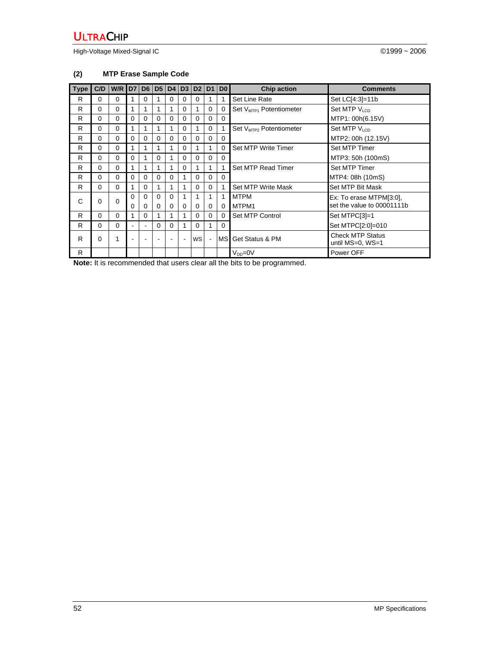High-Voltage Mixed-Signal IC **Development Controller Controller** CONSULTER CONSULTER CONSULTER CONSULTER CONSULTER

### **(2) MTP Erase Sample Code**

| <b>Type</b> | C/D      | W/R D7 |          | D6             |          | D5 D4    | D3             | D2        | D <sub>1</sub> | D <sub>0</sub> | <b>Chip action</b>                  | <b>Comments</b>                             |
|-------------|----------|--------|----------|----------------|----------|----------|----------------|-----------|----------------|----------------|-------------------------------------|---------------------------------------------|
| R           | 0        | 0      |          | 0              |          | 0        | 0              | $\Omega$  | 1              |                | Set Line Rate                       | Set LC[4:3]=11b                             |
| R           | $\Omega$ | 0      |          |                | 1        | 1        | $\Omega$       | 1         | $\Omega$       | $\Omega$       | Set V <sub>MTP1</sub> Potentiometer | Set MTP $V_{LCD}$                           |
| R           | 0        | 0      | 0        | 0              | $\Omega$ | 0        | 0              | 0         | $\Omega$       | 0              |                                     | MTP1: 00h(6.15V)                            |
| R           | 0        | 0      |          |                | 1        | 1        | $\Omega$       |           | 0              |                | Set V <sub>MTP2</sub> Potentiometer | Set MTP $V_{LCD}$                           |
| R           | $\Omega$ | 0      | $\Omega$ | $\Omega$       | $\Omega$ | $\Omega$ | $\Omega$       | $\Omega$  | $\Omega$       | $\Omega$       |                                     | MTP2: 00h (12.15V)                          |
| R           | $\Omega$ | 0      |          |                | 1        | 1        | $\Omega$       |           | 1              | $\Omega$       | Set MTP Write Timer                 | Set MTP Timer                               |
| R           | $\Omega$ | 0      | $\Omega$ |                | 0        | 1        | $\Omega$       | $\Omega$  | $\Omega$       | $\Omega$       |                                     | MTP3: 50h (100mS)                           |
| R           | $\Omega$ | 0      |          | 1              | 1        | 1        | $\Omega$       |           | 1              |                | Set MTP Read Timer                  | Set MTP Timer                               |
| R           | $\Omega$ | 0      | $\Omega$ | $\Omega$       | 0        | 0        |                | $\Omega$  | $\Omega$       | $\Omega$       |                                     | MTP4: 08h (10mS)                            |
| R           | $\Omega$ | 0      | 1        | $\Omega$       | 1        | 1        |                | 0         | $\Omega$       |                | Set MTP Write Mask                  | Set MTP Bit Mask                            |
| C           | $\Omega$ | 0      | $\Omega$ | $\Omega$       | $\Omega$ | $\Omega$ |                | 1         | 1              | 1              | <b>MTPM</b>                         | Ex: To erase MTPM[3:0],                     |
|             |          |        | 0        | $\Omega$       | 0        | $\Omega$ | $\Omega$       | $\Omega$  | $\Omega$       | $\Omega$       | MTPM1                               | set the value to 00001111b                  |
| R           | $\Omega$ | 0      | 1        | $\Omega$       | 1        | 1        |                | 0         | $\Omega$       | $\Omega$       | Set MTP Control                     | Set MTPC[3]=1                               |
| R           | 0        | 0      | ۰        | $\blacksquare$ | 0        | 0        |                | $\Omega$  | 1              | $\Omega$       |                                     | Set MTPC[2:0]=010                           |
| R           | 0        | 1      |          |                |          |          | $\blacksquare$ | <b>WS</b> | $\blacksquare$ | MSI            | Get Status & PM                     | <b>Check MTP Status</b><br>until MS=0, WS=1 |
| R.          |          |        |          |                |          |          |                |           |                |                | $V_{DD} = 0V$                       | Power OFF                                   |

**Note:** It is recommended that users clear all the bits to be programmed.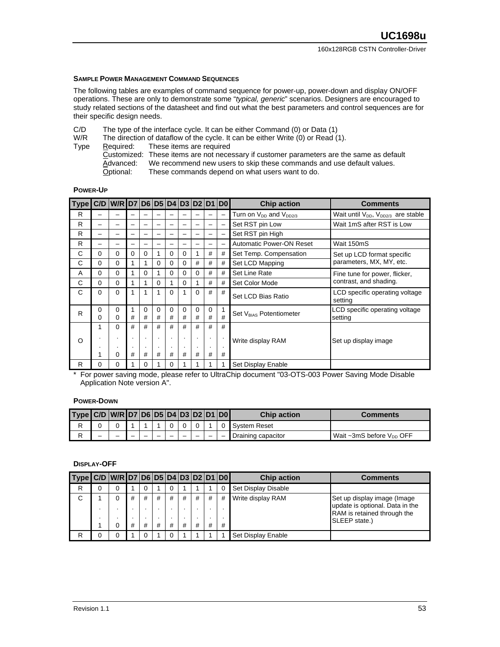#### **SAMPLE POWER MANAGEMENT COMMAND SEQUENCES**

The following tables are examples of command sequence for power-up, power-down and display ON/OFF operations. These are only to demonstrate some "*typical, generic*" scenarios. Designers are encouraged to study related sections of the datasheet and find out what the best parameters and control sequences are for their specific design needs.

- C/D The type of the interface cycle. It can be either Command (0) or Data (1)<br>W/R The direction of dataflow of the cycle. It can be either Write (0) or Read (1)
- The direction of dataflow of the cycle. It can be either Write (0) or Read (1).
- Type Required: These items are required

Customized: These items are not necessary if customer parameters are the same as default Advanced: We recommend new users to skip these commands and use default values.<br>Optional: These commands depend on what users want to do. These commands depend on what users want to do.

#### **POWER-UP**

| <b>Type</b> |               | C/D W/R D7 D6 D5 D4 D3 D2 D1 |          |        |        |               |               |               |                | D <sub>0</sub>           | <b>Chip action</b>                  | <b>Comments</b>                                            |
|-------------|---------------|------------------------------|----------|--------|--------|---------------|---------------|---------------|----------------|--------------------------|-------------------------------------|------------------------------------------------------------|
| R           |               |                              |          |        |        |               |               |               |                | $\overline{\phantom{0}}$ | Turn on $V_{DD}$ and $V_{DD2/3}$    | Wait until V <sub>DD</sub> , V <sub>DD2/3</sub> are stable |
| R           |               |                              |          |        |        |               |               |               |                |                          | Set RST pin Low                     | Wait 1mS after RST is Low                                  |
| R           |               |                              |          |        |        |               |               |               |                |                          | Set RST pin High                    |                                                            |
| R           | -             |                              |          |        |        |               |               |               |                |                          | <b>Automatic Power-ON Reset</b>     | Wait 150mS                                                 |
| C           | $\Omega$      | 0                            | $\Omega$ | 0      |        | $\Omega$      | 0             |               | #              | #                        | Set Temp. Compensation              | Set up LCD format specific                                 |
| C           | 0             | 0                            |          |        | 0      | $\Omega$      | 0             | #             | #              | #                        | Set LCD Mapping                     | parameters, MX, MY, etc.                                   |
| A           | $\Omega$      | 0                            |          | 0      |        | $\Omega$      | $\Omega$      | $\Omega$      | #              | #                        | Set Line Rate                       | Fine tune for power, flicker,                              |
| C           | $\Omega$      | 0                            |          |        | 0      |               | $\Omega$      |               | #              | #                        | Set Color Mode                      | contrast, and shading.                                     |
| C           | $\Omega$      | 0                            |          |        |        | $\Omega$      | 1             | $\Omega$      | #              | #                        | Set LCD Bias Ratio                  | LCD specific operating voltage<br>setting                  |
| R           | 0<br>$\Omega$ | 0<br>0                       | 1<br>#   | 0<br># | 0<br># | $\Omega$<br># | $\Omega$<br># | $\Omega$<br># | $\Omega$<br>#  | #                        | Set V <sub>BIAS</sub> Potentiometer | LCD specific operating voltage<br>setting                  |
|             | 1             | $\Omega$                     | #        | #      | #      | #             | #             | #             | #              | #                        |                                     |                                                            |
| $\circ$     | ٠.            | ٠                            |          |        |        | ٠.            |               |               | $\blacksquare$ |                          | Write display RAM                   | Set up display image                                       |
|             |               | ٠                            |          |        |        | $\bullet$     |               | $\cdot$       | $\bullet$      | ٠.                       |                                     |                                                            |
|             | 1             | 0                            | #        | #      | #      | #             | #             | #             | #              | #                        |                                     |                                                            |
| R           | 0             | 0                            |          | 0      |        | 0             |               |               |                |                          | Set Display Enable                  |                                                            |

\* For power saving mode, please refer to UltraChip document "03-OTS-003 Power Saving Mode Disable Application Note version A".

#### **POWER-DOWN**

| $Type   C/D   W/R   D7   D6   D5   D4   D3   D2   D1   D0  $ |   |  |  |  |  | <b>Chip action</b>  | Comments                                   |
|--------------------------------------------------------------|---|--|--|--|--|---------------------|--------------------------------------------|
|                                                              |   |  |  |  |  | <b>System Reset</b> |                                            |
| D                                                            | - |  |  |  |  | Draining capacitor  | Wait $\sim$ 3mS before V <sub>DD</sub> OFF |

#### **DISPLAY-OFF**

| Type   C/D   W/R   D7   D6   D5   D4   D3   D2   D1   D0 |  |        |        |        |          |        |        |        |        | <b>Chip action</b>  | <b>Comments</b>                                                                                                |
|----------------------------------------------------------|--|--------|--------|--------|----------|--------|--------|--------|--------|---------------------|----------------------------------------------------------------------------------------------------------------|
| R                                                        |  |        |        |        | 0        |        |        |        |        | Set Display Disable |                                                                                                                |
| C                                                        |  | #<br># | #<br># | #<br># | #<br>#   | #<br># | #<br># | #<br># | #<br># | Write display RAM   | Set up display image (Image<br>update is optional. Data in the<br>RAM is retained through the<br>SLEEP state.) |
| R                                                        |  |        |        |        | $\Omega$ |        |        |        |        | Set Display Enable  |                                                                                                                |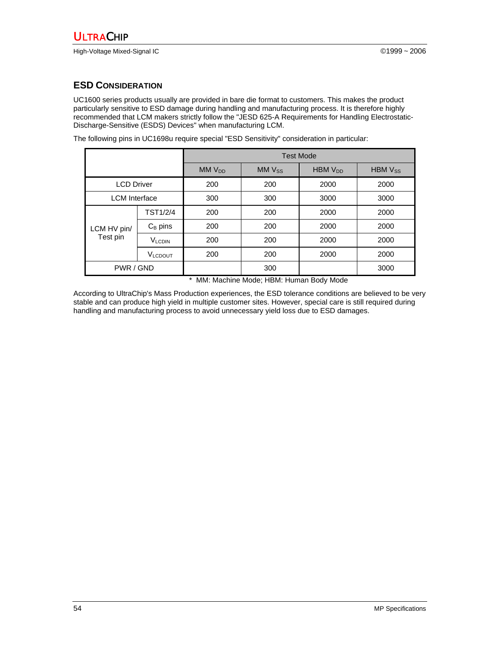# **ESD CONSIDERATION**

UC1600 series products usually are provided in bare die format to customers. This makes the product particularly sensitive to ESD damage during handling and manufacturing process. It is therefore highly recommended that LCM makers strictly follow the "JESD 625-A Requirements for Handling Electrostatic-Discharge-Sensitive (ESDS) Devices" when manufacturing LCM.

The following pins in UC1698u require special "ESD Sensitivity" consideration in particular:

|                      |                 | <b>Test Mode</b> |            |             |                |  |
|----------------------|-----------------|------------------|------------|-------------|----------------|--|
|                      |                 | $MMV_{DD}$       | $MMV_{SS}$ | $HBMV_{DD}$ | <b>HBM Vss</b> |  |
| <b>LCD Driver</b>    |                 | 200              | 200        | 2000        | 2000           |  |
| <b>LCM</b> Interface |                 | 300              | 300        | 3000        | 3000           |  |
|                      | <b>TST1/2/4</b> | 200              | 200        | 2000        | 2000           |  |
| LCM HV pin/          | $C_B$ pins      | 200              | 200        | 2000        | 2000           |  |
| Test pin             | <b>VLCDIN</b>   | 200              | 200        | 2000        | 2000           |  |
|                      | <b>VLCDOUT</b>  | 200              | 200        | 2000        | 2000           |  |
| PWR / GND            |                 |                  | 300        |             | 3000           |  |

\* MM: Machine Mode; HBM: Human Body Mode

According to UltraChip's Mass Production experiences, the ESD tolerance conditions are believed to be very stable and can produce high yield in multiple customer sites. However, special care is still required during handling and manufacturing process to avoid unnecessary yield loss due to ESD damages.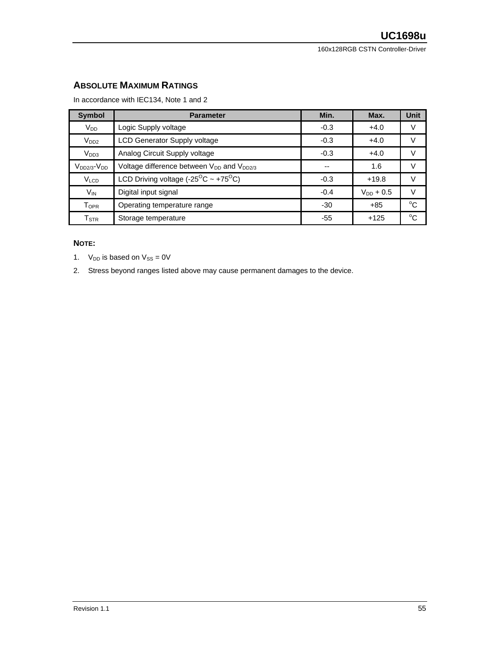### **ABSOLUTE MAXIMUM RATINGS**

In accordance with IEC134, Note 1 and 2

| <b>Symbol</b>             | <b>Parameter</b>                                                  | Min.   | Max.           | <b>Unit</b> |
|---------------------------|-------------------------------------------------------------------|--------|----------------|-------------|
| V <sub>DD</sub>           | Logic Supply voltage                                              | $-0.3$ | $+4.0$         |             |
| V <sub>DD2</sub>          | <b>LCD Generator Supply voltage</b>                               | $-0.3$ | $+4.0$         |             |
| V <sub>DD3</sub>          | Analog Circuit Supply voltage                                     | $-0.3$ | $+4.0$         |             |
| $V_{DD2/3}$ - $V_{DD}$    | Voltage difference between V <sub>DD</sub> and V <sub>DD2/3</sub> | --     | 1.6            |             |
| V <sub>LCD</sub>          | LCD Driving voltage (-25 <sup>O</sup> C ~ +75 <sup>O</sup> C)     | $-0.3$ | $+19.8$        |             |
| $V_{IN}$                  | Digital input signal                                              | $-0.4$ | $V_{DD}$ + 0.5 |             |
| Topr                      | Operating temperature range                                       | $-30$  | $+85$          | $\sim$      |
| $\mathsf{T}_{\text{STR}}$ | Storage temperature                                               | -55    | $+125$         | $\sim$      |

#### **NOTE:**

1.  $V_{DD}$  is based on  $V_{SS} = 0V$ 

2. Stress beyond ranges listed above may cause permanent damages to the device.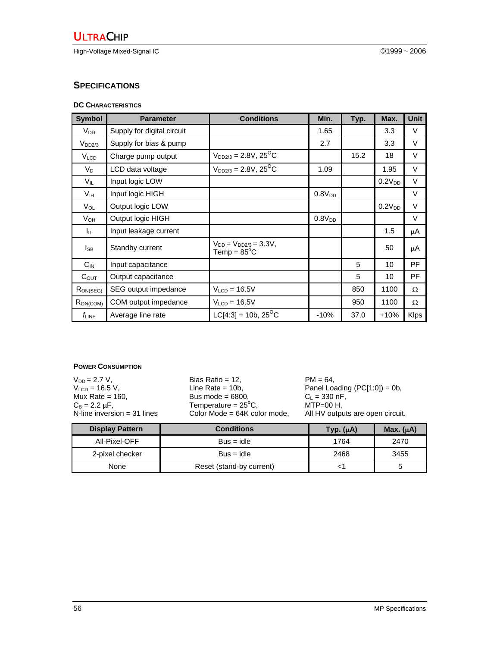High-Voltage Mixed-Signal IC ©1999 ~ 2006

#### **SPECIFICATIONS**

#### **DC CHARACTERISTICS**

| <b>Symbol</b>          | <b>Parameter</b>           | <b>Conditions</b>                                      | Min.               | Typ. | Max.               | <b>Unit</b> |
|------------------------|----------------------------|--------------------------------------------------------|--------------------|------|--------------------|-------------|
| <b>V</b> <sub>DD</sub> | Supply for digital circuit |                                                        | 1.65               |      | 3.3                | V           |
| V <sub>DD2/3</sub>     | Supply for bias & pump     |                                                        | 2.7                |      | 3.3                | V           |
| V <sub>LCD</sub>       | Charge pump output         | $V_{DD2/3} = 2.8V, 25^{\circ}C$                        |                    | 15.2 | 18                 | $\vee$      |
| $V_D$                  | LCD data voltage           | $V_{DD2/3} = 2.8V, 25^{O}C$                            | 1.09               |      | 1.95               | V           |
| $V_{IL}$               | Input logic LOW            |                                                        |                    |      | $0.2V_{DD}$        | V           |
| V <sub>IH</sub>        | Input logic HIGH           |                                                        | 0.8V <sub>DD</sub> |      |                    | $\vee$      |
| $V_{OL}$               | Output logic LOW           |                                                        |                    |      | 0.2V <sub>DD</sub> | V           |
| V <sub>он</sub>        | Output logic HIGH          |                                                        | $0.8V_{DD}$        |      |                    | V           |
| ΙL.                    | Input leakage current      |                                                        |                    |      | 1.5                | μA          |
| l <sub>SB</sub>        | Standby current            | $V_{DD} = V_{DD2/3} = 3.3V$ ,<br>Temp = $85^{\circ}$ C |                    |      | 50                 | μA          |
| $C_{IN}$               | Input capacitance          |                                                        |                    | 5    | 10                 | <b>PF</b>   |
| $C_{\text{OUT}}$       | Output capacitance         |                                                        |                    | 5    | 10                 | <b>PF</b>   |
| $R_{ON(SEG)}$          | SEG output impedance       | $VLCD = 16.5V$                                         |                    | 850  | 1100               | Ω           |
| RON(COM)               | COM output impedance       | $VLCD = 16.5V$                                         |                    | 950  | 1100               | Ω           |
| $f_{LINE}$             | Average line rate          | $LC[4:3] = 10b, 25^{\circ}C$                           | $-10%$             | 37.0 | $+10%$             | <b>Klps</b> |

#### **POWER CONSUMPTION**

 $V_{DD} = 2.7 V$ ,<br>  $V_{LCD} = 16.5 V$ ,<br>  $Mux Rate = 160$ ,<br>  $C<sub>B</sub> = 2.2 µF$ ,<br>
Bias Ratio = 12,<br>
Line Rate = 10b,<br>
Bus mode = 6800,<br>
Bus mode = 6800,<br>
Temperature = 25°C,<br>
MTP=00 Panel Loading (PC[1:0]) = 0b,<br> $C_L = 330 \text{ nF}$ , Mux Rate = 160, Bus mode = 6800, C<sub>L</sub> = 330 nF,  $C_B = 2.2 \,\mu\text{F}$ , Temperature =  $25^\circ$ Temperature =  $25^{\circ}$ C, MTP=00 H,<br>Color Mode =  $64K$  color mode, All HV output N-line inversion = 31 lines Color Mode = 64K color mode, All HV outputs are open circuit.

| <b>Display Pattern</b> | <b>Conditions</b>        | Typ. $(\mu A)$ | Max. $(\mu A)$ |
|------------------------|--------------------------|----------------|----------------|
| All-Pixel-OFF          | $Bus = idle$             | 1764           | 2470           |
| 2-pixel checker        | $Bus = idle$             | 2468           | 3455           |
| None                   | Reset (stand-by current) |                |                |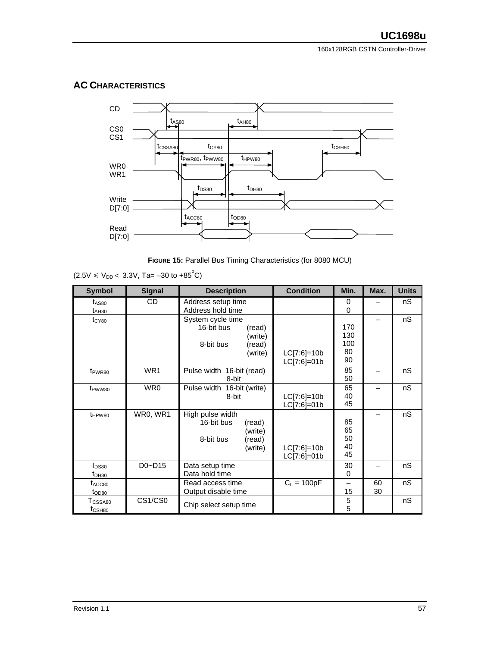# **AC CHARACTERISTICS**



**FIGURE 15:** Parallel Bus Timing Characteristics (for 8080 MCU)

|  | $(2.5V \le V_{DD} < 3.3V, Ta = -30$ to +85 <sup>°</sup> C) |  |
|--|------------------------------------------------------------|--|
|  |                                                            |  |

| <b>Symbol</b>                             | <b>Signal</b>   | <b>Description</b>                                                                     | <b>Condition</b>               | Min.                          | Max.     | <b>Units</b> |
|-------------------------------------------|-----------------|----------------------------------------------------------------------------------------|--------------------------------|-------------------------------|----------|--------------|
| $t_{AS80}$                                | CD              | Address setup time                                                                     |                                | 0                             |          | nS           |
| $t_{AHB0}$                                |                 | Address hold time                                                                      |                                | 0                             |          |              |
| t <sub>CY80</sub>                         |                 | System cycle time<br>16-bit bus<br>(read)<br>(write)<br>8-bit bus<br>(read)<br>(write) | $LC[7:6]=10b$<br>$LC[7:6]=01b$ | 170<br>130<br>100<br>80<br>90 |          | nS           |
| t <sub>PWR80</sub>                        | WR <sub>1</sub> | Pulse width 16-bit (read)<br>8-bit                                                     |                                | 85<br>50                      |          | nS           |
| t <sub>PWW80</sub>                        | WR0             | Pulse width 16-bit (write)<br>8-bit                                                    | $LC[7:6]=10b$<br>LC[7:6]=01b   | 65<br>40<br>45                |          | nS           |
| t <sub>HPW80</sub>                        | WR0, WR1        | High pulse width<br>16-bit bus<br>(read)<br>(write)<br>8-bit bus<br>(read)<br>(write)  | $LC[7:6]=10b$<br>$LC[7:6]=01b$ | 85<br>65<br>50<br>40<br>45    |          | nS           |
| t <sub>DS80</sub><br>$t_{DHB0}$           | $D0 - D15$      | Data setup time<br>Data hold time                                                      |                                | 30<br>0                       |          | nS           |
| $t_{\rm ACC80}$<br>$t_{OD80}$             |                 | Read access time<br>Output disable time                                                | $C_1 = 100pF$                  | —<br>15                       | 60<br>30 | nS           |
| T <sub>CSSA80</sub><br>t <sub>CSH80</sub> | CS1/CS0         | Chip select setup time                                                                 |                                | 5<br>5                        |          | nS           |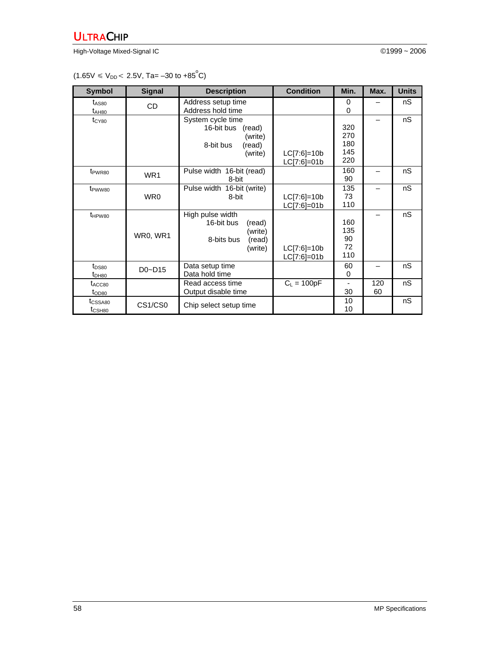High-Voltage Mixed-Signal IC ©1999 ~ 2006

 $(1.65V \le V_{DD} < 2.5V, \text{Ta} = -30 \text{ to } +85^{\circ}\text{C})$ 

| <b>Symbol</b>                             | <b>Signal</b>   | <b>Description</b>                                                                     | <b>Condition</b>               | Min.                            | Max.      | <b>Units</b> |
|-------------------------------------------|-----------------|----------------------------------------------------------------------------------------|--------------------------------|---------------------------------|-----------|--------------|
| $t_{AS80}$<br>$t_{AHB0}$                  | CD              | Address setup time<br>Address hold time                                                |                                | 0<br>$\Omega$                   |           | nS           |
| $t_{CY80}$                                |                 | System cycle time<br>16-bit bus<br>(read)<br>(write)<br>8-bit bus<br>(read)<br>(write) | $LC[7:6]=10b$<br>$LC[7:6]=01b$ | 320<br>270<br>180<br>145<br>220 |           | nS           |
| t <sub>PWR80</sub>                        | WR <sub>1</sub> | Pulse width 16-bit (read)<br>8-bit                                                     |                                | 160<br>90                       |           | nS           |
| t <sub>PWW80</sub>                        | WR0             | Pulse width 16-bit (write)<br>8-bit                                                    | $LC[7:6]=10b$<br>LC[7:6]=01b   | 135<br>73<br>110                |           | nS           |
| t <sub>HPW80</sub>                        | WR0, WR1        | High pulse width<br>16-bit bus<br>(read)<br>(write)<br>8-bits bus<br>(read)<br>(write) | $LC[7:6]=10b$<br>$LC[7:6]=01b$ | 160<br>135<br>90<br>72<br>110   |           | nS           |
| $t_{DS80}$<br>t <sub>DH80</sub>           | $D0 - D15$      | Data setup time<br>Data hold time                                                      |                                | 60<br>0                         |           | nS           |
| t <sub>ACC80</sub><br>$t_{OD80}$          |                 | Read access time<br>Output disable time                                                | $C_1 = 100pF$                  | 30                              | 120<br>60 | nS           |
| t <sub>CSSA80</sub><br>t <sub>CSH80</sub> | CS1/CS0         | Chip select setup time                                                                 |                                | 10<br>10                        |           | nS           |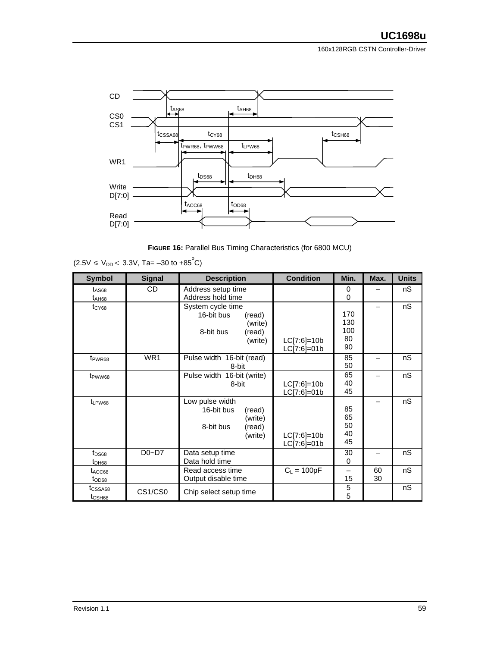

**FIGURE 16: Parallel Bus Timing Characteristics (for 6800 MCU)** 

| <b>Symbol</b>                             | <b>Signal</b>   | <b>Description</b>                                                                     | <b>Condition</b>               | Min.                          | Max.     | <b>Units</b> |
|-------------------------------------------|-----------------|----------------------------------------------------------------------------------------|--------------------------------|-------------------------------|----------|--------------|
| $t_{AS68}$                                | CD.             | Address setup time                                                                     |                                | 0                             |          | nS           |
| $t_{AHB8}$                                |                 | Address hold time                                                                      |                                | 0                             |          |              |
| $t_{CY68}$                                |                 | System cycle time<br>16-bit bus<br>(read)<br>(write)<br>8-bit bus<br>(read)<br>(write) | $LC[7:6]=10b$<br>$LC[7:6]=01b$ | 170<br>130<br>100<br>80<br>90 |          | nS           |
| t <sub>PWR68</sub>                        | WR <sub>1</sub> | Pulse width 16-bit (read)<br>8-bit                                                     |                                | 85<br>50                      |          | nS           |
| t <sub>PWW68</sub>                        |                 | Pulse width 16-bit (write)<br>8-bit                                                    | $LC[7:6]=10b$<br>LC[7:6]=01b   | 65<br>40<br>45                |          | nS           |
| t <sub>LPW68</sub>                        |                 | Low pulse width<br>16-bit bus<br>(read)<br>(write)<br>8-bit bus<br>(read)<br>(write)   | $LC[7:6]=10b$<br>$LC[7:6]=01b$ | 85<br>65<br>50<br>40<br>45    |          | nS           |
| $t_{DS68}$<br>$t_{DH68}$                  | $D0-D7$         | Data setup time<br>Data hold time                                                      |                                | 30<br>0                       |          | nS           |
| t <sub>ACC68</sub><br>$t_{OD68}$          |                 | Read access time<br>Output disable time                                                | $C_L = 100pF$                  | —<br>15                       | 60<br>30 | nS           |
| t <sub>CSSA68</sub><br>t <sub>CSH68</sub> | CS1/CS0         | Chip select setup time                                                                 |                                | 5<br>5                        |          | nS           |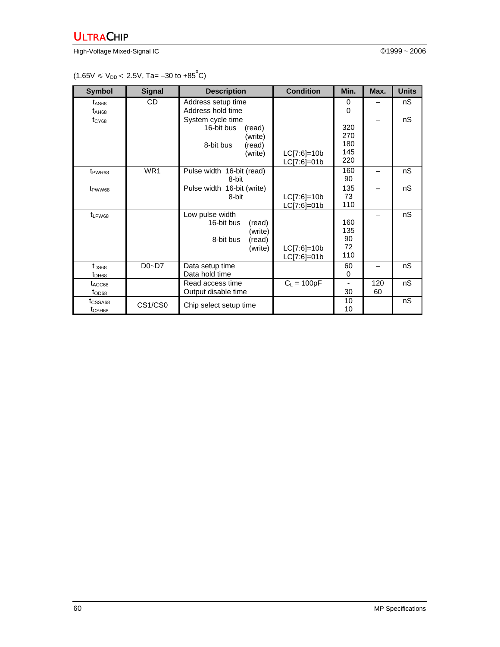High-Voltage Mixed-Signal IC ©1999 ~ 2006

 $(1.65V \le V_{DD} < 2.5V, \text{Ta} = -30 \text{ to } +85^{\circ}\text{C})$ 

| <b>Symbol</b>                                         | <b>Signal</b> | <b>Description</b>                                                                                          | <b>Condition</b>               | Min.                                 | Max.      | <b>Units</b> |
|-------------------------------------------------------|---------------|-------------------------------------------------------------------------------------------------------------|--------------------------------|--------------------------------------|-----------|--------------|
| t <sub>AS68</sub>                                     | CD            | Address setup time                                                                                          |                                | 0                                    |           | nS           |
| $t_{AHB8}$<br>$t_{CY68}$                              |               | Address hold time<br>System cycle time<br>16-bit bus<br>(read)<br>(write)<br>8-bit bus<br>(read)<br>(write) | $LC[7:6]=10b$                  | 0<br>320<br>270<br>180<br>145<br>220 |           | nS           |
| t <sub>PWR68</sub>                                    | WR1           | Pulse width 16-bit (read)<br>8-bit                                                                          | LC[7:6]=01b                    | 160<br>90                            |           | nS           |
| t <sub>PWW68</sub>                                    |               | Pulse width 16-bit (write)<br>8-bit                                                                         | $LC[7:6]=10b$<br>LC[7:6]=01b   | 135<br>73<br>110                     |           | nS           |
| $t_{LPW68}$                                           |               | Low pulse width<br>16-bit bus<br>(read)<br>(write)<br>8-bit bus<br>(read)<br>(write)                        | $LC[7:6]=10b$<br>$LC[7:6]=01b$ | 160<br>135<br>90<br>72<br>110        |           | nS           |
| $t_{DS68}$<br>$t_{DH68}$                              | $D0-D7$       | Data setup time<br>Data hold time                                                                           |                                | 60<br>0                              |           | nS           |
| t <sub>ACC68</sub><br>$t_{OD68}$                      |               | Read access time<br>Output disable time                                                                     | $C_1 = 100pF$                  | 30                                   | 120<br>60 | nS           |
| t <sub>CSSA68</sub><br>$t_{\scriptstyle{\rm{CSH68}}}$ | CS1/CS0       | Chip select setup time                                                                                      |                                | 10<br>10                             |           | nS           |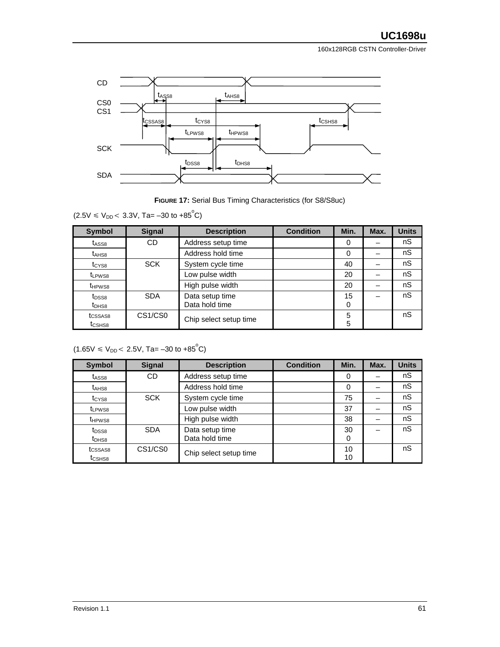

**FIGURE 17:** Serial Bus Timing Characteristics (for S8/S8uc)

 $(2.5V \le V_{DD} < 3.3V,$  Ta= -30 to +85<sup>°</sup>C)

| <b>Symbol</b>                             | <b>Signal</b>                    | <b>Description</b>                | <b>Condition</b> | Min.    | Max. | <b>Units</b> |
|-------------------------------------------|----------------------------------|-----------------------------------|------------------|---------|------|--------------|
| t <sub>ASS8</sub>                         | CD                               | Address setup time                |                  | O       |      | nS           |
| t <sub>AHS8</sub>                         |                                  | Address hold time                 |                  |         |      | nS           |
| t <sub>CYS8</sub>                         | <b>SCK</b>                       | System cycle time                 |                  | 40      |      | nS           |
| t <sub>LPWS8</sub>                        |                                  | Low pulse width                   |                  | 20      |      | nS           |
| t <sub>HPWS8</sub>                        |                                  | High pulse width                  |                  | 20      |      | nS           |
| t <sub>DSS8</sub><br>t <sub>DHS8</sub>    | <b>SDA</b>                       | Data setup time<br>Data hold time |                  | 15<br>0 |      | nS           |
| t <sub>CSSAS8</sub><br>t <sub>CSHS8</sub> | CS <sub>1</sub> /CS <sub>0</sub> | Chip select setup time            |                  | 5<br>5  |      | nS           |

 $(1.65V \le V_{DD} < 2.5V, \text{Ta} = -30 \text{ to } +85^{\circ}\text{C})$ 

| <b>Symbol</b>       | <b>Signal</b> | <b>Description</b>     | <b>Condition</b> | Min.     | Max. | <b>Units</b> |
|---------------------|---------------|------------------------|------------------|----------|------|--------------|
| t <sub>ASS8</sub>   | <b>CD</b>     | Address setup time     |                  |          |      | nS           |
| $t_{AHS8}$          |               | Address hold time      |                  | $\Omega$ |      | nS           |
| t <sub>CYS8</sub>   | <b>SCK</b>    | System cycle time      |                  | 75       |      | nS           |
| t <sub>LPWS8</sub>  |               | Low pulse width        |                  | 37       |      | nS           |
| t <sub>HPWS8</sub>  |               | High pulse width       |                  | 38       |      | nS           |
| t <sub>DSS8</sub>   | <b>SDA</b>    | Data setup time        |                  | 30       |      | nS           |
| t <sub>DHS8</sub>   |               | Data hold time         |                  | 0        |      |              |
| t <sub>CSSAS8</sub> | CS1/CS0       | Chip select setup time |                  | 10       |      | nS           |
| t <sub>CSHS8</sub>  |               |                        |                  | 10       |      |              |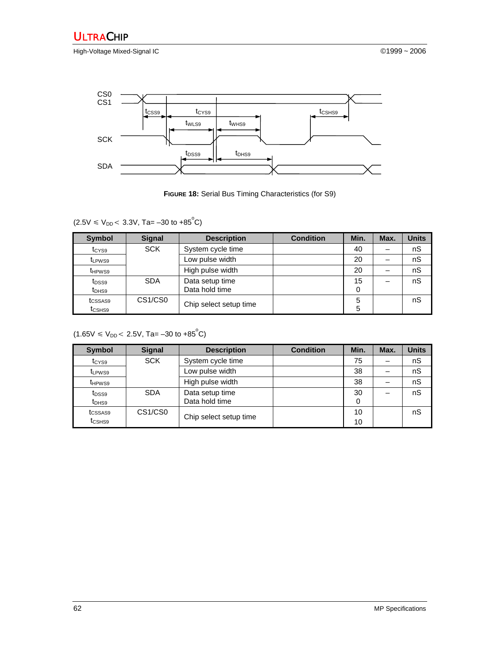High-Voltage Mixed-Signal IC **Development Controller Controller** CONSULTER CONSULTER CONSULTER CONSULTER CONSULTER



**FIGURE 18:** Serial Bus Timing Characteristics (for S9)

 $(2.5V \le V_{DD} < 3.3V,$  Ta=  $-30$  to  $+85^{\circ}$ C)

| <b>Symbol</b>                             | <b>Signal</b> | <b>Description</b>                | <b>Condition</b> | Min.    | Max. | Units |
|-------------------------------------------|---------------|-----------------------------------|------------------|---------|------|-------|
| t <sub>CYS9</sub>                         | <b>SCK</b>    | System cycle time                 |                  | 40      |      | nS    |
| t <sub>LPWS9</sub>                        |               | Low pulse width                   |                  | 20      |      | nS    |
| t <sub>HPWS9</sub>                        |               | High pulse width                  |                  | 20      |      | nS    |
| t <sub>DSS9</sub><br>t <sub>DHS9</sub>    | <b>SDA</b>    | Data setup time<br>Data hold time |                  | 15<br>0 |      | nS    |
| tcssas <sub>9</sub><br>t <sub>CSHS9</sub> | CS1/CS0       | Chip select setup time            |                  | 5<br>5  |      | nS    |

 $(1.65V \le V_{DD} < 2.5V, \text{Ta} = -30 \text{ to } +85^{\circ} \text{C})$ 

| <b>Symbol</b>                             | <b>Signal</b> | <b>Description</b>                | <b>Condition</b> | Min.     | Max. | <b>Units</b> |
|-------------------------------------------|---------------|-----------------------------------|------------------|----------|------|--------------|
| t <sub>CYS9</sub>                         | <b>SCK</b>    | System cycle time                 |                  | 75       |      | nS           |
| t <sub>LPWS9</sub>                        |               | Low pulse width                   |                  | 38       |      | nS           |
| t <sub>HPWS9</sub>                        |               | High pulse width                  |                  | 38       |      | nS           |
| t <sub>DSS9</sub><br>$t_{DHS9}$           | <b>SDA</b>    | Data setup time<br>Data hold time |                  |          |      | nS           |
| tcssas <sub>9</sub><br>t <sub>CSHS9</sub> | CS1/CS0       | Chip select setup time            |                  | 10<br>10 |      | nS           |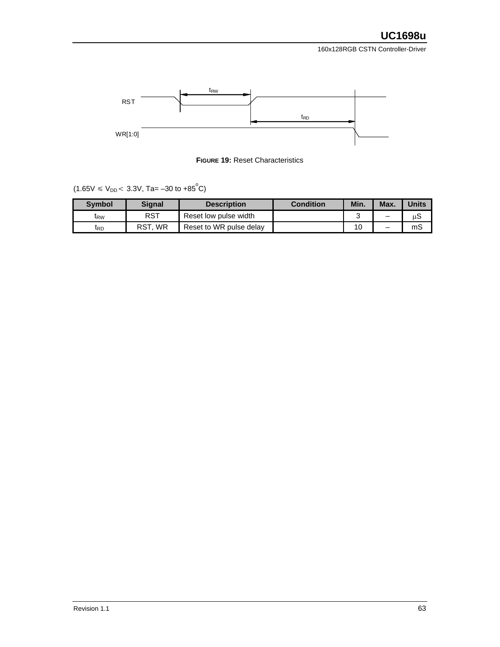

**FIGURE 19:** Reset Characteristics

 $(1.65V \le V_{DD} < 3.3V,$  Ta=  $-30$  to  $+85^{\circ}$ C)

| <b>Symbol</b> | <b>Signal</b> | <b>Description</b>      | <b>Condition</b> | Min. | Max. | <b>Units</b> |
|---------------|---------------|-------------------------|------------------|------|------|--------------|
| IRW           | RST           | Reset low pulse width   |                  |      |      | uэ           |
| <b>t</b> rd   | WR<br>RST     | Reset to WR pulse delay |                  | 10   | -    | mS           |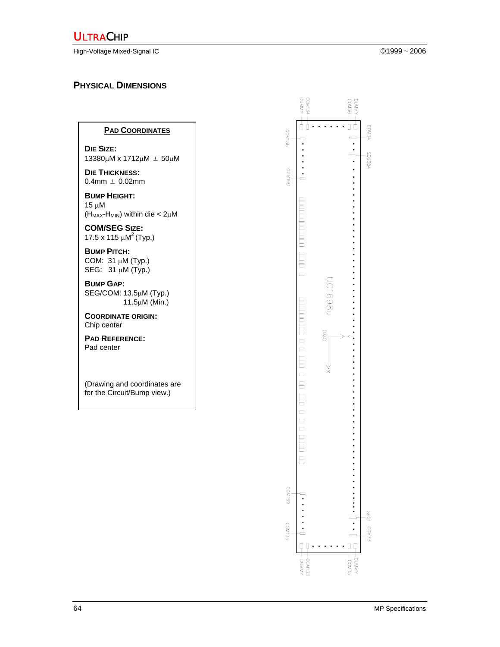High-Voltage Mixed-Signal IC ©1999 ~ 2006

# **PHYSICAL DIMENSIONS**

#### **PAD COORDINATES**

**DIE SIZE:**  13380µM x 1712µM ± 50µM

**DIE THICKNESS:**  $0.4$ mm  $\pm 0.02$ mm

**BUMP HEIGHT:**  15 µM  $(H_{MAX}-H_{MIN})$  within die <  $2\mu$ M

**COM/SEG SIZE:**  17.5 x 115  $\mu$ M<sup>2</sup> (Typ.)

**BUMP PITCH:**  COM: 31 µM (Typ.) SEG: 31 µM (Typ.)

**BUMP GAP:**  SEG/COM: 13.5µM (Typ.) 11.5µM (Min.)

**COORDINATE ORIGIN:**  Chip center

**PAD REFERENCE:**  Pad center

(Drawing and coordinates are for the Circuit/Bump view.)

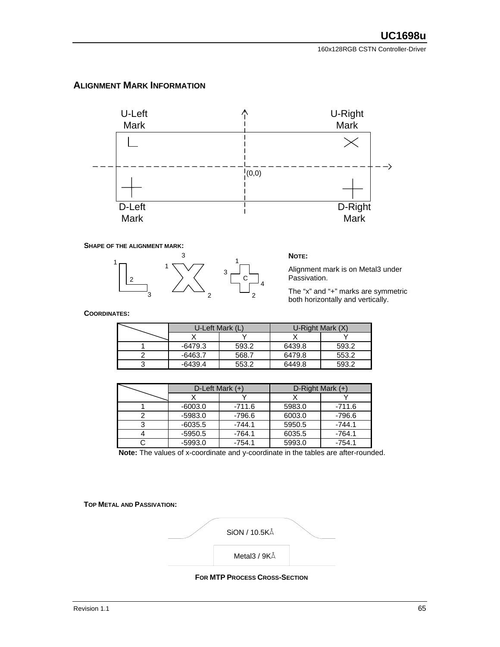#### **ALIGNMENT MARK INFORMATION**



#### **SHAPE OF THE ALIGNMENT MARK:**



Alignment mark is on Metal3 under Passivation.

The "x" and "+" marks are symmetric both horizontally and vertically.

**COORDINATES:**

| U-Left Mark (L) |       | U-Right Mark (X) |       |
|-----------------|-------|------------------|-------|
|                 |       |                  |       |
| $-6479.3$       | 593.2 | 6439.8           | 593.2 |
| -6463.7         | 568.7 | 6479.8           | 553.2 |
| $-6439.4$       | 553.2 | 6449.8           | 593.2 |

| D-Left Mark $(+)$ |          | D-Right Mark (+) |          |  |
|-------------------|----------|------------------|----------|--|
|                   |          |                  |          |  |
| $-6003.0$         | -711.6   | 5983.0           | -711.6   |  |
| $-5983.0$         | -796.6   | 6003.0           | -796.6   |  |
| $-6035.5$         | $-744.1$ | 5950.5           | $-744.1$ |  |
| $-5950.5$         | $-764.1$ | 6035.5           | $-764.1$ |  |
| $-5993.0$         | $-754.1$ | 5993.0           | $-754.1$ |  |

**Note:** The values of x-coordinate and y-coordinate in the tables are after-rounded.

**TOP METAL AND PASSIVATION:** 



**FOR MTP PROCESS CROSS-SECTION**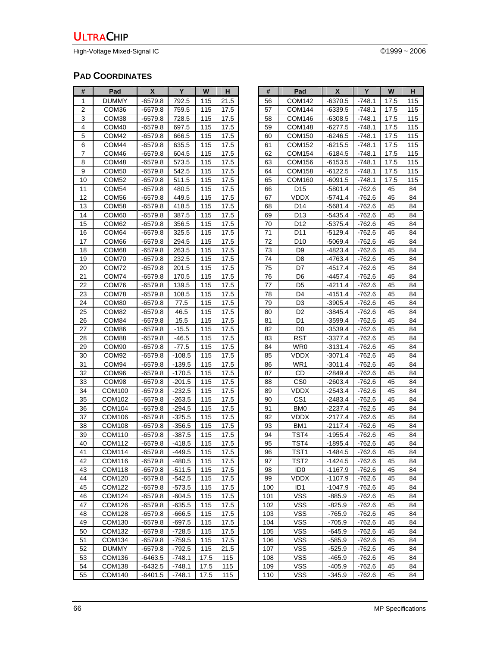High-Voltage Mixed-Signal IC ©1999 ~ 2006

# **PAD COORDINATES**

| #              | Pad           | X         | Y        | W    | н    |
|----------------|---------------|-----------|----------|------|------|
| 1              | DUMMY         | $-6579.8$ | 792.5    | 115  | 21.5 |
| $\overline{2}$ | COM36         | -6579.8   | 759.5    | 115  | 17.5 |
| 3              | COM38         | -6579.8   | 728.5    | 115  | 17.5 |
| 4              | COM40         | $-6579.8$ | 697.5    | 115  | 17.5 |
| 5              | COM42         | $-6579.8$ | 666.5    | 115  | 17.5 |
| 6              | COM44         | -6579.8   | 635.5    | 115  | 17.5 |
| 7              | COM46         | -6579.8   | 604.5    | 115  | 17.5 |
| 8              | COM48         | -6579.8   | 573.5    | 115  | 17.5 |
| 9              | COM50         | $-6579.8$ | 542.5    | 115  | 17.5 |
| 10             | COM52         | $-6579.8$ | 511.5    | 115  | 17.5 |
| 11             | COM54         | $-6579.8$ | 480.5    | 115  | 17.5 |
| 12             | COM56         | -6579.8   | 449.5    | 115  | 17.5 |
| 13             | COM58         | -6579.8   | 418.5    | 115  | 17.5 |
| 14             | COM60         | $-6579.8$ | 387.5    | 115  | 17.5 |
| 15             | COM62         | $-6579.8$ | 356.5    | 115  | 17.5 |
| 16             | COM64         | $-6579.8$ | 325.5    | 115  | 17.5 |
| 17             | COM66         | -6579.8   | 294.5    | 115  | 17.5 |
| 18             | COM68         | -6579.8   | 263.5    | 115  | 17.5 |
| 19             | COM70         | $-6579.8$ | 232.5    | 115  | 17.5 |
| 20             | COM72         | $-6579.8$ | 201.5    | 115  | 17.5 |
| 21             | COM74         | -6579.8   | 170.5    | 115  | 17.5 |
| 22             | COM76         | $-6579.8$ | 139.5    | 115  | 17.5 |
| 23             | COM78         | $-6579.8$ | 108.5    | 115  | 17.5 |
| 24             | COM80         | -6579.8   | 77.5     | 115  | 17.5 |
| 25             | COM82         | -6579.8   | 46.5     | 115  | 17.5 |
| 26             | COM84         | -6579.8   | 15.5     | 115  | 17.5 |
| 27             | COM86         | -6579.8   | $-15.5$  | 115  | 17.5 |
| 28             | COM88         | $-6579.8$ | $-46.5$  | 115  | 17.5 |
| 29             | COM90         | $-6579.8$ | -77.5    | 115  | 17.5 |
| 30             | COM92         | -6579.8   | -108.5   | 115  | 17.5 |
| 31             | COM94         | -6579.8   | $-139.5$ | 115  | 17.5 |
| 32             | COM96         | -6579.8   | $-170.5$ | 115  | 17.5 |
| 33             | COM98         | $-6579.8$ | $-201.5$ | 115  | 17.5 |
| 34             | COM100        | $-6579.8$ | $-232.5$ | 115  | 17.5 |
| 35             | COM102        | -6579.8   | $-263.5$ | 115  | 17.5 |
| 36             | COM104        | -6579.8   | -294.5   | 115  | 17.5 |
| 37             | COM106        | -6579.8   | -325.5   | 115  | 17.5 |
| 38             | COM108        | $-6579.8$ | $-356.5$ | 115  | 17.5 |
| 39             | COM110        | $-6579.8$ | $-387.5$ | 115  | 17.5 |
| 40             | COM112        | $-6579.8$ | $-418.5$ | 115  | 17.5 |
| 41             | <b>COM114</b> | $-6579.8$ | $-449.5$ | 115  | 17.5 |
| 42             | COM116        | -6579.8   | -480.5   | 115  | 17.5 |
| 43             | COM118        | $-6579.8$ | $-511.5$ | 115  | 17.5 |
| 44             | COM120        | $-6579.8$ | $-542.5$ | 115  | 17.5 |
| 45             | COM122        | -6579.8   | $-573.5$ | 115  | 17.5 |
| 46             | COM124        | -6579.8   | -604.5   | 115  | 17.5 |
| 47             | <b>COM126</b> | -6579.8   | $-635.5$ | 115  | 17.5 |
| 48             | COM128        | -6579.8   | -666.5   | 115  | 17.5 |
| 49             | COM130        | $-6579.8$ | $-697.5$ | 115  | 17.5 |
| 50             | COM132        | $-6579.8$ | $-728.5$ | 115  | 17.5 |
| 51             | COM134        | $-6579.8$ | -759.5   | 115  | 17.5 |
| 52             | <b>DUMMY</b>  | $-6579.8$ | $-792.5$ | 115  | 21.5 |
| 53             | COM136        | $-6463.5$ | -748.1   | 17.5 | 115  |
| 54             | COM138        | $-6432.5$ | $-748.1$ | 17.5 | 115  |
| 55             | COM140        | -6401.5   | -748.1   | 17.5 | 115  |

| #        | Pad                            | X                    | Y                    | W        | н        |
|----------|--------------------------------|----------------------|----------------------|----------|----------|
| 56       | COM142                         | $-6370.5$            | $-748.1$             | 17.5     | 115      |
| 57       | COM144                         | $-6339.5$            | $-748.1$             | 17.5     | 115      |
| 58       | COM146                         | -6308.5              | -748.1               | 17.5     | 115      |
| 59       | <b>COM148</b>                  | $-6277.5$            | $-748.1$             | 17.5     | 115      |
| 60       | COM150                         | $-6246.5$            | $-748.1$             | 17.5     | 115      |
| 61       | COM152                         | $-6215.5$            | $-748.1$             | 17.5     | 115      |
| 62       | COM154                         | $-6184.5$            | -748.1               | 17.5     | 115      |
| 63       | COM156                         | $-6153.5$            | -748.1               | 17.5     | 115      |
| 64       | <b>COM158</b>                  | $-6122.5$            | $-748.1$             | 17.5     | 115      |
| 65       | COM160                         | $-6091.5$            | $-748.1$             | 17.5     | 115      |
| 66       | D <sub>15</sub>                | $-5801.4$            | -762.6               | 45       | 84       |
| 67       | VDDX                           | -5741.4              | -762.6               | 45       | 84       |
| 68       | D14                            | -5681.4              | -762.6               | 45       | 84       |
| 69       | D13                            | -5435.4              | -762.6               | 45       | 84       |
| 70       | D12                            | -5375.4              | $-762.6$             | 45       | 84       |
| 71       | D11                            | -5129.4              | $-762.6$             | 45       | 84       |
| 72       | D <sub>10</sub>                | -5069.4              | -762.6               | 45       | 84       |
| 73       | D9                             | $-4823.4$            | $-762.6$             | 45       | 84       |
| 74       | D8                             | $-4763.4$            | -762.6               | 45       | 84       |
| 75       | D7                             | $-4517.4$            | -762.6               | 45       | 84       |
| 76       | D <sub>6</sub>                 | -4457.4              | -762.6               | 45       | 84       |
| 77       | D <sub>5</sub>                 | -4211.4              | -762.6               | 45       | 84       |
| 78       | D4                             | $-4151.4$            | $-762.6$             | 45       | 84       |
| 79       | D3                             | $-3905.4$            | -762.6               | 45       | 84       |
| 80       | D2                             | -3845.4              | -762.6               | 45       | 84       |
| 81       | D1                             | $-3599.4$            | $-762.6$             | 45       | 84       |
| 82       | D <sub>0</sub>                 | -3539.4              | -762.6               | 45       | 84       |
| 83       | RST                            | $-3377.4$            | $-762.6$             | 45       | 84       |
| 84       | WR0                            | -3131.4              | -762.6               | 45       | 84       |
| 85       | VDDX                           | -3071.4              | -762.6               | 45       | 84       |
| 86       | WR1                            | -3011.4              | -762.6               | 45       | 84       |
| 87       | CD                             | -2849.4              | -762.6               | 45       | 84       |
| 88       | CS <sub>0</sub>                | $-2603.4$            | -762.6               | 45       | 84       |
| 89       | VDDX                           | $-2543.4$            | -762.6               | 45       | 84       |
| 90       | CS <sub>1</sub>                | -2483.4              | -762.6               | 45       | 84       |
| 91       | BM <sub>0</sub><br><b>VDDX</b> | -2237.4              | -762.6               | 45       | 84       |
| 92       |                                | -2177.4              | -762.6               | 45       | 84       |
| 93<br>94 | BM1<br>TST4                    | $-2117.4$<br>-1955.4 | $-762.6$             | 45<br>45 | 84<br>84 |
| 95       | TST4                           | $-1895.4$            | $-762.6$<br>$-762.6$ | 45       | 84       |
| 96       | TST <sub>1</sub>               | 1484.5               | $-762.6$             | 45       | 84       |
| 97       | TST <sub>2</sub>               | -1424.5              | -762.6               | 45       | 84       |
| 98       | ID <sub>0</sub>                | $-1167.9$            | -762.6               | 45       | 84       |
| 99       | VDDX                           | $-1107.9$            | -762.6               | 45       | 84       |
| 100      | ID <sub>1</sub>                | -1047.9              | $-762.6$             | 45       | 84       |
| 101      | VSS                            | $-885.9$             | -762.6               | 45       | 84       |
| 102      | <b>VSS</b>                     | $-825.9$             | $-762.6$             | 45       | 84       |
| 103      | VSS                            | $-765.9$             | -762.6               | 45       | 84       |
| 104      | VSS                            | -705.9               | -762.6               | 45       | 84       |
| 105      | vss                            | $-645.9$             | -762.6               | 45       | 84       |
| 106      | <b>VSS</b>                     | -585.9               | $-762.6$             | 45       | 84       |
| 107      | <b>VSS</b>                     | $-525.9$             | -762.6               | 45       | 84       |
| 108      | VSS                            | -465.9               | -762.6               | 45       | 84       |
| 109      | <b>VSS</b>                     | $-405.9$             | -762.6               | 45       | 84       |
| 110      | vss                            | $-345.9$             | -762.6               | 45       | 84       |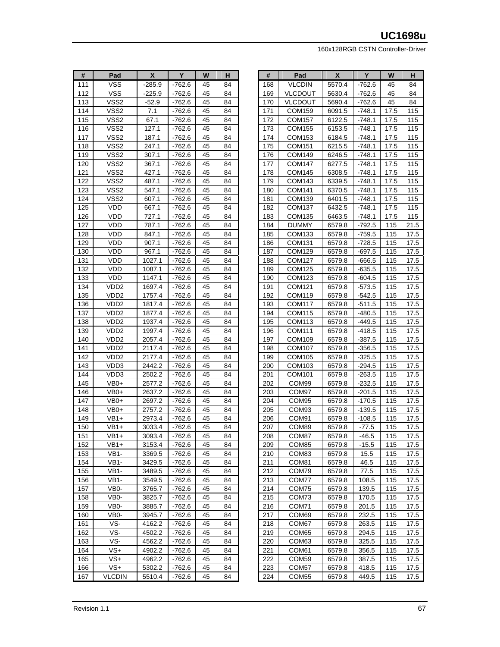| #   | Pad              | X       | Y        | W  | н  |
|-----|------------------|---------|----------|----|----|
| 111 | VSS              | -285.9  | -762.6   | 45 | 84 |
| 112 | VSS              | -225.9  | $-762.6$ | 45 | 84 |
| 113 | VSS2             | $-52.9$ | -762.6   | 45 | 84 |
| 114 | VSS2             | 7.1     | -762.6   | 45 | 84 |
| 115 | VSS2             | 67.1    | $-762.6$ | 45 | 84 |
| 116 | VSS2             | 127.1   | -762.6   | 45 | 84 |
| 117 | VSS2             | 187.1   | -762.6   | 45 | 84 |
| 118 | VSS2             | 247.1   | $-762.6$ | 45 | 84 |
| 119 | VSS2             | 307.1   | $-762.6$ | 45 | 84 |
| 120 | VSS2             | 367.1   | -762.6   | 45 | 84 |
| 121 | VSS2             | 427.1   | -762.6   | 45 | 84 |
| 122 | VSS2             | 487.1   | $-762.6$ | 45 | 84 |
| 123 | VSS2             | 547.1   | -762.6   | 45 | 84 |
| 124 | VSS2             | 607.1   | -762.6   | 45 | 84 |
| 125 | VDD              | 667.1   | -762.6   | 45 | 84 |
| 126 | VDD              | 727.1   | -762.6   | 45 | 84 |
| 127 | <b>VDD</b>       | 787.1   | $-762.6$ | 45 | 84 |
| 128 | VDD              | 847.1   | $-762.6$ | 45 | 84 |
| 129 | VDD              | 907.1   | -762.6   | 45 | 84 |
| 130 | VDD              | 967.1   | -762.6   | 45 | 84 |
| 131 | VDD              | 1027.1  | -762.6   | 45 | 84 |
| 132 | <b>VDD</b>       | 1087.1  | $-762.6$ | 45 | 84 |
| 133 | VDD              | 1147.1  | -762.6   | 45 | 84 |
| 134 | VDD2             | 1697.4  | $-762.6$ | 45 | 84 |
| 135 | VDD2             | 1757.4  | -762.6   | 45 | 84 |
| 136 | VDD2             | 1817.4  | -762.6   | 45 | 84 |
| 137 | VDD2             | 1877.4  | -762.6   | 45 | 84 |
| 138 | VDD2             | 1937.4  | -762.6   | 45 | 84 |
| 139 | VDD2             | 1997.4  | $-762.6$ | 45 | 84 |
| 140 | VDD2             | 2057.4  | -762.6   | 45 | 84 |
| 141 | VDD <sub>2</sub> | 2117.4  | $-762.6$ | 45 | 84 |
| 142 | VDD2             | 2177.4  | $-762.6$ | 45 | 84 |
| 143 | VDD3             | 2442.2  | -762.6   | 45 | 84 |
| 144 | VDD3             | 2502.2  | -762.6   | 45 | 84 |
| 145 | VB0+             | 2577.2  | -762.6   | 45 | 84 |
| 146 | $VB0+$           | 2637.2  | $-762.6$ | 45 | 84 |
| 147 | VB0+             | 2697.2  | -762.6   | 45 | 84 |
| 148 | VB0+             | 2757.2  | -762.6   | 45 | 84 |
| 149 | VB1+             | 2973.4  | -762.6   | 45 | 84 |
| 150 | VB1+             | 3033.4  | -762.6   | 45 | 84 |
| 151 | VB1+             | 3093.4  | -762.6   | 45 | 84 |
| 152 | VB1+             | 3153.4  | -762.6   | 45 | 84 |
| 153 | VB1-             | 3369.5  | $-762.6$ | 45 | 84 |
| 154 | VB1-             | 3429.5  | -762.6   | 45 | 84 |
| 155 | VB1-             | 3489.5  | -762.6   | 45 | 84 |
| 156 | VB1-             | 3549.5  | $-762.6$ | 45 | 84 |
| 157 | VB0-             | 3765.7  | -762.6   | 45 | 84 |
| 158 | VB0-             | 3825.7  | -762.6   | 45 | 84 |
| 159 | VB0-             | 3885.7  | -762.6   | 45 | 84 |
| 160 | VB0-             | 3945.7  | -762.6   | 45 | 84 |
| 161 | VS-              | 4162.2  | -762.6   | 45 | 84 |
| 162 | VS-              | 4502.2  | $-762.6$ | 45 | 84 |
| 163 | VS-              | 4562.2  | -762.6   | 45 | 84 |
| 164 | VS+              | 4902.2  | -762.6   | 45 | 84 |
| 165 | $VS+$            | 4962.2  | $-762.6$ | 45 | 84 |
| 166 | VS+              | 5302.2  | -762.6   | 45 | 84 |
| 167 | VLCDIN           | 5510.4  | $-762.6$ | 45 | 84 |

| #          | Pad            | χ                | Y                  | W          | н            |
|------------|----------------|------------------|--------------------|------------|--------------|
| 168        | <b>VLCDIN</b>  | 5570.4           | $-762.6$           | 45         | 84           |
| 169        | <b>VLCDOUT</b> | 5630.4           | -762.6             | 45         | 84           |
| 170        | VLCDOUT        | 5690.4           | -762.6             | 45         | 84           |
| 171        | COM159         | 6091.5           | $-748.1$           | 17.5       | 115          |
| 172        | COM157         | 6122.5           | $-748.1$           | 17.5       | 115          |
| 173        | COM155         | 6153.5           | -748.1             | 17.5       | 115          |
| 174        | COM153         | 6184.5           | $-748.1$           | 17.5       | 115          |
| 175        | COM151         | 6215.5           | -748.1             | 17.5       | 115          |
| 176        | COM149         | 6246.5           | $-748.1$           | 17.5       | 115          |
| 177        | <b>COM147</b>  | 6277.5           | $-748.1$           | 17.5       | 115          |
| 178        | COM145         | 6308.5           | -748.1             | 17.5       | 115          |
| 179        | COM143         | 6339.5           | -748.1             | 17.5       | 115          |
| 180        | COM141         | 6370.5           | -748.1             | 17.5       | 115          |
| 181        | <b>COM139</b>  | 6401.5           | $-748.1$           | 17.5       | 115          |
| 182        | COM137         | 6432.5           | -748.1             | 17.5       | 115          |
| 183        | COM135         | 6463.5           | -748.1             | 17.5       | 115          |
| 184        | <b>DUMMY</b>   | 6579.8           | -792.5             | 115        | 21.5         |
| 185        | COM133         | 6579.8           | -759.5             | 115        | 17.5         |
| 186        | COM131         | 6579.8           | $-728.5$           | 115        | 17.5         |
| 187        | COM129         | 6579.8           | -697.5             | 115        | 17.5         |
| 188        | COM127         | 6579.8           | -666.5             | 115        | 17.5         |
| 189        | COM125         | 6579.8           | -635.5             | 115        | 17.5         |
| 190        | <b>COM123</b>  | 6579.8           | $-604.5$           | 115        | 17.5         |
| 191        | COM121         | 6579.8           | $-573.5$           | 115        | 17.5         |
| 192        | COM119         | 6579.8           | -542.5             | 115        | 17.5         |
| 193        | COM117         | 6579.8           | -511.5             | 115        | 17.5         |
| 194        | COM115         | 6579.8           | -480.5             | 115        | 17.5         |
| 195        | COM113         | 6579.8           | -449.5             | 115        | 17.5         |
| 196        | COM111         | 6579.8           | -418.5             | 115        | 17.5         |
| 197        | COM109         | 6579.8           | -387.5             | 115        | 17.5         |
| 198        | COM107         | 6579.8           | $-356.5$           | 115        | 17.5         |
| 199        | COM105         | 6579.8           | -325.5             | 115        | 17.5         |
| 200        | COM103         | 6579.8           | $-294.5$           | 115        | 17.5         |
| 201        | COM101         | 6579.8           | $-263.5$           | 115        | 17.5         |
| 202        | COM99<br>COM97 | 6579.8<br>6579.8 | -232.5             | 115<br>115 | 17.5         |
| 203<br>204 | COM95          | 6579.8           | -201.5<br>$-170.5$ | 115        | 17.5<br>17.5 |
| 205        | COM93          | 6579.8           | $-139.5$           | 115        | 17.5         |
| 206        | COM91          | 6579.8           | -108.5             | 115        | 17.5         |
| 207        | COM89          | 6579.8           | $-77.5$            | 115        | 17.5         |
| 208        | COM87          | 6579.8           | $-46.5$            | 115        | 17.5         |
| 209        | COM85          | 6579.8           | $-15.5$            | 115        | 17.5         |
| 210        | COM83          | 6579.8           | 15.5               | 115        | 17.5         |
| 211        | COM81          | 6579.8           | 46.5               | 115        | 17.5         |
| 212        | COM79          | 6579.8           | 77.5               | 115        | 17.5         |
| 213        | COM77          | 6579.8           | 108.5              | 115        | 17.5         |
| 214        | COM75          | 6579.8           | 139.5              | 115        | 17.5         |
| 215        | COM73          | 6579.8           | 170.5              | 115        | 17.5         |
| 216        | COM71          | 6579.8           | 201.5              | 115        | 17.5         |
| 217        | COM69          | 6579.8           | 232.5              | 115        | 17.5         |
| 218        | COM67          | 6579.8           | 263.5              | 115        | 17.5         |
| 219        | COM65          | 6579.8           | 294.5              | 115        | 17.5         |
| 220        | COM63          | 6579.8           | 325.5              | 115        | 17.5         |
| 221        | COM61          | 6579.8           | 356.5              | 115        | 17.5         |
| 222        | COM59          | 6579.8           | 387.5              | 115        | 17.5         |
| 223        | COM57          | 6579.8           | 418.5              | 115        | 17.5         |
| 224        | COM55          | 6579.8           | 449.5              | 115        | 17.5         |
|            |                |                  |                    |            |              |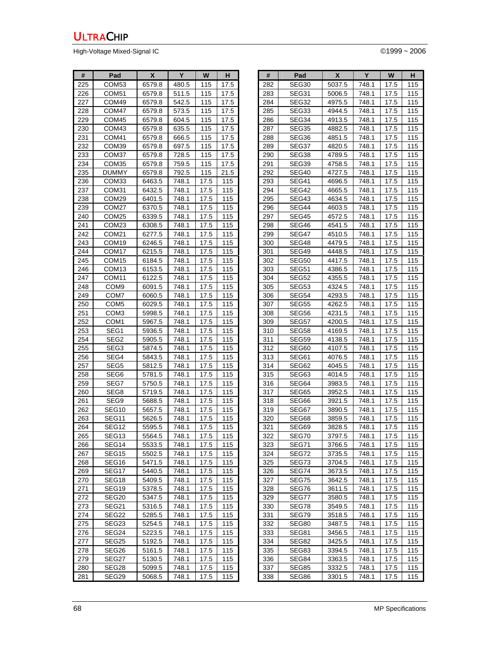High-Voltage Mixed-Signal IC **Development Control** Control Control Control Control Control Control Control Control Control Control Control Control Control Control Control Control Control Control Control Control Control Con

| #   | Pad               | X      | Y     | W    | н    |
|-----|-------------------|--------|-------|------|------|
| 225 | COM <sub>53</sub> | 6579.8 | 480.5 | 115  | 17.5 |
| 226 | COM51             | 6579.8 | 511.5 | 115  | 17.5 |
| 227 | COM49             | 6579.8 | 542.5 | 115  | 17.5 |
| 228 | COM47             | 6579.8 | 573.5 | 115  | 17.5 |
| 229 | COM45             | 6579.8 | 604.5 | 115  | 17.5 |
| 230 | COM43             | 6579.8 | 635.5 | 115  | 17.5 |
| 231 | COM41             | 6579.8 | 666.5 | 115  | 17.5 |
| 232 | COM39             | 6579.8 | 697.5 | 115  | 17.5 |
| 233 | COM37             | 6579.8 | 728.5 | 115  | 17.5 |
| 234 | COM35             | 6579.8 | 759.5 | 115  | 17.5 |
| 235 | DUMMY             | 6579.8 | 792.5 | 115  | 21.5 |
| 236 | COM33             | 6463.5 | 748.1 | 17.5 | 115  |
| 237 | COM31             | 6432.5 | 748.1 | 17.5 | 115  |
| 238 | COM29             | 6401.5 | 748.1 | 17.5 | 115  |
| 239 | COM27             | 6370.5 | 748.1 | 17.5 | 115  |
| 240 | COM <sub>25</sub> | 6339.5 | 748.1 | 17.5 | 115  |
| 241 | COM23             | 6308.5 | 748.1 | 17.5 | 115  |
| 242 | COM <sub>21</sub> | 6277.5 | 748.1 | 17.5 | 115  |
| 243 | COM19             | 6246.5 | 748.1 | 17.5 | 115  |
| 244 | COM <sub>17</sub> | 6215.5 | 748.1 | 17.5 | 115  |
| 245 | COM <sub>15</sub> | 6184.5 | 748.1 | 17.5 | 115  |
| 246 | COM <sub>13</sub> | 6153.5 | 748.1 | 17.5 | 115  |
| 247 | COM11             | 6122.5 | 748.1 | 17.5 | 115  |
| 248 | COM9              | 6091.5 | 748.1 | 17.5 | 115  |
| 249 | COM7              | 6060.5 | 748.1 | 17.5 | 115  |
| 250 | COM <sub>5</sub>  | 6029.5 | 748.1 | 17.5 | 115  |
| 251 | COM3              | 5998.5 | 748.1 | 17.5 | 115  |
| 252 | COM1              | 5967.5 | 748.1 | 17.5 | 115  |
| 253 | SEG1              | 5936.5 | 748.1 | 17.5 | 115  |
| 254 | SEG2              | 5905.5 | 748.1 | 17.5 | 115  |
| 255 | SEG3              | 5874.5 | 748.1 | 17.5 | 115  |
| 256 | SEG4              | 5843.5 | 748.1 | 17.5 | 115  |
| 257 | SEG5              | 5812.5 | 748.1 | 17.5 | 115  |
| 258 | SEG6              | 5781.5 | 748.1 | 17.5 | 115  |
| 259 | SEG7              | 5750.5 | 748.1 | 17.5 | 115  |
| 260 | SEG8              | 5719.5 | 748.1 | 17.5 | 115  |
| 261 | SEG9              | 5688.5 | 748.1 | 17.5 | 115  |
| 262 | SEG10             | 5657.5 | 748.1 | 17.5 | 115  |
| 263 | SEG11             | 5626.5 | 748.1 | 17.5 | 115  |
| 264 | SEG12             | 5595.5 | 748.1 | 17.5 | 115  |
| 265 | SEG13             | 5564.5 | 748.1 | 17.5 | 115  |
| 266 | SEG14             | 5533.5 | 748.1 | 17.5 | 115  |
| 267 | SEG15             | 5502.5 | 748.1 | 17.5 | 115  |
| 268 | SEG16             | 5471.5 | 748.1 | 17.5 | 115  |
| 269 | SEG17             | 5440.5 | 748.1 | 17.5 | 115  |
| 270 | SEG18             | 5409.5 | 748.1 | 17.5 | 115  |
| 271 | SEG19             | 5378.5 | 748.1 | 17.5 | 115  |
| 272 | SEG20             | 5347.5 | 748.1 | 17.5 | 115  |
| 273 | SEG21             | 5316.5 | 748.1 | 17.5 | 115  |
| 274 | SEG22             | 5285.5 | 748.1 | 17.5 | 115  |
| 275 | SEG23             | 5254.5 | 748.1 | 17.5 | 115  |
| 276 | SEG24             | 5223.5 | 748.1 | 17.5 | 115  |
| 277 | SEG25             | 5192.5 | 748.1 | 17.5 | 115  |
| 278 | SEG26             | 5161.5 | 748.1 | 17.5 | 115  |
| 279 | SEG27             | 5130.5 | 748.1 | 17.5 | 115  |
| 280 | SEG28             | 5099.5 | 748.1 | 17.5 | 115  |
| 281 | SEG29             | 5068.5 | 748.1 | 17.5 | 115  |

| #   | Pad          | X      | Y     | W    | н   |
|-----|--------------|--------|-------|------|-----|
| 282 | SEG30        | 5037.5 | 748.1 | 17.5 | 115 |
| 283 | SEG31        | 5006.5 | 748.1 | 17.5 | 115 |
| 284 | SEG32        | 4975.5 | 748.1 | 17.5 | 115 |
| 285 | SEG33        | 4944.5 | 748.1 | 17.5 | 115 |
| 286 | SEG34        | 4913.5 | 748.1 | 17.5 | 115 |
| 287 | SEG35        | 4882.5 | 748.1 | 17.5 | 115 |
| 288 | SEG36        | 4851.5 | 748.1 | 17.5 | 115 |
| 289 | SEG37        | 4820.5 | 748.1 | 17.5 | 115 |
| 290 | SEG38        | 4789.5 | 748.1 | 17.5 | 115 |
| 291 | SEG39        | 4758.5 | 748.1 | 17.5 | 115 |
| 292 | SEG40        | 4727.5 | 748.1 | 17.5 | 115 |
| 293 | SEG41        | 4696.5 | 748.1 | 17.5 | 115 |
| 294 | SEG42        | 4665.5 | 748.1 | 17.5 | 115 |
| 295 | SEG43        | 4634.5 | 748.1 | 17.5 | 115 |
| 296 | SEG44        | 4603.5 | 748.1 | 17.5 | 115 |
| 297 | SEG45        | 4572.5 | 748.1 | 17.5 | 115 |
| 298 | SEG46        | 4541.5 | 748.1 | 17.5 | 115 |
| 299 | SEG47        | 4510.5 | 748.1 | 17.5 | 115 |
| 300 | SEG48        | 4479.5 | 748.1 | 17.5 | 115 |
| 301 | SEG49        | 4448.5 | 748.1 | 17.5 | 115 |
| 302 | SEG50        | 4417.5 | 748.1 | 17.5 | 115 |
| 303 | SEG51        | 4386.5 | 748.1 | 17.5 | 115 |
| 304 | SEG52        | 4355.5 | 748.1 | 17.5 | 115 |
| 305 | SEG53        | 4324.5 | 748.1 | 17.5 | 115 |
| 306 | SEG54        | 4293.5 | 748.1 | 17.5 | 115 |
| 307 | <b>SEG55</b> | 4262.5 | 748.1 | 17.5 | 115 |
| 308 | SEG56        | 4231.5 | 748.1 | 17.5 | 115 |
| 309 | SEG57        | 4200.5 | 748.1 | 17.5 | 115 |
| 310 | SEG58        | 4169.5 | 748.1 | 17.5 | 115 |
| 311 | SEG59        | 4138.5 | 748.1 | 17.5 | 115 |
| 312 | SEG60        | 4107.5 | 748.1 | 17.5 | 115 |
| 313 | SEG61        | 4076.5 | 748.1 | 17.5 | 115 |
| 314 | SEG62        | 4045.5 | 748.1 | 17.5 | 115 |
| 315 | SEG63        | 4014.5 | 748.1 | 17.5 | 115 |
| 316 | SEG64        | 3983.5 | 748.1 | 17.5 | 115 |
| 317 | SEG65        | 3952.5 | 748.1 | 17.5 | 115 |
| 318 | SEG66        | 3921.5 | 748.1 | 17.5 | 115 |
| 319 | SEG67        | 3890.5 | 748.1 | 17.5 | 115 |
| 320 | SEG68        | 3859.5 | 748.1 | 17.5 | 115 |
| 321 | SEG69        | 3828.5 | 748.1 | 17.5 | 115 |
| 322 | <b>SEG70</b> | 3797.5 | 748.1 | 17.5 | 115 |
| 323 | SEG71        | 3766.5 | 748.1 | 17.5 | 115 |
| 324 | SEG72        | 3735.5 | 748.1 | 17.5 | 115 |
| 325 | SEG73        | 3704.5 | 748.1 | 17.5 | 115 |
| 326 | SEG74        | 3673.5 | 748.1 | 17.5 | 115 |
| 327 | SEG75        | 3642.5 | 748.1 | 17.5 | 115 |
| 328 | SEG76        | 3611.5 | 748.1 | 17.5 | 115 |
| 329 | SEG77        | 3580.5 | 748.1 | 17.5 | 115 |
| 330 | SEG78        | 3549.5 | 748.1 | 17.5 | 115 |
| 331 | SEG79        | 3518.5 | 748.1 | 17.5 | 115 |
| 332 | SEG80        | 3487.5 | 748.1 | 17.5 | 115 |
| 333 | SEG81        | 3456.5 | 748.1 | 17.5 | 115 |
| 334 | SEG82        | 3425.5 | 748.1 | 17.5 | 115 |
| 335 | SEG83        | 3394.5 | 748.1 | 17.5 | 115 |
| 336 | SEG84        | 3363.5 | 748.1 | 17.5 | 115 |
| 337 | SEG85        | 3332.5 | 748.1 | 17.5 | 115 |
| 338 | SEG86        | 3301.5 | 748.1 | 17.5 | 115 |
|     |              |        |       |      |     |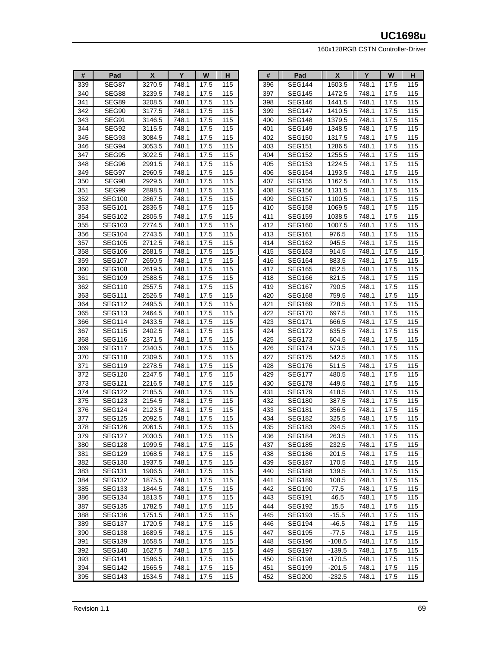| #   | Pad            | X      | Y     | W    | н          |
|-----|----------------|--------|-------|------|------------|
| 339 | SEG87          | 3270.5 | 748.1 | 17.5 | 115        |
| 340 | SEG88          | 3239.5 | 748.1 | 17.5 | 115        |
| 341 | SEG89          | 3208.5 | 748.1 | 17.5 | 115        |
| 342 | SEG90          | 3177.5 | 748.1 | 17.5 | 115        |
| 343 | SEG91          | 3146.5 | 748.1 | 17.5 | 115        |
| 344 | SEG92          | 3115.5 | 748.1 | 17.5 | 115        |
| 345 | SEG93          | 3084.5 | 748.1 | 17.5 | 115        |
| 346 | SEG94          | 3053.5 | 748.1 | 17.5 | 115        |
| 347 |                |        | 748.1 |      |            |
|     | SEG95<br>SEG96 | 3022.5 |       | 17.5 | 115<br>115 |
| 348 |                | 2991.5 | 748.1 | 17.5 |            |
| 349 | SEG97          | 2960.5 | 748.1 | 17.5 | 115        |
| 350 | SEG98          | 2929.5 | 748.1 | 17.5 | 115        |
| 351 | SEG99          | 2898.5 | 748.1 | 17.5 | 115        |
| 352 | <b>SEG100</b>  | 2867.5 | 748.1 | 17.5 | 115        |
| 353 | <b>SEG101</b>  | 2836.5 | 748.1 | 17.5 | 115        |
| 354 | <b>SEG102</b>  | 2805.5 | 748.1 | 17.5 | 115        |
| 355 | <b>SEG103</b>  | 2774.5 | 748.1 | 17.5 | 115        |
| 356 | SEG104         | 2743.5 | 748.1 | 17.5 | 115        |
| 357 | <b>SEG105</b>  | 2712.5 | 748.1 | 17.5 | 115        |
| 358 | SEG106         | 2681.5 | 748.1 | 17.5 | 115        |
| 359 | <b>SEG107</b>  | 2650.5 | 748.1 | 17.5 | 115        |
| 360 | <b>SEG108</b>  | 2619.5 | 748.1 | 17.5 | 115        |
| 361 | <b>SEG109</b>  | 2588.5 | 748.1 | 17.5 | 115        |
| 362 | <b>SEG110</b>  | 2557.5 | 748.1 | 17.5 | 115        |
| 363 | <b>SEG111</b>  | 2526.5 | 748.1 | 17.5 | 115        |
| 364 | <b>SEG112</b>  | 2495.5 | 748.1 | 17.5 | 115        |
| 365 | SEG113         | 2464.5 | 748.1 | 17.5 | 115        |
| 366 | SEG114         | 2433.5 | 748.1 | 17.5 | 115        |
| 367 | SEG115         | 2402.5 | 748.1 | 17.5 | 115        |
| 368 | SEG116         | 2371.5 | 748.1 | 17.5 | 115        |
| 369 | <b>SEG117</b>  | 2340.5 | 748.1 | 17.5 | 115        |
| 370 | SEG118         | 2309.5 | 748.1 | 17.5 | 115        |
|     |                |        |       |      |            |
| 371 | SEG119         | 2278.5 | 748.1 | 17.5 | 115        |
| 372 | SEG120         | 2247.5 | 748.1 | 17.5 | 115        |
| 373 | <b>SEG121</b>  | 2216.5 | 748.1 | 17.5 | 115        |
| 374 | <b>SEG122</b>  | 2185.5 | 748.1 | 17.5 | 115        |
| 375 | SEG123         | 2154.5 | 748.1 | 17.5 | 115        |
| 376 | SEG124         | 2123.5 | 748.1 | 17.5 | 115        |
| 377 | <b>SEG125</b>  | 2092.5 | 748.1 | 17.5 | 115        |
| 378 | SEG126         | 2061.5 | 748.1 | 17.5 | 115        |
| 379 | <b>SEG127</b>  | 2030.5 | 748.1 | 17.5 | 115        |
| 380 | SEG128         | 1999.5 | 748.1 | 17.5 | 115        |
| 381 | SEG129         | 1968.5 | 748.1 | 17.5 | 115        |
| 382 | <b>SEG130</b>  | 1937.5 | 748.1 | 17.5 | 115        |
| 383 | SEG131         | 1906.5 | 748.1 | 17.5 | 115        |
| 384 | <b>SEG132</b>  | 1875.5 | 748.1 | 17.5 | 115        |
| 385 | SEG133         | 1844.5 | 748.1 | 17.5 | 115        |
| 386 | SEG134         | 1813.5 | 748.1 | 17.5 | 115        |
| 387 | <b>SEG135</b>  | 1782.5 | 748.1 | 17.5 | 115        |
| 388 | SEG136         | 1751.5 | 748.1 | 17.5 | 115        |
| 389 | <b>SEG137</b>  | 1720.5 | 748.1 | 17.5 | 115        |
| 390 | SEG138         | 1689.5 | 748.1 | 17.5 | 115        |
| 391 | SEG139         | 1658.5 | 748.1 | 17.5 | 115        |
| 392 | SEG140         | 1627.5 | 748.1 | 17.5 | 115        |
| 393 | SEG141         | 1596.5 | 748.1 | 17.5 | 115        |
| 394 | SEG142         | 1565.5 | 748.1 | 17.5 | 115        |
| 395 | SEG143         | 1534.5 | 748.1 | 17.5 | 115        |
|     |                |        |       |      |            |

| #   | Pad           | X        | Y     | W                 | н   |
|-----|---------------|----------|-------|-------------------|-----|
| 396 | SEG144        | 1503.5   | 748.1 | 17.5              | 115 |
| 397 | SEG145        | 1472.5   | 748.1 | 17.5              | 115 |
| 398 | SEG146        | 1441.5   | 748.1 | 17.5              | 115 |
| 399 | <b>SEG147</b> | 1410.5   | 748.1 | 17.5              | 115 |
| 400 | <b>SEG148</b> | 1379.5   | 748.1 | 17.5              | 115 |
| 401 | <b>SEG149</b> | 1348.5   | 748.1 | 17.5              | 115 |
| 402 | <b>SEG150</b> | 1317.5   | 748.1 | 17.5              | 115 |
| 403 | <b>SEG151</b> | 1286.5   | 748.1 | 17.5              | 115 |
| 404 | <b>SEG152</b> | 1255.5   | 748.1 | 17.5              | 115 |
| 405 | <b>SEG153</b> | 1224.5   | 748.1 | 17.5              | 115 |
| 406 | <b>SEG154</b> | 1193.5   | 748.1 | 17.5              | 115 |
| 407 | <b>SEG155</b> | 1162.5   | 748.1 | 17.5              | 115 |
| 408 | <b>SEG156</b> | 1131.5   | 748.1 | 17.5              | 115 |
| 409 | <b>SEG157</b> | 1100.5   | 748.1 | 17.5              | 115 |
| 410 | <b>SEG158</b> | 1069.5   | 748.1 | 17.5              | 115 |
| 411 | SEG159        | 1038.5   | 748.1 | 17.5              | 115 |
| 412 | SEG160        | 1007.5   | 748.1 | 17.5              | 115 |
| 413 | <b>SEG161</b> | 976.5    | 748.1 | 17.5              | 115 |
| 414 | <b>SEG162</b> | 945.5    | 748.1 | 17.5              | 115 |
| 415 | <b>SEG163</b> | 914.5    | 748.1 | 17.5              | 115 |
| 416 | SEG164        | 883.5    | 748.1 | 17.5              | 115 |
| 417 | <b>SEG165</b> | 852.5    | 748.1 | 17.5              | 115 |
| 418 | SEG166        | 821.5    | 748.1 | 17.5              | 115 |
| 419 | <b>SEG167</b> | 790.5    | 748.1 | 17.5              | 115 |
| 420 | SEG168        | 759.5    | 748.1 | 17.5              | 115 |
| 421 | SEG169        | 728.5    | 748.1 | 17.5              | 115 |
| 422 | SEG170        | 697.5    | 748.1 | 17.5              | 115 |
| 423 | <b>SEG171</b> | 666.5    | 748.1 | 17.5              | 115 |
| 424 | <b>SEG172</b> | 635.5    | 748.1 | 17.5              | 115 |
| 425 | SEG173        | 604.5    | 748.1 | 17.5              | 115 |
| 426 | SEG174        | 573.5    | 748.1 | 17.5              | 115 |
| 427 | <b>SEG175</b> | 542.5    | 748.1 | 17.5              | 115 |
| 428 | <b>SEG176</b> | 511.5    | 748.1 | 17.5              | 115 |
| 429 | <b>SEG177</b> | 480.5    | 748.1 | 17.5              | 115 |
| 430 | SEG178        | 449.5    | 748.1 | 17.5              | 115 |
| 431 | SEG179        | 418.5    | 748.1 | 17.5              | 115 |
| 432 | <b>SEG180</b> | 387.5    | 748.1 | 17.5              | 115 |
| 433 | <b>SEG181</b> | 356.5    | 748.1 | 17.5              | 115 |
| 434 | <b>SEG182</b> | 325.5    | 748.1 | 17.5              | 115 |
| 435 | SEG183        | 294.5    | 748.1 | 17.5              | 115 |
| 436 | <b>SEG184</b> | 263.5    | 748.1 | $\overline{17.5}$ | 115 |
| 437 | SEG185        | 232.5    | 748.1 | 17.5              | 115 |
| 438 | <b>SEG186</b> | 201.5    | 748.1 | 17.5              | 115 |
| 439 | <b>SEG187</b> | 170.5    | 748.1 | 17.5              | 115 |
| 440 | <b>SEG188</b> | 139.5    | 748.1 | 17.5              | 115 |
| 441 | SEG189        | 108.5    | 748.1 | 17.5              | 115 |
| 442 | <b>SEG190</b> | 77.5     | 748.1 | 17.5              | 115 |
| 443 | <b>SEG191</b> | 46.5     | 748.1 | 17.5              | 115 |
| 444 | <b>SEG192</b> | 15.5     | 748.1 | 17.5              | 115 |
| 445 | SEG193        | $-15.5$  | 748.1 | 17.5              | 115 |
| 446 | SEG194        | -46.5    | 748.1 | 17.5              | 115 |
| 447 | <b>SEG195</b> | $-77.5$  | 748.1 | 17.5              | 115 |
| 448 | SEG196        | $-108.5$ | 748.1 | 17.5              | 115 |
| 449 | SEG197        | $-139.5$ | 748.1 | 17.5              | 115 |
| 450 | SEG198        | $-170.5$ | 748.1 | 17.5              | 115 |
| 451 | SEG199        | -201.5   | 748.1 | 17.5              | 115 |
| 452 | <b>SEG200</b> | -232.5   | 748.1 | 17.5              | 115 |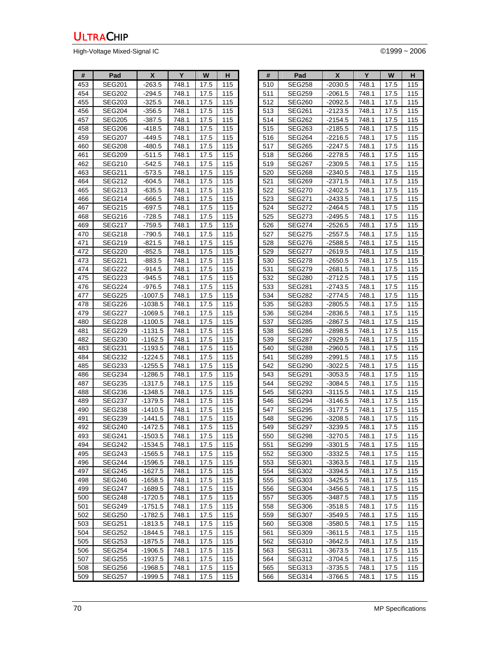High-Voltage Mixed-Signal IC **Development Controller Controller** Controller Controller Controller Controller Controller Controller Controller Controller Controller Controller Controller Controller Controller Controller Con

| #   | Pad           | X         | Υ     | W    | н   |
|-----|---------------|-----------|-------|------|-----|
| 453 | <b>SEG201</b> | $-263.5$  | 748.1 | 17.5 | 115 |
| 454 | SEG202        | -294.5    | 748.1 | 17.5 | 115 |
| 455 | SEG203        | $-325.5$  | 748.1 | 17.5 | 115 |
| 456 | SEG204        | $-356.5$  | 748.1 | 17.5 | 115 |
| 457 | SEG205        | -387.5    | 748.1 | 17.5 | 115 |
| 458 | SEG206        | -418.5    | 748.1 | 17.5 | 115 |
| 459 | SEG207        | $-449.5$  | 748.1 | 17.5 | 115 |
| 460 | SEG208        | -480.5    | 748.1 | 17.5 | 115 |
| 461 | SEG209        | -511.5    | 748.1 | 17.5 | 115 |
| 462 | <b>SEG210</b> | $-542.5$  | 748.1 | 17.5 | 115 |
| 463 | SEG211        | -573.5    | 748.1 | 17.5 | 115 |
| 464 | SEG212        | $-604.5$  | 748.1 | 17.5 | 115 |
| 465 | SEG213        | $-635.5$  | 748.1 | 17.5 | 115 |
| 466 | SEG214        | -666.5    | 748.1 | 17.5 | 115 |
| 467 | SEG215        | -697.5    | 748.1 | 17.5 | 115 |
| 468 | SEG216        | -728.5    | 748.1 | 17.5 | 115 |
| 469 | SEG217        | -759.5    | 748.1 | 17.5 | 115 |
| 470 | SEG218        | -790.5    | 748.1 | 17.5 | 115 |
| 471 | SEG219        | $-821.5$  | 748.1 | 17.5 | 115 |
| 472 | SEG220        | -852.5    | 748.1 | 17.5 | 115 |
| 473 | <b>SEG221</b> | -883.5    | 748.1 | 17.5 | 115 |
| 474 | SEG222        | $-914.5$  | 748.1 | 17.5 | 115 |
| 475 | SEG223        | $-945.5$  | 748.1 | 17.5 | 115 |
| 476 | <b>SEG224</b> | -976.5    | 748.1 | 17.5 | 115 |
| 477 | SEG225        | -1007.5   | 748.1 | 17.5 | 115 |
| 478 | <b>SEG226</b> | -1038.5   | 748.1 | 17.5 | 115 |
| 479 | SEG227        | $-1069.5$ | 748.1 | 17.5 | 115 |
| 480 | SEG228        | $-1100.5$ | 748.1 | 17.5 | 115 |
| 481 | SEG229        | -1131.5   | 748.1 | 17.5 | 115 |
| 482 | <b>SEG230</b> | -1162.5   | 748.1 | 17.5 | 115 |
| 483 | <b>SEG231</b> | -1193.5   | 748.1 | 17.5 | 115 |
| 484 | SEG232        | $-1224.5$ | 748.1 | 17.5 | 115 |
| 485 | SEG233        | -1255.5   | 748.1 | 17.5 | 115 |
| 486 | SEG234        | -1286.5   | 748.1 | 17.5 | 115 |
| 487 | SEG235        | -1317.5   | 748.1 | 17.5 | 115 |
| 488 | SEG236        | -1348.5   | 748.1 | 17.5 | 115 |
| 489 | SEG237        | -1379.5   | 748.1 | 17.5 | 115 |
| 490 | SEG238        | -1410.5   | 748.1 | 17.5 | 115 |
| 491 | SEG239        | $-1441.5$ | 748.1 | 17.5 | 115 |
| 492 | <b>SEG240</b> | $-1472.5$ | 748.1 | 17.5 | 115 |
| 493 | SEG241        | $-1503.5$ | 748.1 | 17.5 | 115 |
| 494 | SEG242        | $-1534.5$ | 748.1 | 17.5 | 115 |
| 495 | SEG243        | -1565.5   | 748.1 | 17.5 | 115 |
| 496 | SEG244        | -1596.5   | 748.1 | 17.5 | 115 |
| 497 | <b>SEG245</b> | -1627.5   | 748.1 | 17.5 | 115 |
| 498 | SEG246        | -1658.5   | 748.1 | 17.5 | 115 |
| 499 | SEG247        | -1689.5   | 748.1 | 17.5 | 115 |
| 500 | SEG248        | -1720.5   | 748.1 | 17.5 | 115 |
| 501 | SEG249        | -1751.5   | 748.1 | 17.5 | 115 |
| 502 | SEG250        | -1782.5   | 748.1 | 17.5 | 115 |
| 503 | SEG251        | $-1813.5$ | 748.1 | 17.5 | 115 |
| 504 | SEG252        | -1844.5   | 748.1 | 17.5 | 115 |
| 505 | SEG253        | -1875.5   | 748.1 | 17.5 | 115 |
| 506 | SEG254        | -1906.5   | 748.1 | 17.5 | 115 |
| 507 | SEG255        | -1937.5   | 748.1 | 17.5 | 115 |
| 508 | SEG256        | -1968.5   | 748.1 | 17.5 | 115 |
| 509 | SEG257        | -1999.5   | 748.1 | 17.5 | 115 |

| #   | Pad           | X         | Y     | W    | н   |
|-----|---------------|-----------|-------|------|-----|
| 510 | <b>SEG258</b> | $-2030.5$ | 748.1 | 17.5 | 115 |
| 511 | <b>SEG259</b> | -2061.5   | 748.1 | 17.5 | 115 |
| 512 | <b>SEG260</b> | $-2092.5$ | 748.1 | 17.5 | 115 |
| 513 | SEG261        | $-2123.5$ | 748.1 | 17.5 | 115 |
| 514 | SEG262        | -2154.5   | 748.1 | 17.5 | 115 |
| 515 | SEG263        | -2185.5   | 748.1 | 17.5 | 115 |
| 516 | SEG264        | -2216.5   | 748.1 | 17.5 | 115 |
| 517 | SEG265        | $-2247.5$ | 748.1 | 17.5 | 115 |
| 518 | <b>SEG266</b> | $-2278.5$ | 748.1 | 17.5 | 115 |
| 519 | SEG267        | -2309.5   | 748.1 | 17.5 | 115 |
| 520 | SEG268        | -2340.5   | 748.1 | 17.5 | 115 |
| 521 | <b>SEG269</b> | $-2371.5$ | 748.1 | 17.5 | 115 |
| 522 | SEG270        | -2402.5   | 748.1 | 17.5 | 115 |
| 523 | <b>SEG271</b> | $-2433.5$ | 748.1 | 17.5 | 115 |
| 524 | <b>SEG272</b> | -2464.5   | 748.1 | 17.5 | 115 |
| 525 | SEG273        | -2495.5   | 748.1 | 17.5 | 115 |
| 526 | <b>SEG274</b> | $-2526.5$ | 748.1 | 17.5 | 115 |
| 527 | <b>SEG275</b> | $-2557.5$ | 748.1 | 17.5 | 115 |
| 528 | SEG276        | -2588.5   | 748.1 | 17.5 | 115 |
| 529 | <b>SEG277</b> | $-2619.5$ | 748.1 | 17.5 | 115 |
| 530 | <b>SEG278</b> | $-2650.5$ | 748.1 | 17.5 | 115 |
| 531 | <b>SEG279</b> | $-2681.5$ | 748.1 | 17.5 | 115 |
| 532 | <b>SEG280</b> | $-2712.5$ | 748.1 | 17.5 | 115 |
| 533 | <b>SEG281</b> | $-2743.5$ | 748.1 | 17.5 | 115 |
| 534 | SEG282        | $-2774.5$ | 748.1 | 17.5 | 115 |
| 535 | SEG283        | $-2805.5$ | 748.1 | 17.5 | 115 |
| 536 | <b>SEG284</b> | $-2836.5$ | 748.1 | 17.5 | 115 |
| 537 | <b>SEG285</b> | -2867.5   | 748.1 | 17.5 | 115 |
| 538 | SEG286        | $-2898.5$ | 748.1 | 17.5 | 115 |
| 539 | SEG287        | -2929.5   | 748.1 | 17.5 | 115 |
| 540 | SEG288        | -2960.5   | 748.1 | 17.5 | 115 |
| 541 | SEG289        | $-2991.5$ | 748.1 | 17.5 | 115 |
| 542 | SEG290        | $-3022.5$ | 748.1 | 17.5 | 115 |
| 543 | <b>SEG291</b> | $-3053.5$ | 748.1 | 17.5 | 115 |
| 544 | SEG292        | $-3084.5$ | 748.1 | 17.5 | 115 |
| 545 | <b>SEG293</b> | -3115.5   | 748.1 | 17.5 | 115 |
| 546 | SEG294        | $-3146.5$ | 748.1 | 17.5 | 115 |
| 547 | <b>SEG295</b> | $-3177.5$ | 748.1 | 17.5 | 115 |
| 548 | <b>SEG296</b> | $-3208.5$ | 748.1 | 17.5 | 115 |
| 549 | <b>SEG297</b> | $-3239.5$ | 748.1 | 17.5 | 115 |
| 550 | <b>SEG298</b> | 3270.5    | 748.1 | 17.5 | 115 |
| 551 | SEG299        | -3301.5   | 748.1 | 17.5 | 115 |
| 552 | <b>SEG300</b> | -3332.5   | 748.1 | 17.5 | 115 |
| 553 | SEG301        | -3363.5   | 748.1 | 17.5 | 115 |
| 554 | <b>SEG302</b> | -3394.5   | 748.1 | 17.5 | 115 |
| 555 | <b>SEG303</b> | -3425.5   | 748.1 | 17.5 | 115 |
| 556 | SEG304        | -3456.5   | 748.1 | 17.5 | 115 |
| 557 | SEG305        | -3487.5   | 748.1 | 17.5 | 115 |
| 558 | SEG306        | -3518.5   | 748.1 | 17.5 | 115 |
| 559 | <b>SEG307</b> | -3549.5   | 748.1 | 17.5 | 115 |
| 560 | <b>SEG308</b> | -3580.5   | 748.1 | 17.5 | 115 |
| 561 | SEG309        | $-3611.5$ | 748.1 | 17.5 | 115 |
| 562 | SEG310        | -3642.5   | 748.1 | 17.5 | 115 |
| 563 | SEG311        | -3673.5   | 748.1 | 17.5 | 115 |
| 564 | SEG312        | -3704.5   | 748.1 | 17.5 | 115 |
| 565 | SEG313        | -3735.5   | 748.1 | 17.5 | 115 |
| 566 | SEG314        | -3766.5   | 748.1 | 17.5 | 115 |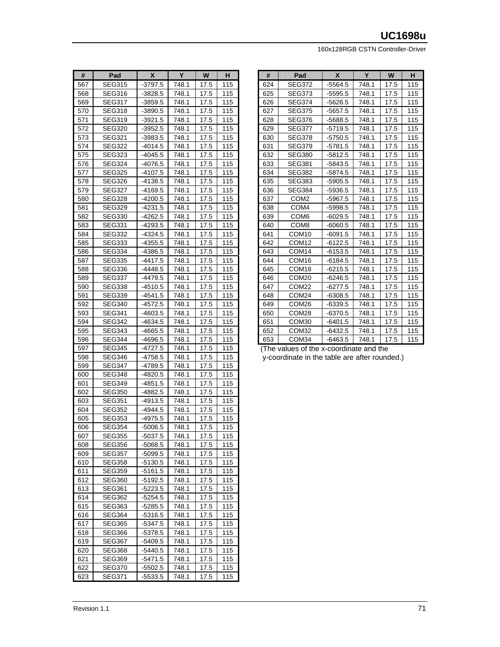160x128RGB CSTN Controller-Driver

| #          | Pad              | X                  | Y              | W            | н          |
|------------|------------------|--------------------|----------------|--------------|------------|
| 567        | <b>SEG315</b>    | -3797.5            | 748.1          | 17.5         | 115        |
| 568        | <b>SEG316</b>    | $-3828.5$          | 748.1          | 17.5         | 115        |
| 569        | SEG317           | $-3859.5$          | 748.1          | 17.5         | 115        |
| 570        | SEG318           | $-3890.5$          | 748.1          | 17.5         | 115        |
| 571        | <b>SEG319</b>    | $-3921.5$          | 748.1          | 17.5         | 115        |
| 572        | <b>SEG320</b>    | $-3952.5$          | 748.1          | 17.5         | 115        |
| 573        | <b>SEG321</b>    | -3983.5            | 748.1          | 17.5         | 115        |
| 574        | SEG322           | $-4014.5$          | 748.1          | 17.5         | 115        |
| 575        | SEG323           | -4045.5            | 748.1          | 17.5         | 115        |
| 576        | SEG324           | -4076.5            | 748.1          | 17.5         | 115        |
| 577        | <b>SEG325</b>    | -4107.5            | 748.1          | 17.5         | 115        |
| 578        | <b>SEG326</b>    | $-4138.5$          | 748.1          | 17.5         | 115        |
| 579        | SEG327           | -4169.5            | 748.1          | 17.5         | 115        |
| 580        | SEG328           | -4200.5            | 748.1          | 17.5         | 115        |
| 581        | SEG329           | -4231.5            | 748.1          | 17.5         | 115        |
| 582        | <b>SEG330</b>    | -4262.5            | 748.1          | 17.5         | 115        |
| 583        | <b>SEG331</b>    | $-4293.5$          | 748.1          | 17.5         | 115        |
| 584        | SEG332           | $-4324.5$          | 748.1          | 17.5         | 115        |
| 585        | SEG333           | $-4355.5$          | 748.1          | 17.5         | 115        |
| 586        | SEG334           | -4386.5            | 748.1          | 17.5         | 115        |
| 587        | <b>SEG335</b>    | $-4417.5$          | 748.1          | 17.5         | 115        |
| 588        | SEG336           | $-4448.5$          | 748.1          | 17.5         | 115        |
| 589        | <b>SEG337</b>    | -4479.5            | 748.1          | 17.5         | 115        |
| 590        | SEG338           | -4510.5            | 748.1          | 17.5         | 115        |
| 591        | SEG339           | -4541.5            | 748.1          | 17.5         | 115        |
| 592        | <b>SEG340</b>    | -4572.5            | 748.1          | 17.5         | 115        |
| 593        | SEG341           | $-4603.5$          | 748.1          | 17.5         | 115        |
| 594        | SEG342           | -4634.5            | 748.1          | 17.5         | 115        |
| 595        | SEG343           | $-4665.5$          | 748.1          | 17.5         | 115        |
| 596        | SEG344           | -4696.5            | 748.1          | 17.5         | 115        |
| 597        | <b>SEG345</b>    | $-4727.5$          | 748.1          | 17.5         | 115        |
| 598        | SEG346           | $-4758.5$          | 748.1          | 17.5         | 115        |
|            |                  |                    |                |              |            |
| 599<br>600 | SEG347<br>SEG348 | -4789.5<br>-4820.5 | 748.1<br>748.1 | 17.5<br>17.5 | 115<br>115 |
|            |                  |                    |                |              |            |
| 601        | SEG349           | -4851.5            | 748.1          | 17.5         | 115        |
| 602        | <b>SEG350</b>    | -4882.5            | 748.1          | 17.5         | 115        |
| 603        | SEG351           | $-4913.5$          | 748.1          | 17.5         | 115        |
| 604        | SEG352           | -4944.5            | 748.1          | 17.5         | 115        |
| 605        | SEG353           | $-4975.5$          | 748.1          | 17.5         | 115        |
| 606        | SEG354           | -5006.5            | 748.1          | 17.5         | 115        |
| 607        | <b>SEG355</b>    | $-5037.5$          | 748.1          | 17.5         | 115        |
| 608        | SEG356           | -5068.5            | 748.1          | 17.5         | 115        |
| 609        | SEG357           | -5099.5            | 748.1          | 17.5         | 115        |
| 610        | SEG358           | -5130.5            | 748.1          | 17.5         | 115        |
| 611        | SEG359           | -5161.5            | 748.1          | 17.5         | 115        |
| 612        | SEG360           | $-5192.5$          | 748.1          | 17.5         | 115        |
| 613        | <b>SEG361</b>    | $-5223.5$          | 748.1          | 17.5         | 115        |
| 614        | <b>SEG362</b>    | -5254.5            | 748.1          | 17.5         | 115        |
| 615        | SEG363           | $-5285.5$          | 748.1          | 17.5         | 115        |
| 616        | SEG364           | -5316.5            | 748.1          | 17.5         | 115        |
| 617        | SEG365           | -5347.5            | 748.1          | 17.5         | 115        |
| 618        | SEG366           | $-5378.5$          | 748.1          | 17.5         | 115        |
| 619        | <b>SEG367</b>    | -5409.5            | 748.1          | 17.5         | 115        |
| 620        | SEG368           | -5440.5            | 748.1          | 17.5         | 115        |
| 621        | SEG369           | -5471.5            | 748.1          | 17.5         | 115        |
| 622        | SEG370           | -5502.5            | 748.1          | 17.5         | 115        |
| 623        | SEG371           | -5533.5            | 748.1          | 17.5         | 115        |

| #   | Pad               | X         | Y     | W    | н   |
|-----|-------------------|-----------|-------|------|-----|
| 624 | SEG372            | -5564.5   | 748.1 | 17.5 | 115 |
| 625 | <b>SEG373</b>     | -5595.5   | 748.1 | 17.5 | 115 |
| 626 | <b>SEG374</b>     | $-5626.5$ | 748.1 | 17.5 | 115 |
| 627 | <b>SEG375</b>     | -5657.5   | 748.1 | 17.5 | 115 |
| 628 | <b>SEG376</b>     | -5688.5   | 748.1 | 17.5 | 115 |
| 629 | <b>SEG377</b>     | $-5719.5$ | 748.1 | 17.5 | 115 |
| 630 | SEG378            | -5750.5   | 748.1 | 17.5 | 115 |
| 631 | SEG379            | $-5781.5$ | 748.1 | 17.5 | 115 |
| 632 | SEG380            | $-5812.5$ | 748.1 | 17.5 | 115 |
| 633 | <b>SEG381</b>     | $-5843.5$ | 748.1 | 17.5 | 115 |
| 634 | SEG382            | $-5874.5$ | 748.1 | 17.5 | 115 |
| 635 | <b>SEG383</b>     | -5905.5   | 748.1 | 17.5 | 115 |
| 636 | SEG384            | -5936.5   | 748.1 | 17.5 | 115 |
| 637 | COM <sub>2</sub>  | -5967.5   | 748.1 | 17.5 | 115 |
| 638 | COM <sub>4</sub>  | $-5998.5$ | 748.1 | 17.5 | 115 |
| 639 | COM <sub>6</sub>  | -6029.5   | 748.1 | 17.5 | 115 |
| 640 | COM8              | $-6060.5$ | 748.1 | 17.5 | 115 |
| 641 | COM <sub>10</sub> | $-6091.5$ | 748.1 | 17.5 | 115 |
| 642 | COM <sub>12</sub> | $-6122.5$ | 748.1 | 17.5 | 115 |
| 643 | COM <sub>14</sub> | -6153.5   | 748.1 | 17.5 | 115 |
| 644 | COM <sub>16</sub> | -6184.5   | 748.1 | 17.5 | 115 |
| 645 | COM <sub>18</sub> | -6215.5   | 748.1 | 17.5 | 115 |
| 646 | COM <sub>20</sub> | -6246.5   | 748.1 | 17.5 | 115 |
| 647 | COM <sub>22</sub> | -6277.5   | 748.1 | 17.5 | 115 |
| 648 | COM <sub>24</sub> | $-6308.5$ | 748.1 | 17.5 | 115 |
| 649 | COM <sub>26</sub> | -6339.5   | 748.1 | 17.5 | 115 |
| 650 | COM <sub>28</sub> | -6370.5   | 748.1 | 17.5 | 115 |
| 651 | COM30             | $-6401.5$ | 748.1 | 17.5 | 115 |
| 652 | COM32             | -6432.5   | 748.1 | 17.5 | 115 |
| 653 | COM34             | $-6463.5$ | 748.1 | 17.5 | 115 |

 (The values of the x-coordinate and the y-coordinate in the table are after rounded.)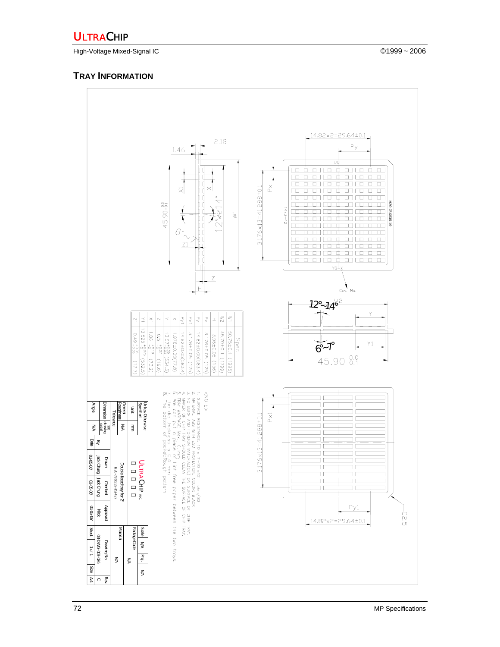## **ULTRACHIP**

High-Voltage Mixed-Signal IC ©1999 ~ 2006

## **TRAY INFORMATION**